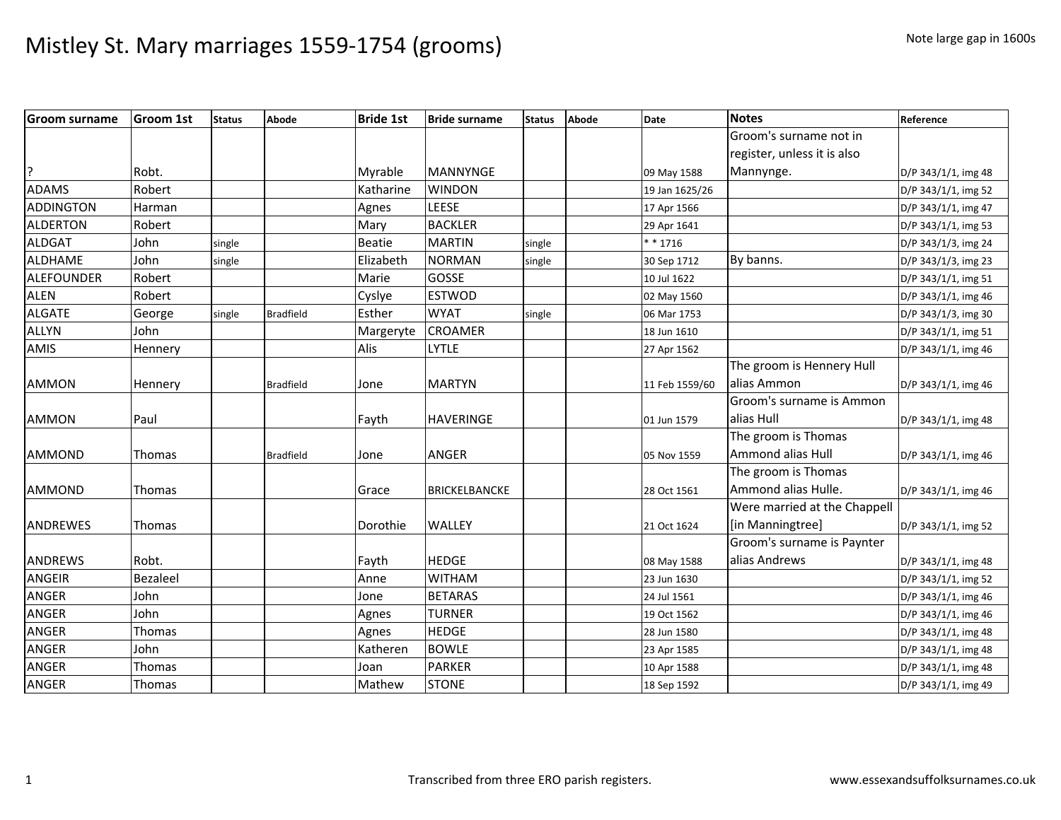| <b>Groom surname</b> | Groom 1st | <b>Status</b> | Abode            | <b>Bride 1st</b> | <b>Bride surname</b> | <b>Status</b> | Abode | Date           | <b>Notes</b>                 | Reference           |
|----------------------|-----------|---------------|------------------|------------------|----------------------|---------------|-------|----------------|------------------------------|---------------------|
|                      |           |               |                  |                  |                      |               |       |                | Groom's surname not in       |                     |
|                      |           |               |                  |                  |                      |               |       |                | register, unless it is also  |                     |
| P.                   | Robt.     |               |                  | Myrable          | <b>MANNYNGE</b>      |               |       | 09 May 1588    | Mannynge.                    | D/P 343/1/1, img 48 |
| <b>ADAMS</b>         | Robert    |               |                  | Katharine        | <b>WINDON</b>        |               |       | 19 Jan 1625/26 |                              | D/P 343/1/1, img 52 |
| <b>ADDINGTON</b>     | Harman    |               |                  | Agnes            | LEESE                |               |       | 17 Apr 1566    |                              | D/P 343/1/1, img 47 |
| <b>ALDERTON</b>      | Robert    |               |                  | Mary             | <b>BACKLER</b>       |               |       | 29 Apr 1641    |                              | D/P 343/1/1, img 53 |
| <b>ALDGAT</b>        | John      | single        |                  | Beatie           | <b>MARTIN</b>        | single        |       | $* * 1716$     |                              | D/P 343/1/3, img 24 |
| ALDHAME              | John      | single        |                  | Elizabeth        | <b>NORMAN</b>        | single        |       | 30 Sep 1712    | By banns.                    | D/P 343/1/3, img 23 |
| ALEFOUNDER           | Robert    |               |                  | Marie            | <b>GOSSE</b>         |               |       | 10 Jul 1622    |                              | D/P 343/1/1, img 51 |
| <b>ALEN</b>          | Robert    |               |                  | Cyslye           | <b>ESTWOD</b>        |               |       | 02 May 1560    |                              | D/P 343/1/1, img 46 |
| <b>ALGATE</b>        | George    | single        | <b>Bradfield</b> | Esther           | <b>WYAT</b>          | single        |       | 06 Mar 1753    |                              | D/P 343/1/3, img 30 |
| <b>ALLYN</b>         | John      |               |                  | Margeryte        | <b>CROAMER</b>       |               |       | 18 Jun 1610    |                              | D/P 343/1/1, img 51 |
| AMIS                 | Hennery   |               |                  | Alis             | <b>LYTLE</b>         |               |       | 27 Apr 1562    |                              | D/P 343/1/1, img 46 |
|                      |           |               |                  |                  |                      |               |       |                | The groom is Hennery Hull    |                     |
| <b>AMMON</b>         | Hennery   |               | <b>Bradfield</b> | Jone             | <b>MARTYN</b>        |               |       | 11 Feb 1559/60 | alias Ammon                  | D/P 343/1/1, img 46 |
|                      |           |               |                  |                  |                      |               |       |                | Groom's surname is Ammon     |                     |
| <b>AMMON</b>         | Paul      |               |                  | Fayth            | <b>HAVERINGE</b>     |               |       | 01 Jun 1579    | alias Hull                   | D/P 343/1/1, img 48 |
|                      |           |               |                  |                  |                      |               |       |                | The groom is Thomas          |                     |
| <b>AMMOND</b>        | Thomas    |               | <b>Bradfield</b> | Jone             | <b>ANGER</b>         |               |       | 05 Nov 1559    | Ammond alias Hull            | D/P 343/1/1, img 46 |
|                      |           |               |                  |                  |                      |               |       |                | The groom is Thomas          |                     |
| <b>AMMOND</b>        | Thomas    |               |                  | Grace            | <b>BRICKELBANCKE</b> |               |       | 28 Oct 1561    | Ammond alias Hulle.          | D/P 343/1/1, img 46 |
|                      |           |               |                  |                  |                      |               |       |                | Were married at the Chappell |                     |
| ANDREWES             | Thomas    |               |                  | Dorothie         | <b>WALLEY</b>        |               |       | 21 Oct 1624    | [in Manningtree]             | D/P 343/1/1, img 52 |
|                      |           |               |                  |                  |                      |               |       |                | Groom's surname is Paynter   |                     |
| <b>ANDREWS</b>       | Robt.     |               |                  | Fayth            | <b>HEDGE</b>         |               |       | 08 May 1588    | alias Andrews                | D/P 343/1/1, img 48 |
| <b>ANGEIR</b>        | Bezaleel  |               |                  | Anne             | <b>WITHAM</b>        |               |       | 23 Jun 1630    |                              | D/P 343/1/1, img 52 |
| <b>ANGER</b>         | John      |               |                  | Jone             | <b>BETARAS</b>       |               |       | 24 Jul 1561    |                              | D/P 343/1/1, img 46 |
| <b>ANGER</b>         | John      |               |                  | Agnes            | <b>TURNER</b>        |               |       | 19 Oct 1562    |                              | D/P 343/1/1, img 46 |
| <b>ANGER</b>         | Thomas    |               |                  | Agnes            | <b>HEDGE</b>         |               |       | 28 Jun 1580    |                              | D/P 343/1/1, img 48 |
| <b>ANGER</b>         | John      |               |                  | Katheren         | <b>BOWLE</b>         |               |       | 23 Apr 1585    |                              | D/P 343/1/1, img 48 |
| <b>ANGER</b>         | Thomas    |               |                  | Joan             | <b>PARKER</b>        |               |       | 10 Apr 1588    |                              | D/P 343/1/1, img 48 |
| <b>ANGER</b>         | Thomas    |               |                  | Mathew           | <b>STONE</b>         |               |       | 18 Sep 1592    |                              | D/P 343/1/1, img 49 |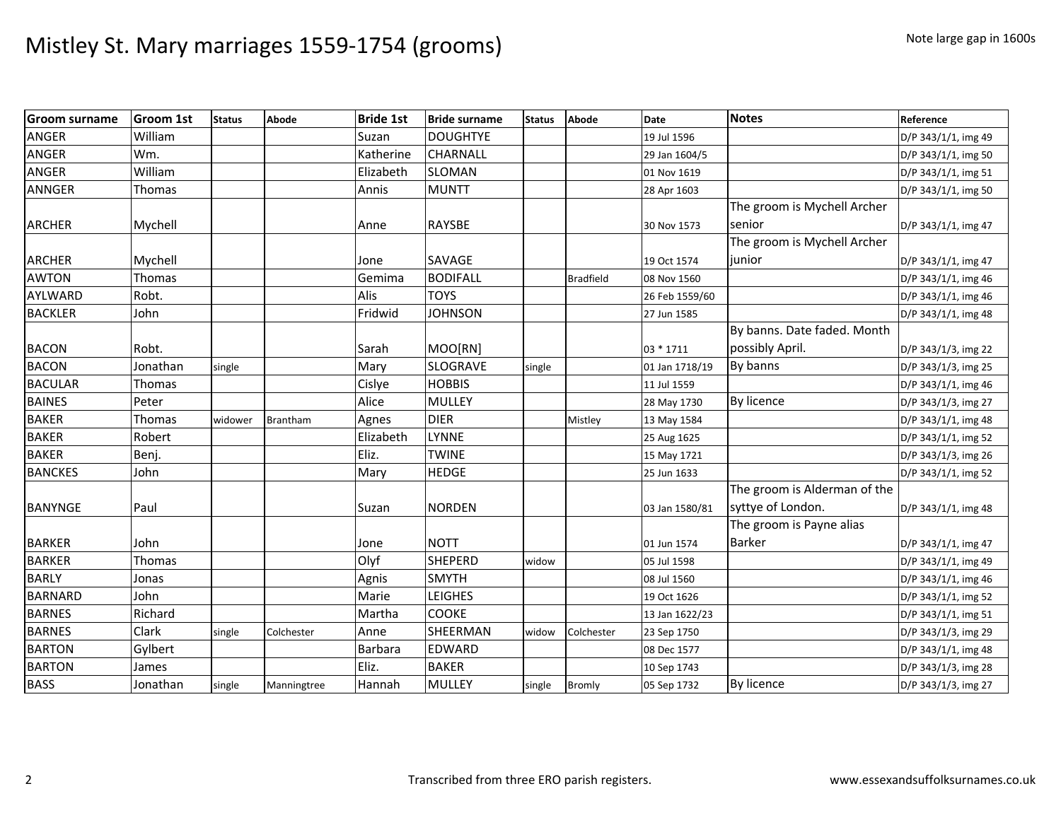| <b>Groom surname</b> | <b>Groom 1st</b> | <b>Status</b> | <b>Abode</b>    | <b>Bride 1st</b> | <b>Bride surname</b> | <b>Status</b> | Abode            | <b>Date</b>    | <b>Notes</b>                 | Reference           |
|----------------------|------------------|---------------|-----------------|------------------|----------------------|---------------|------------------|----------------|------------------------------|---------------------|
| <b>ANGER</b>         | William          |               |                 | Suzan            | <b>DOUGHTYE</b>      |               |                  | 19 Jul 1596    |                              | D/P 343/1/1, img 49 |
| <b>ANGER</b>         | Wm.              |               |                 | Katherine        | CHARNALL             |               |                  | 29 Jan 1604/5  |                              | D/P 343/1/1, img 50 |
| <b>ANGER</b>         | William          |               |                 | Elizabeth        | <b>SLOMAN</b>        |               |                  | 01 Nov 1619    |                              | D/P 343/1/1, img 51 |
| <b>ANNGER</b>        | Thomas           |               |                 | Annis            | <b>MUNTT</b>         |               |                  | 28 Apr 1603    |                              | D/P 343/1/1, img 50 |
|                      |                  |               |                 |                  |                      |               |                  |                | The groom is Mychell Archer  |                     |
| <b>ARCHER</b>        | Mychell          |               |                 | Anne             | <b>RAYSBE</b>        |               |                  | 30 Nov 1573    | senior                       | D/P 343/1/1, img 47 |
|                      |                  |               |                 |                  |                      |               |                  |                | The groom is Mychell Archer  |                     |
| <b>ARCHER</b>        | Mychell          |               |                 | Jone             | SAVAGE               |               |                  | 19 Oct 1574    | junior                       | D/P 343/1/1, img 47 |
| <b>AWTON</b>         | Thomas           |               |                 | Gemima           | <b>BODIFALL</b>      |               | <b>Bradfield</b> | 08 Nov 1560    |                              | D/P 343/1/1, img 46 |
| AYLWARD              | Robt.            |               |                 | Alis             | <b>TOYS</b>          |               |                  | 26 Feb 1559/60 |                              | D/P 343/1/1, img 46 |
| <b>BACKLER</b>       | John             |               |                 | Fridwid          | <b>JOHNSON</b>       |               |                  | 27 Jun 1585    |                              | D/P 343/1/1, img 48 |
|                      |                  |               |                 |                  |                      |               |                  |                | By banns. Date faded. Month  |                     |
| <b>BACON</b>         | Robt.            |               |                 | Sarah            | MOO[RN]              |               |                  | 03 * 1711      | possibly April.              | D/P 343/1/3, img 22 |
| <b>BACON</b>         | Jonathan         | single        |                 | Mary             | <b>SLOGRAVE</b>      | single        |                  | 01 Jan 1718/19 | By banns                     | D/P 343/1/3, img 25 |
| <b>BACULAR</b>       | Thomas           |               |                 | Cislye           | <b>HOBBIS</b>        |               |                  | 11 Jul 1559    |                              | D/P 343/1/1, img 46 |
| <b>BAINES</b>        | Peter            |               |                 | Alice            | <b>MULLEY</b>        |               |                  | 28 May 1730    | By licence                   | D/P 343/1/3, img 27 |
| <b>BAKER</b>         | Thomas           | widower       | <b>Brantham</b> | Agnes            | <b>DIER</b>          |               | Mistley          | 13 May 1584    |                              | D/P 343/1/1, img 48 |
| <b>BAKER</b>         | Robert           |               |                 | Elizabeth        | <b>LYNNE</b>         |               |                  | 25 Aug 1625    |                              | D/P 343/1/1, img 52 |
| <b>BAKER</b>         | Benj.            |               |                 | Eliz.            | <b>TWINE</b>         |               |                  | 15 May 1721    |                              | D/P 343/1/3, img 26 |
| <b>BANCKES</b>       | John             |               |                 | Mary             | <b>HEDGE</b>         |               |                  | 25 Jun 1633    |                              | D/P 343/1/1, img 52 |
|                      |                  |               |                 |                  |                      |               |                  |                | The groom is Alderman of the |                     |
| <b>BANYNGE</b>       | Paul             |               |                 | Suzan            | <b>NORDEN</b>        |               |                  | 03 Jan 1580/81 | syttye of London.            | D/P 343/1/1, img 48 |
|                      |                  |               |                 |                  |                      |               |                  |                | The groom is Payne alias     |                     |
| <b>BARKER</b>        | John             |               |                 | Jone             | <b>NOTT</b>          |               |                  | 01 Jun 1574    | Barker                       | D/P 343/1/1, img 47 |
| <b>BARKER</b>        | Thomas           |               |                 | Olyf             | <b>SHEPERD</b>       | widow         |                  | 05 Jul 1598    |                              | D/P 343/1/1, img 49 |
| <b>BARLY</b>         | Jonas            |               |                 | Agnis            | <b>SMYTH</b>         |               |                  | 08 Jul 1560    |                              | D/P 343/1/1, img 46 |
| <b>BARNARD</b>       | John             |               |                 | Marie            | <b>LEIGHES</b>       |               |                  | 19 Oct 1626    |                              | D/P 343/1/1, img 52 |
| <b>BARNES</b>        | Richard          |               |                 | Martha           | <b>COOKE</b>         |               |                  | 13 Jan 1622/23 |                              | D/P 343/1/1, img 51 |
| <b>BARNES</b>        | Clark            | single        | Colchester      | Anne             | SHEERMAN             | widow         | Colchester       | 23 Sep 1750    |                              | D/P 343/1/3, img 29 |
| <b>BARTON</b>        | Gylbert          |               |                 | Barbara          | EDWARD               |               |                  | 08 Dec 1577    |                              | D/P 343/1/1, img 48 |
| <b>BARTON</b>        | James            |               |                 | Eliz.            | <b>BAKER</b>         |               |                  | 10 Sep 1743    |                              | D/P 343/1/3, img 28 |
| <b>BASS</b>          | Jonathan         | single        | Manningtree     | Hannah           | <b>MULLEY</b>        | single        | Bromly           | 05 Sep 1732    | By licence                   | D/P 343/1/3, img 27 |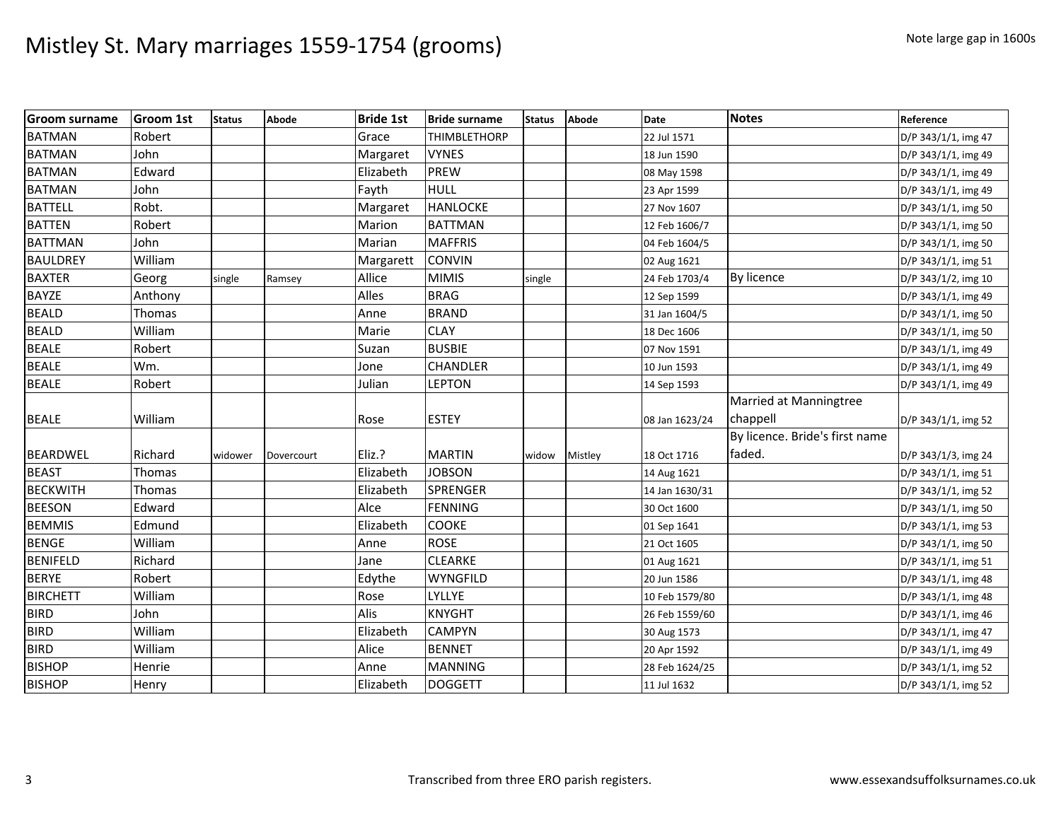| <b>Groom surname</b> | <b>Groom 1st</b> | <b>Status</b> | Abode      | <b>Bride 1st</b> | <b>Bride surname</b> | <b>Status</b> | Abode   | <b>Date</b>    | <b>Notes</b>                   | Reference           |
|----------------------|------------------|---------------|------------|------------------|----------------------|---------------|---------|----------------|--------------------------------|---------------------|
| <b>BATMAN</b>        | Robert           |               |            | Grace            | <b>THIMBLETHORP</b>  |               |         | 22 Jul 1571    |                                | D/P 343/1/1, img 47 |
| <b>BATMAN</b>        | John             |               |            | Margaret         | <b>VYNES</b>         |               |         | 18 Jun 1590    |                                | D/P 343/1/1, img 49 |
| <b>BATMAN</b>        | Edward           |               |            | Elizabeth        | <b>PREW</b>          |               |         | 08 May 1598    |                                | D/P 343/1/1, img 49 |
| <b>BATMAN</b>        | John             |               |            | Fayth            | <b>HULL</b>          |               |         | 23 Apr 1599    |                                | D/P 343/1/1, img 49 |
| <b>BATTELL</b>       | Robt.            |               |            | Margaret         | <b>HANLOCKE</b>      |               |         | 27 Nov 1607    |                                | D/P 343/1/1, img 50 |
| <b>BATTEN</b>        | Robert           |               |            | Marion           | <b>BATTMAN</b>       |               |         | 12 Feb 1606/7  |                                | D/P 343/1/1, img 50 |
| <b>BATTMAN</b>       | John             |               |            | Marian           | <b>MAFFRIS</b>       |               |         | 04 Feb 1604/5  |                                | D/P 343/1/1, img 50 |
| <b>BAULDREY</b>      | William          |               |            | Margarett        | <b>CONVIN</b>        |               |         | 02 Aug 1621    |                                | D/P 343/1/1, img 51 |
| <b>BAXTER</b>        | Georg            | single        | Ramsey     | Allice           | <b>MIMIS</b>         | single        |         | 24 Feb 1703/4  | By licence                     | D/P 343/1/2, img 10 |
| <b>BAYZE</b>         | Anthony          |               |            | Alles            | <b>BRAG</b>          |               |         | 12 Sep 1599    |                                | D/P 343/1/1, img 49 |
| <b>BEALD</b>         | Thomas           |               |            | Anne             | <b>BRAND</b>         |               |         | 31 Jan 1604/5  |                                | D/P 343/1/1, img 50 |
| <b>BEALD</b>         | William          |               |            | Marie            | <b>CLAY</b>          |               |         | 18 Dec 1606    |                                | D/P 343/1/1, img 50 |
| <b>BEALE</b>         | Robert           |               |            | Suzan            | <b>BUSBIE</b>        |               |         | 07 Nov 1591    |                                | D/P 343/1/1, img 49 |
| <b>BEALE</b>         | Wm.              |               |            | Jone             | CHANDLER             |               |         | 10 Jun 1593    |                                | D/P 343/1/1, img 49 |
| <b>BEALE</b>         | Robert           |               |            | Julian           | LEPTON               |               |         | 14 Sep 1593    |                                | D/P 343/1/1, img 49 |
|                      |                  |               |            |                  |                      |               |         |                | Married at Manningtree         |                     |
| <b>BEALE</b>         | William          |               |            | Rose             | <b>ESTEY</b>         |               |         | 08 Jan 1623/24 | chappell                       | D/P 343/1/1, img 52 |
|                      |                  |               |            |                  |                      |               |         |                | By licence. Bride's first name |                     |
| <b>BEARDWEL</b>      | Richard          | widower       | Dovercourt | Eliz.?           | <b>MARTIN</b>        | widow         | Mistley | 18 Oct 1716    | faded.                         | D/P 343/1/3, img 24 |
| <b>BEAST</b>         | Thomas           |               |            | Elizabeth        | <b>JOBSON</b>        |               |         | 14 Aug 1621    |                                | D/P 343/1/1, img 51 |
| <b>BECKWITH</b>      | Thomas           |               |            | Elizabeth        | <b>SPRENGER</b>      |               |         | 14 Jan 1630/31 |                                | D/P 343/1/1, img 52 |
| <b>BEESON</b>        | Edward           |               |            | Alce             | <b>FENNING</b>       |               |         | 30 Oct 1600    |                                | D/P 343/1/1, img 50 |
| <b>BEMMIS</b>        | Edmund           |               |            | Elizabeth        | COOKE                |               |         | 01 Sep 1641    |                                | D/P 343/1/1, img 53 |
| <b>BENGE</b>         | William          |               |            | Anne             | <b>ROSE</b>          |               |         | 21 Oct 1605    |                                | D/P 343/1/1, img 50 |
| <b>BENIFELD</b>      | Richard          |               |            | Jane             | <b>CLEARKE</b>       |               |         | 01 Aug 1621    |                                | D/P 343/1/1, img 51 |
| <b>BERYE</b>         | Robert           |               |            | Edythe           | <b>WYNGFILD</b>      |               |         | 20 Jun 1586    |                                | D/P 343/1/1, img 48 |
| <b>BIRCHETT</b>      | William          |               |            | Rose             | LYLLYE               |               |         | 10 Feb 1579/80 |                                | D/P 343/1/1, img 48 |
| <b>BIRD</b>          | John             |               |            | Alis             | <b>KNYGHT</b>        |               |         | 26 Feb 1559/60 |                                | D/P 343/1/1, img 46 |
| <b>BIRD</b>          | William          |               |            | Elizabeth        | <b>CAMPYN</b>        |               |         | 30 Aug 1573    |                                | D/P 343/1/1, img 47 |
| <b>BIRD</b>          | William          |               |            | Alice            | <b>BENNET</b>        |               |         | 20 Apr 1592    |                                | D/P 343/1/1, img 49 |
| <b>BISHOP</b>        | Henrie           |               |            | Anne             | <b>MANNING</b>       |               |         | 28 Feb 1624/25 |                                | D/P 343/1/1, img 52 |
| <b>BISHOP</b>        | Henry            |               |            | Elizabeth        | <b>DOGGETT</b>       |               |         | 11 Jul 1632    |                                | D/P 343/1/1, img 52 |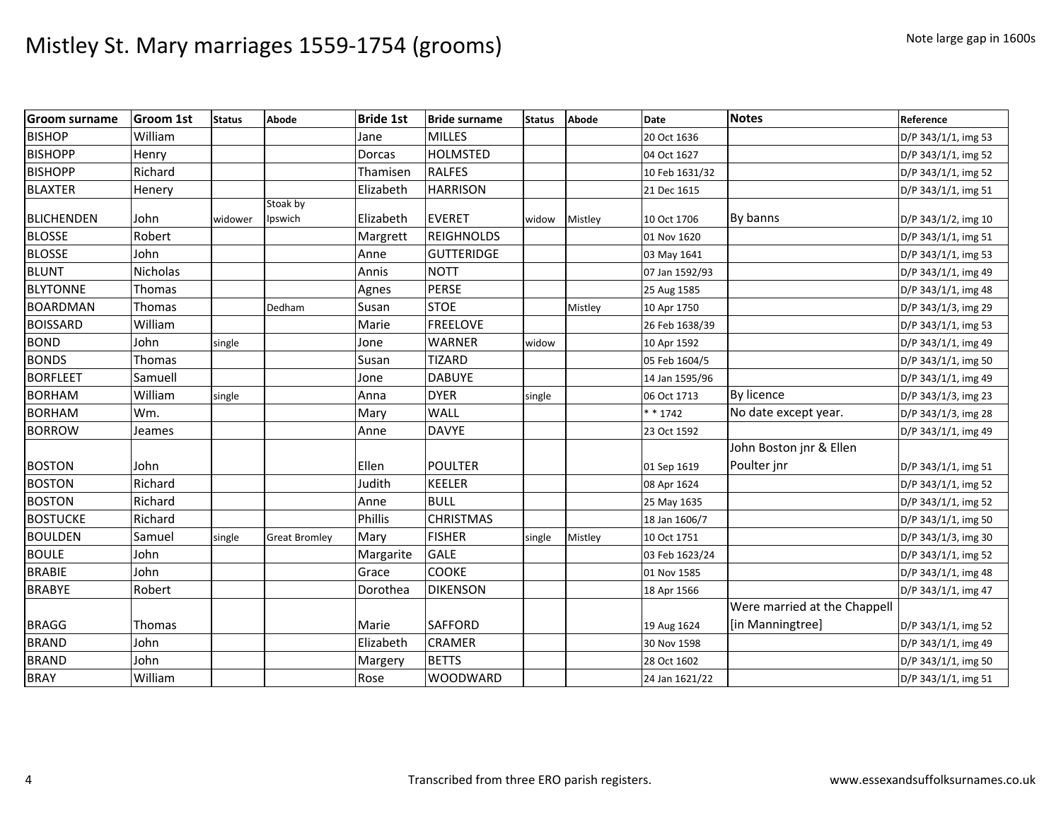| <b>Groom surname</b> | <b>Groom 1st</b> | <b>Status</b> | Abode                | <b>Bride 1st</b> | <b>Bride surname</b> | <b>Status</b> | <b>Abode</b> | <b>Date</b>    | <b>Notes</b>                 | Reference           |
|----------------------|------------------|---------------|----------------------|------------------|----------------------|---------------|--------------|----------------|------------------------------|---------------------|
| <b>BISHOP</b>        | William          |               |                      | Jane             | <b>MILLES</b>        |               |              | 20 Oct 1636    |                              | D/P 343/1/1, img 53 |
| <b>BISHOPP</b>       | Henry            |               |                      | Dorcas           | <b>HOLMSTED</b>      |               |              | 04 Oct 1627    |                              | D/P 343/1/1, img 52 |
| <b>BISHOPP</b>       | Richard          |               |                      | Thamisen         | <b>RALFES</b>        |               |              | 10 Feb 1631/32 |                              | D/P 343/1/1, img 52 |
| <b>BLAXTER</b>       | Henery           |               |                      | Elizabeth        | <b>HARRISON</b>      |               |              | 21 Dec 1615    |                              | D/P 343/1/1, img 51 |
| <b>BLICHENDEN</b>    | John             | widower       | Stoak by<br>Ipswich  | Elizabeth        | <b>EVERET</b>        | widow         | Mistley      | 10 Oct 1706    | By banns                     | D/P 343/1/2, img 10 |
| <b>BLOSSE</b>        | Robert           |               |                      | Margrett         | <b>REIGHNOLDS</b>    |               |              | 01 Nov 1620    |                              | D/P 343/1/1, img 51 |
| <b>BLOSSE</b>        | John             |               |                      | Anne             | <b>GUTTERIDGE</b>    |               |              | 03 May 1641    |                              | D/P 343/1/1, img 53 |
| <b>BLUNT</b>         | Nicholas         |               |                      | Annis            | <b>NOTT</b>          |               |              | 07 Jan 1592/93 |                              | D/P 343/1/1, img 49 |
| <b>BLYTONNE</b>      | Thomas           |               |                      | Agnes            | <b>PERSE</b>         |               |              | 25 Aug 1585    |                              | D/P 343/1/1, img 48 |
| <b>BOARDMAN</b>      | Thomas           |               | Dedham               | Susan            | <b>STOE</b>          |               | Mistley      | 10 Apr 1750    |                              | D/P 343/1/3, img 29 |
| <b>BOISSARD</b>      | William          |               |                      | Marie            | <b>FREELOVE</b>      |               |              | 26 Feb 1638/39 |                              | D/P 343/1/1, img 53 |
| <b>BOND</b>          | John             | single        |                      | Jone             | <b>WARNER</b>        | widow         |              | 10 Apr 1592    |                              | D/P 343/1/1, img 49 |
| <b>BONDS</b>         | Thomas           |               |                      | Susan            | <b>TIZARD</b>        |               |              | 05 Feb 1604/5  |                              | D/P 343/1/1, img 50 |
| <b>BORFLEET</b>      | Samuell          |               |                      | Jone             | <b>DABUYE</b>        |               |              | 14 Jan 1595/96 |                              | D/P 343/1/1, img 49 |
| <b>BORHAM</b>        | William          | single        |                      | Anna             | <b>DYER</b>          | single        |              | 06 Oct 1713    | By licence                   | D/P 343/1/3, img 23 |
| <b>BORHAM</b>        | Wm.              |               |                      | Mary             | <b>WALL</b>          |               |              | $* * 1742$     | No date except year.         | D/P 343/1/3, img 28 |
| <b>BORROW</b>        | Jeames           |               |                      | Anne             | <b>DAVYE</b>         |               |              | 23 Oct 1592    |                              | D/P 343/1/1, img 49 |
|                      |                  |               |                      |                  |                      |               |              |                | John Boston jnr & Ellen      |                     |
| <b>BOSTON</b>        | John             |               |                      | Ellen            | <b>POULTER</b>       |               |              | 01 Sep 1619    | Poulter jnr                  | D/P 343/1/1, img 51 |
| <b>BOSTON</b>        | Richard          |               |                      | Judith           | <b>KEELER</b>        |               |              | 08 Apr 1624    |                              | D/P 343/1/1, img 52 |
| <b>BOSTON</b>        | Richard          |               |                      | Anne             | <b>BULL</b>          |               |              | 25 May 1635    |                              | D/P 343/1/1, img 52 |
| <b>BOSTUCKE</b>      | Richard          |               |                      | <b>Phillis</b>   | <b>CHRISTMAS</b>     |               |              | 18 Jan 1606/7  |                              | D/P 343/1/1, img 50 |
| <b>BOULDEN</b>       | Samuel           | single        | <b>Great Bromley</b> | Mary             | <b>FISHER</b>        | single        | Mistley      | 10 Oct 1751    |                              | D/P 343/1/3, img 30 |
| <b>BOULE</b>         | John             |               |                      | Margarite        | <b>GALE</b>          |               |              | 03 Feb 1623/24 |                              | D/P 343/1/1, img 52 |
| <b>BRABIE</b>        | John             |               |                      | Grace            | <b>COOKE</b>         |               |              | 01 Nov 1585    |                              | D/P 343/1/1, img 48 |
| <b>BRABYE</b>        | Robert           |               |                      | Dorothea         | <b>DIKENSON</b>      |               |              | 18 Apr 1566    |                              | D/P 343/1/1, img 47 |
|                      |                  |               |                      |                  |                      |               |              |                | Were married at the Chappell |                     |
| <b>BRAGG</b>         | Thomas           |               |                      | Marie            | <b>SAFFORD</b>       |               |              | 19 Aug 1624    | [in Manningtree]             | D/P 343/1/1, img 52 |
| <b>BRAND</b>         | John             |               |                      | Elizabeth        | <b>CRAMER</b>        |               |              | 30 Nov 1598    |                              | D/P 343/1/1, img 49 |
| <b>BRAND</b>         | John             |               |                      | Margery          | <b>BETTS</b>         |               |              | 28 Oct 1602    |                              | D/P 343/1/1, img 50 |
| <b>BRAY</b>          | William          |               |                      | Rose             | <b>WOODWARD</b>      |               |              | 24 Jan 1621/22 |                              | D/P 343/1/1, img 51 |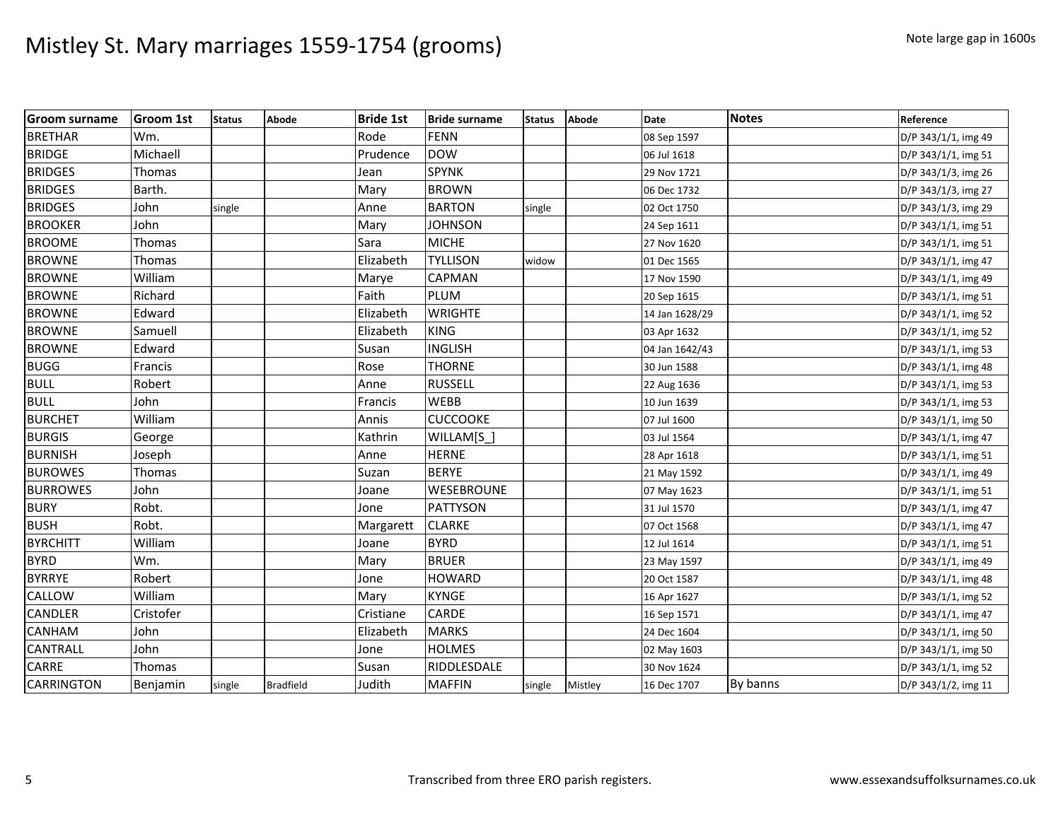| <b>Groom surname</b> | <b>Groom 1st</b> | <b>Status</b> | Abode            | <b>Bride 1st</b> | <b>Bride surname</b> | <b>Status</b> | <b>Abode</b> | <b>Date</b>    | <b>Notes</b> | Reference           |
|----------------------|------------------|---------------|------------------|------------------|----------------------|---------------|--------------|----------------|--------------|---------------------|
| <b>BRETHAR</b>       | Wm.              |               |                  | Rode             | FENN                 |               |              | 08 Sep 1597    |              | D/P 343/1/1, img 49 |
| <b>BRIDGE</b>        | Michaell         |               |                  | Prudence         | <b>DOW</b>           |               |              | 06 Jul 1618    |              | D/P 343/1/1, img 51 |
| <b>BRIDGES</b>       | Thomas           |               |                  | Jean             | <b>SPYNK</b>         |               |              | 29 Nov 1721    |              | D/P 343/1/3, img 26 |
| <b>BRIDGES</b>       | Barth.           |               |                  | Mary             | <b>BROWN</b>         |               |              | 06 Dec 1732    |              | D/P 343/1/3, img 27 |
| <b>BRIDGES</b>       | John             | single        |                  | Anne             | <b>BARTON</b>        | single        |              | 02 Oct 1750    |              | D/P 343/1/3, img 29 |
| <b>BROOKER</b>       | John             |               |                  | Mary             | <b>JOHNSON</b>       |               |              | 24 Sep 1611    |              | D/P 343/1/1, img 51 |
| <b>BROOME</b>        | Thomas           |               |                  | Sara             | <b>MICHE</b>         |               |              | 27 Nov 1620    |              | D/P 343/1/1, img 51 |
| <b>BROWNE</b>        | Thomas           |               |                  | Elizabeth        | <b>TYLLISON</b>      | widow         |              | 01 Dec 1565    |              | D/P 343/1/1, img 47 |
| <b>BROWNE</b>        | William          |               |                  | Marye            | CAPMAN               |               |              | 17 Nov 1590    |              | D/P 343/1/1, img 49 |
| <b>BROWNE</b>        | Richard          |               |                  | Faith            | <b>PLUM</b>          |               |              | 20 Sep 1615    |              | D/P 343/1/1, img 51 |
| <b>BROWNE</b>        | Edward           |               |                  | Elizabeth        | <b>WRIGHTE</b>       |               |              | 14 Jan 1628/29 |              | D/P 343/1/1, img 52 |
| <b>BROWNE</b>        | Samuell          |               |                  | Elizabeth        | <b>KING</b>          |               |              | 03 Apr 1632    |              | D/P 343/1/1, img 52 |
| <b>BROWNE</b>        | Edward           |               |                  | Susan            | INGLISH              |               |              | 04 Jan 1642/43 |              | D/P 343/1/1, img 53 |
| <b>BUGG</b>          | Francis          |               |                  | Rose             | <b>THORNE</b>        |               |              | 30 Jun 1588    |              | D/P 343/1/1, img 48 |
| <b>BULL</b>          | Robert           |               |                  | Anne             | <b>RUSSELL</b>       |               |              | 22 Aug 1636    |              | D/P 343/1/1, img 53 |
| <b>BULL</b>          | John             |               |                  | Francis          | <b>WEBB</b>          |               |              | 10 Jun 1639    |              | D/P 343/1/1, img 53 |
| <b>BURCHET</b>       | William          |               |                  | Annis            | <b>CUCCOOKE</b>      |               |              | 07 Jul 1600    |              | D/P 343/1/1, img 50 |
| <b>BURGIS</b>        | George           |               |                  | Kathrin          | WILLAM[S]            |               |              | 03 Jul 1564    |              | D/P 343/1/1, img 47 |
| <b>BURNISH</b>       | Joseph           |               |                  | Anne             | <b>HERNE</b>         |               |              | 28 Apr 1618    |              | D/P 343/1/1, img 51 |
| <b>BUROWES</b>       | Thomas           |               |                  | Suzan            | <b>BERYE</b>         |               |              | 21 May 1592    |              | D/P 343/1/1, img 49 |
| <b>BURROWES</b>      | John             |               |                  | Joane            | WESEBROUNE           |               |              | 07 May 1623    |              | D/P 343/1/1, img 51 |
| <b>BURY</b>          | Robt.            |               |                  | Jone             | <b>PATTYSON</b>      |               |              | 31 Jul 1570    |              | D/P 343/1/1, img 47 |
| <b>BUSH</b>          | Robt.            |               |                  | Margarett        | <b>CLARKE</b>        |               |              | 07 Oct 1568    |              | D/P 343/1/1, img 47 |
| <b>BYRCHITT</b>      | William          |               |                  | Joane            | <b>BYRD</b>          |               |              | 12 Jul 1614    |              | D/P 343/1/1, img 51 |
| <b>BYRD</b>          | Wm.              |               |                  | Mary             | <b>BRUER</b>         |               |              | 23 May 1597    |              | D/P 343/1/1, img 49 |
| <b>BYRRYE</b>        | Robert           |               |                  | Jone             | <b>HOWARD</b>        |               |              | 20 Oct 1587    |              | D/P 343/1/1, img 48 |
| CALLOW               | William          |               |                  | Mary             | <b>KYNGE</b>         |               |              | 16 Apr 1627    |              | D/P 343/1/1, img 52 |
| <b>CANDLER</b>       | Cristofer        |               |                  | Cristiane        | CARDE                |               |              | 16 Sep 1571    |              | D/P 343/1/1, img 47 |
| <b>CANHAM</b>        | John             |               |                  | Elizabeth        | <b>MARKS</b>         |               |              | 24 Dec 1604    |              | D/P 343/1/1, img 50 |
| <b>CANTRALL</b>      | John             |               |                  | Jone             | <b>HOLMES</b>        |               |              | 02 May 1603    |              | D/P 343/1/1, img 50 |
| CARRE                | Thomas           |               |                  | Susan            | RIDDLESDALE          |               |              | 30 Nov 1624    |              | D/P 343/1/1, img 52 |
| <b>CARRINGTON</b>    | Benjamin         | single        | <b>Bradfield</b> | Judith           | <b>MAFFIN</b>        | single        | Mistley      | 16 Dec 1707    | By banns     | D/P 343/1/2, img 11 |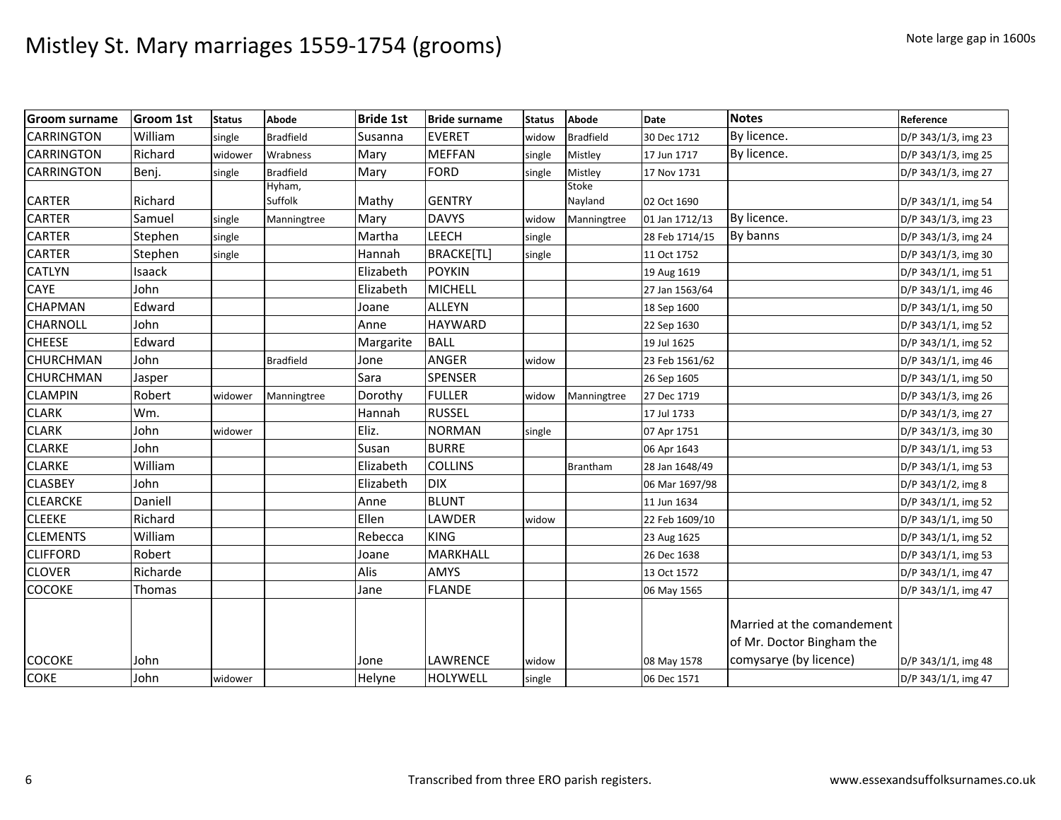| <b>Groom surname</b> | <b>Groom 1st</b> | <b>Status</b> | Abode            | <b>Bride 1st</b> | <b>Bride surname</b> | <b>Status</b> | Abode            | Date           | <b>Notes</b>                                            | Reference           |
|----------------------|------------------|---------------|------------------|------------------|----------------------|---------------|------------------|----------------|---------------------------------------------------------|---------------------|
| <b>CARRINGTON</b>    | William          | single        | <b>Bradfield</b> | Susanna          | <b>EVERET</b>        | widow         | <b>Bradfield</b> | 30 Dec 1712    | By licence.                                             | D/P 343/1/3, img 23 |
| <b>CARRINGTON</b>    | Richard          | widower       | Wrabness         | Mary             | <b>MEFFAN</b>        | single        | Mistley          | 17 Jun 1717    | By licence.                                             | D/P 343/1/3, img 25 |
| <b>CARRINGTON</b>    | Benj.            | single        | <b>Bradfield</b> | Mary             | FORD                 | single        | Mistley          | 17 Nov 1731    |                                                         | D/P 343/1/3, img 27 |
|                      |                  |               | Hyham,           |                  |                      |               | Stoke            |                |                                                         |                     |
| <b>CARTER</b>        | Richard          |               | Suffolk          | Mathy            | <b>GENTRY</b>        |               | Nayland          | 02 Oct 1690    |                                                         | D/P 343/1/1, img 54 |
| <b>CARTER</b>        | Samuel           | single        | Manningtree      | Mary             | <b>DAVYS</b>         | widow         | Manningtree      | 01 Jan 1712/13 | By licence.                                             | D/P 343/1/3, img 23 |
| <b>CARTER</b>        | Stephen          | single        |                  | Martha           | <b>LEECH</b>         | single        |                  | 28 Feb 1714/15 | By banns                                                | D/P 343/1/3, img 24 |
| <b>CARTER</b>        | Stephen          | single        |                  | Hannah           | <b>BRACKE[TL]</b>    | single        |                  | 11 Oct 1752    |                                                         | D/P 343/1/3, img 30 |
| <b>CATLYN</b>        | Isaack           |               |                  | Elizabeth        | <b>POYKIN</b>        |               |                  | 19 Aug 1619    |                                                         | D/P 343/1/1, img 51 |
| CAYE                 | John             |               |                  | Elizabeth        | <b>MICHELL</b>       |               |                  | 27 Jan 1563/64 |                                                         | D/P 343/1/1, img 46 |
| <b>CHAPMAN</b>       | Edward           |               |                  | Joane            | <b>ALLEYN</b>        |               |                  | 18 Sep 1600    |                                                         | D/P 343/1/1, img 50 |
| <b>CHARNOLL</b>      | John             |               |                  | Anne             | <b>HAYWARD</b>       |               |                  | 22 Sep 1630    |                                                         | D/P 343/1/1, img 52 |
| <b>CHEESE</b>        | Edward           |               |                  | Margarite        | <b>BALL</b>          |               |                  | 19 Jul 1625    |                                                         | D/P 343/1/1, img 52 |
| <b>CHURCHMAN</b>     | John             |               | <b>Bradfield</b> | Jone             | ANGER                | widow         |                  | 23 Feb 1561/62 |                                                         | D/P 343/1/1, img 46 |
| <b>CHURCHMAN</b>     | Jasper           |               |                  | Sara             | <b>SPENSER</b>       |               |                  | 26 Sep 1605    |                                                         | D/P 343/1/1, img 50 |
| <b>CLAMPIN</b>       | Robert           | widower       | Manningtree      | Dorothy          | <b>FULLER</b>        | widow         | Manningtree      | 27 Dec 1719    |                                                         | D/P 343/1/3, img 26 |
| <b>CLARK</b>         | Wm.              |               |                  | Hannah           | <b>RUSSEL</b>        |               |                  | 17 Jul 1733    |                                                         | D/P 343/1/3, img 27 |
| <b>CLARK</b>         | John             | widower       |                  | Eliz.            | <b>NORMAN</b>        | single        |                  | 07 Apr 1751    |                                                         | D/P 343/1/3, img 30 |
| <b>CLARKE</b>        | John             |               |                  | Susan            | <b>BURRE</b>         |               |                  | 06 Apr 1643    |                                                         | D/P 343/1/1, img 53 |
| <b>CLARKE</b>        | William          |               |                  | Elizabeth        | <b>COLLINS</b>       |               | Brantham         | 28 Jan 1648/49 |                                                         | D/P 343/1/1, img 53 |
| <b>CLASBEY</b>       | John             |               |                  | Elizabeth        | <b>DIX</b>           |               |                  | 06 Mar 1697/98 |                                                         | D/P 343/1/2, img 8  |
| <b>CLEARCKE</b>      | Daniell          |               |                  | Anne             | <b>BLUNT</b>         |               |                  | 11 Jun 1634    |                                                         | D/P 343/1/1, img 52 |
| <b>CLEEKE</b>        | Richard          |               |                  | Ellen            | LAWDER               | widow         |                  | 22 Feb 1609/10 |                                                         | D/P 343/1/1, img 50 |
| <b>CLEMENTS</b>      | William          |               |                  | Rebecca          | <b>KING</b>          |               |                  | 23 Aug 1625    |                                                         | D/P 343/1/1, img 52 |
| <b>CLIFFORD</b>      | Robert           |               |                  | Joane            | MARKHALL             |               |                  | 26 Dec 1638    |                                                         | D/P 343/1/1, img 53 |
| <b>CLOVER</b>        | Richarde         |               |                  | Alis             | AMYS                 |               |                  | 13 Oct 1572    |                                                         | D/P 343/1/1, img 47 |
| <b>COCOKE</b>        | Thomas           |               |                  | Jane             | <b>FLANDE</b>        |               |                  | 06 May 1565    |                                                         | D/P 343/1/1, img 47 |
|                      |                  |               |                  |                  |                      |               |                  |                | Married at the comandement<br>of Mr. Doctor Bingham the |                     |
| <b>COCOKE</b>        | John             |               |                  | Jone             | LAWRENCE             | widow         |                  | 08 May 1578    | comysarye (by licence)                                  | D/P 343/1/1, img 48 |
| <b>COKE</b>          | John             | widower       |                  | Helyne           | <b>HOLYWELL</b>      | single        |                  | 06 Dec 1571    |                                                         | D/P 343/1/1, img 47 |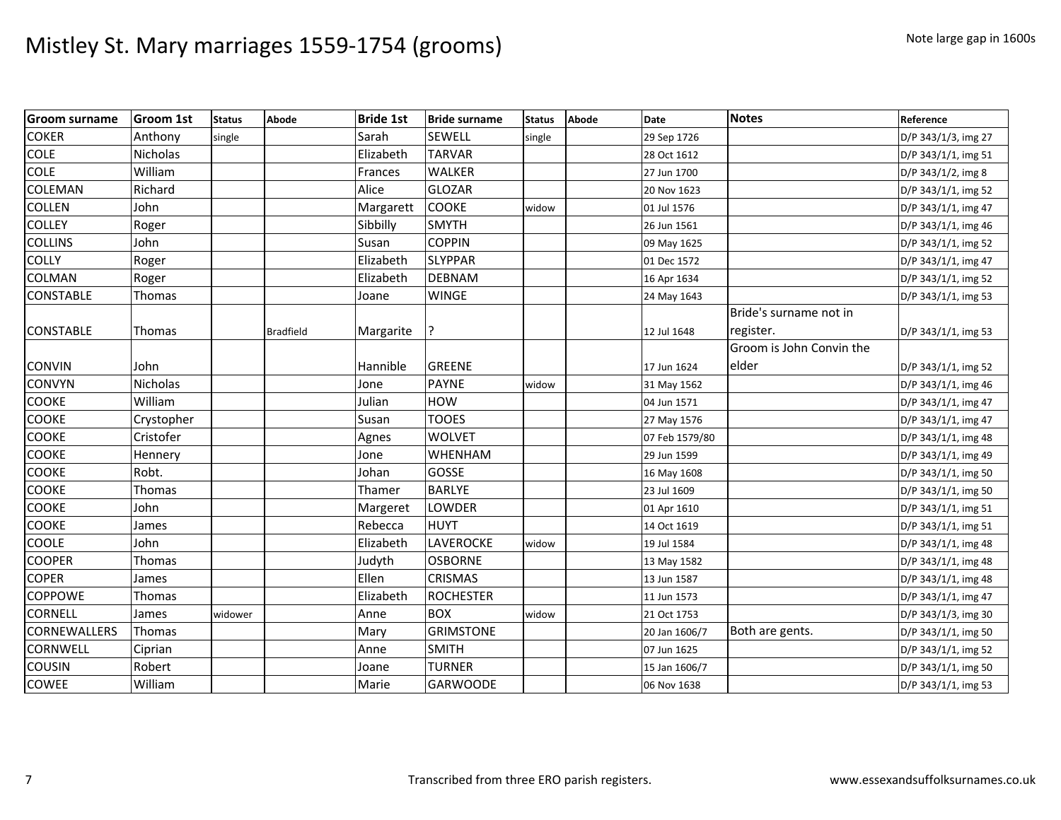| <b>Groom surname</b> | <b>Groom 1st</b> | <b>Status</b> | Abode            | <b>Bride 1st</b> | <b>Bride surname</b> | <b>Status</b> | <b>Abode</b> | <b>Date</b>    | <b>Notes</b>             | Reference           |
|----------------------|------------------|---------------|------------------|------------------|----------------------|---------------|--------------|----------------|--------------------------|---------------------|
| <b>COKER</b>         | Anthony          | single        |                  | Sarah            | SEWELL               | single        |              | 29 Sep 1726    |                          | D/P 343/1/3, img 27 |
| <b>COLE</b>          | <b>Nicholas</b>  |               |                  | Elizabeth        | <b>TARVAR</b>        |               |              | 28 Oct 1612    |                          | D/P 343/1/1, img 51 |
| <b>COLE</b>          | William          |               |                  | Frances          | <b>WALKER</b>        |               |              | 27 Jun 1700    |                          | D/P 343/1/2, img 8  |
| <b>COLEMAN</b>       | Richard          |               |                  | Alice            | <b>GLOZAR</b>        |               |              | 20 Nov 1623    |                          | D/P 343/1/1, img 52 |
| <b>COLLEN</b>        | John             |               |                  | Margarett        | <b>COOKE</b>         | widow         |              | 01 Jul 1576    |                          | D/P 343/1/1, img 47 |
| <b>COLLEY</b>        | Roger            |               |                  | Sibbilly         | <b>SMYTH</b>         |               |              | 26 Jun 1561    |                          | D/P 343/1/1, img 46 |
| <b>COLLINS</b>       | John             |               |                  | Susan            | <b>COPPIN</b>        |               |              | 09 May 1625    |                          | D/P 343/1/1, img 52 |
| <b>COLLY</b>         | Roger            |               |                  | Elizabeth        | <b>SLYPPAR</b>       |               |              | 01 Dec 1572    |                          | D/P 343/1/1, img 47 |
| <b>COLMAN</b>        | Roger            |               |                  | Elizabeth        | <b>DEBNAM</b>        |               |              | 16 Apr 1634    |                          | D/P 343/1/1, img 52 |
| <b>CONSTABLE</b>     | Thomas           |               |                  | Joane            | <b>WINGE</b>         |               |              | 24 May 1643    |                          | D/P 343/1/1, img 53 |
|                      |                  |               |                  |                  |                      |               |              |                | Bride's surname not in   |                     |
| <b>CONSTABLE</b>     | Thomas           |               | <b>Bradfield</b> | Margarite        |                      |               |              | 12 Jul 1648    | register.                | D/P 343/1/1, img 53 |
|                      |                  |               |                  |                  |                      |               |              |                | Groom is John Convin the |                     |
| <b>CONVIN</b>        | John             |               |                  | Hannible         | <b>GREENE</b>        |               |              | 17 Jun 1624    | elder                    | D/P 343/1/1, img 52 |
| <b>CONVYN</b>        | Nicholas         |               |                  | Jone             | <b>PAYNE</b>         | widow         |              | 31 May 1562    |                          | D/P 343/1/1, img 46 |
| <b>COOKE</b>         | William          |               |                  | Julian           | HOW                  |               |              | 04 Jun 1571    |                          | D/P 343/1/1, img 47 |
| <b>COOKE</b>         | Crystopher       |               |                  | Susan            | TOOES                |               |              | 27 May 1576    |                          | D/P 343/1/1, img 47 |
| <b>COOKE</b>         | Cristofer        |               |                  | Agnes            | <b>WOLVET</b>        |               |              | 07 Feb 1579/80 |                          | D/P 343/1/1, img 48 |
| <b>COOKE</b>         | Hennery          |               |                  | Jone             | WHENHAM              |               |              | 29 Jun 1599    |                          | D/P 343/1/1, img 49 |
| <b>COOKE</b>         | Robt.            |               |                  | Johan            | GOSSE                |               |              | 16 May 1608    |                          | D/P 343/1/1, img 50 |
| <b>COOKE</b>         | Thomas           |               |                  | Thamer           | <b>BARLYE</b>        |               |              | 23 Jul 1609    |                          | D/P 343/1/1, img 50 |
| <b>COOKE</b>         | John             |               |                  | Margeret         | LOWDER               |               |              | 01 Apr 1610    |                          | D/P 343/1/1, img 51 |
| <b>COOKE</b>         | James            |               |                  | Rebecca          | <b>HUYT</b>          |               |              | 14 Oct 1619    |                          | D/P 343/1/1, img 51 |
| <b>COOLE</b>         | John             |               |                  | Elizabeth        | LAVEROCKE            | widow         |              | 19 Jul 1584    |                          | D/P 343/1/1, img 48 |
| <b>COOPER</b>        | <b>Thomas</b>    |               |                  | Judyth           | <b>OSBORNE</b>       |               |              | 13 May 1582    |                          | D/P 343/1/1, img 48 |
| <b>COPER</b>         | James            |               |                  | Ellen            | <b>CRISMAS</b>       |               |              | 13 Jun 1587    |                          | D/P 343/1/1, img 48 |
| <b>COPPOWE</b>       | Thomas           |               |                  | Elizabeth        | <b>ROCHESTER</b>     |               |              | 11 Jun 1573    |                          | D/P 343/1/1, img 47 |
| <b>CORNELL</b>       | James            | widower       |                  | Anne             | <b>BOX</b>           | widow         |              | 21 Oct 1753    |                          | D/P 343/1/3, img 30 |
| CORNEWALLERS         | <b>Thomas</b>    |               |                  | Mary             | <b>GRIMSTONE</b>     |               |              | 20 Jan 1606/7  | Both are gents.          | D/P 343/1/1, img 50 |
| <b>CORNWELL</b>      | Ciprian          |               |                  | Anne             | <b>SMITH</b>         |               |              | 07 Jun 1625    |                          | D/P 343/1/1, img 52 |
| <b>COUSIN</b>        | Robert           |               |                  | Joane            | <b>TURNER</b>        |               |              | 15 Jan 1606/7  |                          | D/P 343/1/1, img 50 |
| <b>COWEE</b>         | William          |               |                  | Marie            | <b>GARWOODE</b>      |               |              | 06 Nov 1638    |                          | D/P 343/1/1, img 53 |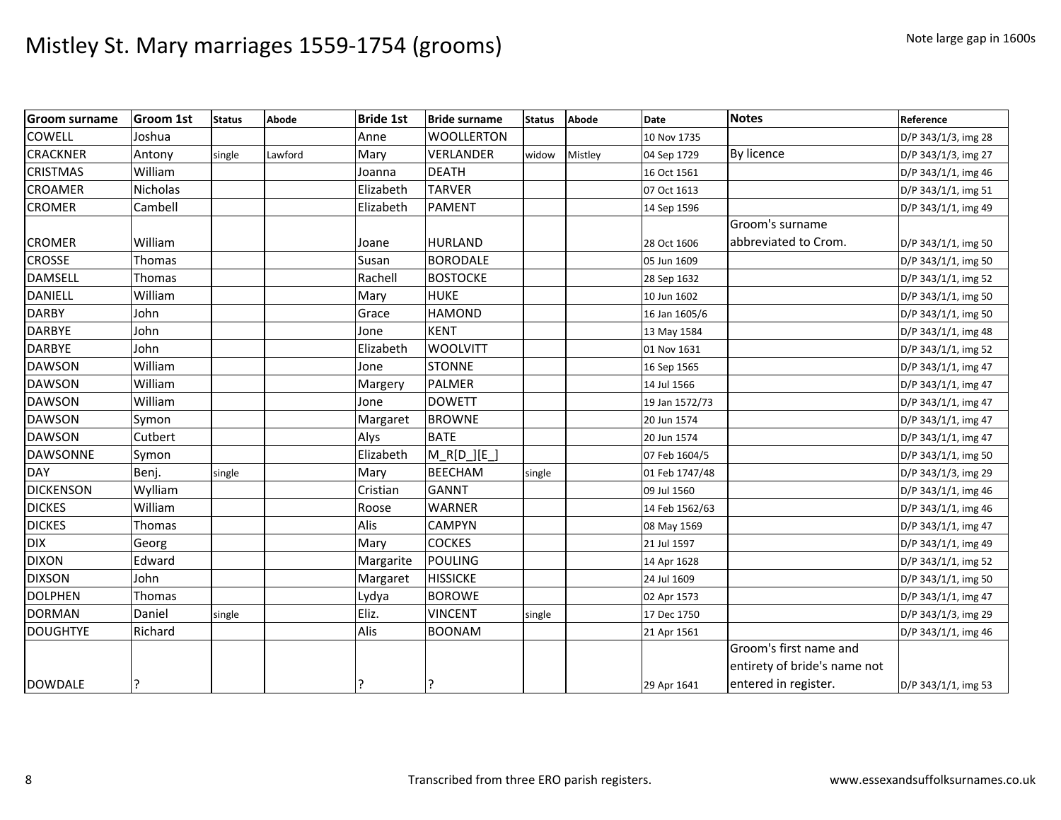| <b>Groom surname</b> | <b>Groom 1st</b> | <b>Status</b> | Abode   | <b>Bride 1st</b> | <b>Bride surname</b> | <b>Status</b> | <b>Abode</b> | <b>Date</b>    | <b>Notes</b>                 | Reference           |
|----------------------|------------------|---------------|---------|------------------|----------------------|---------------|--------------|----------------|------------------------------|---------------------|
| <b>COWELL</b>        | Joshua           |               |         | Anne             | <b>WOOLLERTON</b>    |               |              | 10 Nov 1735    |                              | D/P 343/1/3, img 28 |
| <b>CRACKNER</b>      | Antony           | single        | Lawford | Mary             | VERLANDER            | widow         | Mistley      | 04 Sep 1729    | By licence                   | D/P 343/1/3, img 27 |
| <b>CRISTMAS</b>      | William          |               |         | Joanna           | <b>DEATH</b>         |               |              | 16 Oct 1561    |                              | D/P 343/1/1, img 46 |
| <b>CROAMER</b>       | Nicholas         |               |         | Elizabeth        | <b>TARVER</b>        |               |              | 07 Oct 1613    |                              | D/P 343/1/1, img 51 |
| <b>CROMER</b>        | Cambell          |               |         | Elizabeth        | <b>PAMENT</b>        |               |              | 14 Sep 1596    |                              | D/P 343/1/1, img 49 |
|                      |                  |               |         |                  |                      |               |              |                | Groom's surname              |                     |
| <b>CROMER</b>        | William          |               |         | Joane            | <b>HURLAND</b>       |               |              | 28 Oct 1606    | abbreviated to Crom.         | D/P 343/1/1, img 50 |
| <b>CROSSE</b>        | Thomas           |               |         | Susan            | <b>BORODALE</b>      |               |              | 05 Jun 1609    |                              | D/P 343/1/1, img 50 |
| <b>DAMSELL</b>       | Thomas           |               |         | Rachell          | <b>BOSTOCKE</b>      |               |              | 28 Sep 1632    |                              | D/P 343/1/1, img 52 |
| <b>DANIELL</b>       | William          |               |         | Mary             | <b>HUKE</b>          |               |              | 10 Jun 1602    |                              | D/P 343/1/1, img 50 |
| <b>DARBY</b>         | John             |               |         | Grace            | <b>HAMOND</b>        |               |              | 16 Jan 1605/6  |                              | D/P 343/1/1, img 50 |
| <b>DARBYE</b>        | John             |               |         | Jone             | <b>KENT</b>          |               |              | 13 May 1584    |                              | D/P 343/1/1, img 48 |
| <b>DARBYE</b>        | John             |               |         | Elizabeth        | <b>WOOLVITT</b>      |               |              | 01 Nov 1631    |                              | D/P 343/1/1, img 52 |
| <b>DAWSON</b>        | William          |               |         | Jone             | <b>STONNE</b>        |               |              | 16 Sep 1565    |                              | D/P 343/1/1, img 47 |
| <b>DAWSON</b>        | William          |               |         | Margery          | <b>PALMER</b>        |               |              | 14 Jul 1566    |                              | D/P 343/1/1, img 47 |
| <b>DAWSON</b>        | William          |               |         | Jone             | <b>DOWETT</b>        |               |              | 19 Jan 1572/73 |                              | D/P 343/1/1, img 47 |
| <b>DAWSON</b>        | Symon            |               |         | Margaret         | <b>BROWNE</b>        |               |              | 20 Jun 1574    |                              | D/P 343/1/1, img 47 |
| <b>DAWSON</b>        | Cutbert          |               |         | Alys             | <b>BATE</b>          |               |              | 20 Jun 1574    |                              | D/P 343/1/1, img 47 |
| <b>DAWSONNE</b>      | Symon            |               |         | Elizabeth        | $M$ R[D ][E ]        |               |              | 07 Feb 1604/5  |                              | D/P 343/1/1, img 50 |
| <b>DAY</b>           | Benj.            | single        |         | Mary             | <b>BEECHAM</b>       | single        |              | 01 Feb 1747/48 |                              | D/P 343/1/3, img 29 |
| <b>DICKENSON</b>     | Wylliam          |               |         | Cristian         | <b>GANNT</b>         |               |              | 09 Jul 1560    |                              | D/P 343/1/1, img 46 |
| <b>DICKES</b>        | William          |               |         | Roose            | <b>WARNER</b>        |               |              | 14 Feb 1562/63 |                              | D/P 343/1/1, img 46 |
| <b>DICKES</b>        | Thomas           |               |         | Alis             | <b>CAMPYN</b>        |               |              | 08 May 1569    |                              | D/P 343/1/1, img 47 |
| <b>DIX</b>           | Georg            |               |         | Mary             | <b>COCKES</b>        |               |              | 21 Jul 1597    |                              | D/P 343/1/1, img 49 |
| <b>DIXON</b>         | Edward           |               |         | Margarite        | <b>POULING</b>       |               |              | 14 Apr 1628    |                              | D/P 343/1/1, img 52 |
| <b>DIXSON</b>        | John             |               |         | Margaret         | <b>HISSICKE</b>      |               |              | 24 Jul 1609    |                              | D/P 343/1/1, img 50 |
| <b>DOLPHEN</b>       | Thomas           |               |         | Lydya            | <b>BOROWE</b>        |               |              | 02 Apr 1573    |                              | D/P 343/1/1, img 47 |
| <b>DORMAN</b>        | Daniel           | single        |         | Eliz.            | <b>VINCENT</b>       | single        |              | 17 Dec 1750    |                              | D/P 343/1/3, img 29 |
| <b>DOUGHTYE</b>      | Richard          |               |         | Alis             | <b>BOONAM</b>        |               |              | 21 Apr 1561    |                              | D/P 343/1/1, img 46 |
|                      |                  |               |         |                  |                      |               |              |                | Groom's first name and       |                     |
|                      |                  |               |         |                  |                      |               |              |                | entirety of bride's name not |                     |
| <b>DOWDALE</b>       |                  |               |         |                  | l?                   |               |              | 29 Apr 1641    | entered in register.         | D/P 343/1/1, img 53 |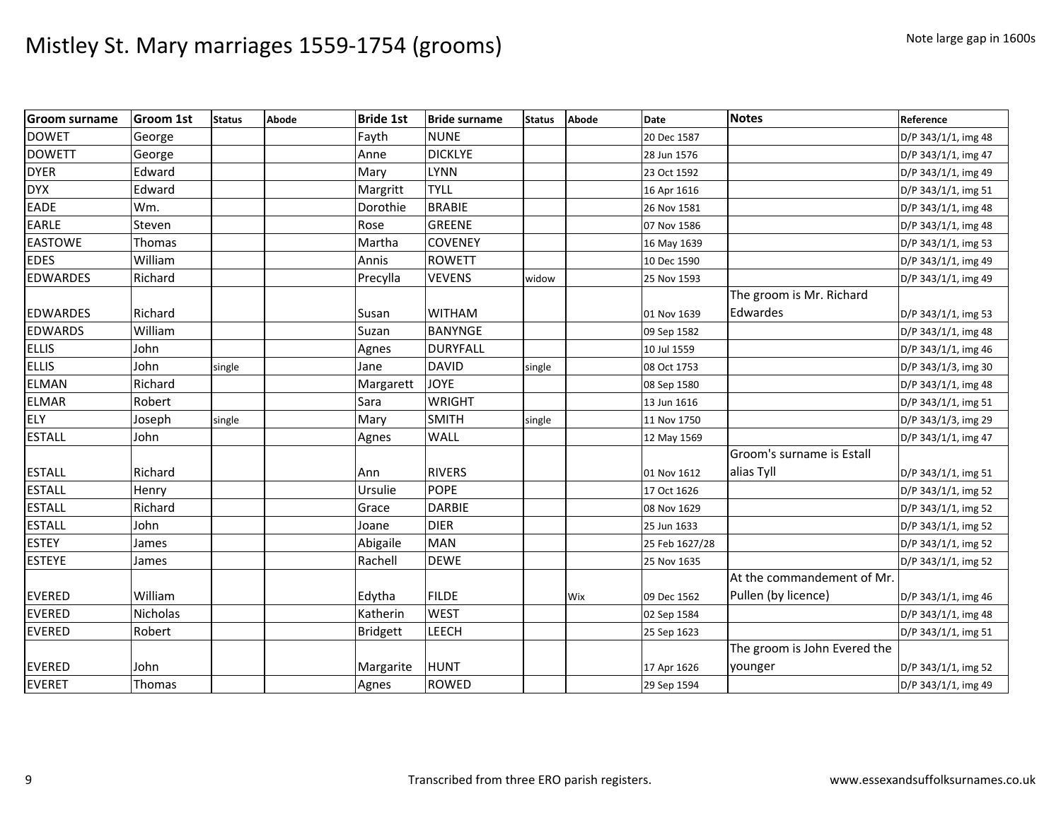| <b>Groom surname</b> | <b>Groom 1st</b> | <b>Status</b> | Abode | <b>Bride 1st</b> | <b>Bride surname</b> | <b>Status</b> | Abode | Date           | <b>Notes</b>                 | Reference           |
|----------------------|------------------|---------------|-------|------------------|----------------------|---------------|-------|----------------|------------------------------|---------------------|
| <b>DOWET</b>         | George           |               |       | Fayth            | <b>NUNE</b>          |               |       | 20 Dec 1587    |                              | D/P 343/1/1, img 48 |
| <b>DOWETT</b>        | George           |               |       | Anne             | <b>DICKLYE</b>       |               |       | 28 Jun 1576    |                              | D/P 343/1/1, img 47 |
| <b>DYER</b>          | Edward           |               |       | Mary             | <b>LYNN</b>          |               |       | 23 Oct 1592    |                              | D/P 343/1/1, img 49 |
| <b>DYX</b>           | Edward           |               |       | Margritt         | <b>TYLL</b>          |               |       | 16 Apr 1616    |                              | D/P 343/1/1, img 51 |
| <b>EADE</b>          | Wm.              |               |       | Dorothie         | <b>BRABIE</b>        |               |       | 26 Nov 1581    |                              | D/P 343/1/1, img 48 |
| <b>EARLE</b>         | Steven           |               |       | Rose             | <b>GREENE</b>        |               |       | 07 Nov 1586    |                              | D/P 343/1/1, img 48 |
| <b>EASTOWE</b>       | Thomas           |               |       | Martha           | <b>COVENEY</b>       |               |       | 16 May 1639    |                              | D/P 343/1/1, img 53 |
| <b>EDES</b>          | William          |               |       | Annis            | <b>ROWETT</b>        |               |       | 10 Dec 1590    |                              | D/P 343/1/1, img 49 |
| <b>EDWARDES</b>      | Richard          |               |       | Precylla         | <b>VEVENS</b>        | widow         |       | 25 Nov 1593    |                              | D/P 343/1/1, img 49 |
|                      |                  |               |       |                  |                      |               |       |                | The groom is Mr. Richard     |                     |
| <b>EDWARDES</b>      | Richard          |               |       | Susan            | <b>WITHAM</b>        |               |       | 01 Nov 1639    | Edwardes                     | D/P 343/1/1, img 53 |
| <b>EDWARDS</b>       | William          |               |       | Suzan            | <b>BANYNGE</b>       |               |       | 09 Sep 1582    |                              | D/P 343/1/1, img 48 |
| <b>ELLIS</b>         | John             |               |       | Agnes            | <b>DURYFALL</b>      |               |       | 10 Jul 1559    |                              | D/P 343/1/1, img 46 |
| <b>ELLIS</b>         | John             | single        |       | Jane             | <b>DAVID</b>         | single        |       | 08 Oct 1753    |                              | D/P 343/1/3, img 30 |
| <b>ELMAN</b>         | Richard          |               |       | Margarett        | <b>JOYE</b>          |               |       | 08 Sep 1580    |                              | D/P 343/1/1, img 48 |
| <b>ELMAR</b>         | Robert           |               |       | Sara             | <b>WRIGHT</b>        |               |       | 13 Jun 1616    |                              | D/P 343/1/1, img 51 |
| <b>ELY</b>           | Joseph           | single        |       | Mary             | <b>SMITH</b>         | single        |       | 11 Nov 1750    |                              | D/P 343/1/3, img 29 |
| <b>ESTALL</b>        | John             |               |       | Agnes            | <b>WALL</b>          |               |       | 12 May 1569    |                              | D/P 343/1/1, img 47 |
|                      |                  |               |       |                  |                      |               |       |                | Groom's surname is Estall    |                     |
| <b>ESTALL</b>        | Richard          |               |       | Ann              | <b>RIVERS</b>        |               |       | 01 Nov 1612    | alias Tyll                   | D/P 343/1/1, img 51 |
| <b>ESTALL</b>        | Henry            |               |       | Ursulie          | <b>POPE</b>          |               |       | 17 Oct 1626    |                              | D/P 343/1/1, img 52 |
| <b>ESTALL</b>        | Richard          |               |       | Grace            | <b>DARBIE</b>        |               |       | 08 Nov 1629    |                              | D/P 343/1/1, img 52 |
| <b>ESTALL</b>        | John             |               |       | Joane            | <b>DIER</b>          |               |       | 25 Jun 1633    |                              | D/P 343/1/1, img 52 |
| <b>ESTEY</b>         | James            |               |       | Abigaile         | <b>MAN</b>           |               |       | 25 Feb 1627/28 |                              | D/P 343/1/1, img 52 |
| <b>ESTEYE</b>        | James            |               |       | Rachell          | <b>DEWE</b>          |               |       | 25 Nov 1635    |                              | D/P 343/1/1, img 52 |
|                      |                  |               |       |                  |                      |               |       |                | At the commandement of Mr.   |                     |
| <b>EVERED</b>        | William          |               |       | Edytha           | <b>FILDE</b>         |               | Wix   | 09 Dec 1562    | Pullen (by licence)          | D/P 343/1/1, img 46 |
| <b>EVERED</b>        | Nicholas         |               |       | Katherin         | <b>WEST</b>          |               |       | 02 Sep 1584    |                              | D/P 343/1/1, img 48 |
| <b>EVERED</b>        | Robert           |               |       | <b>Bridgett</b>  | <b>LEECH</b>         |               |       | 25 Sep 1623    |                              | D/P 343/1/1, img 51 |
|                      |                  |               |       |                  |                      |               |       |                | The groom is John Evered the |                     |
| <b>EVERED</b>        | John             |               |       | Margarite        | <b>HUNT</b>          |               |       | 17 Apr 1626    | younger                      | D/P 343/1/1, img 52 |
| <b>EVERET</b>        | Thomas           |               |       | Agnes            | <b>ROWED</b>         |               |       | 29 Sep 1594    |                              | D/P 343/1/1, img 49 |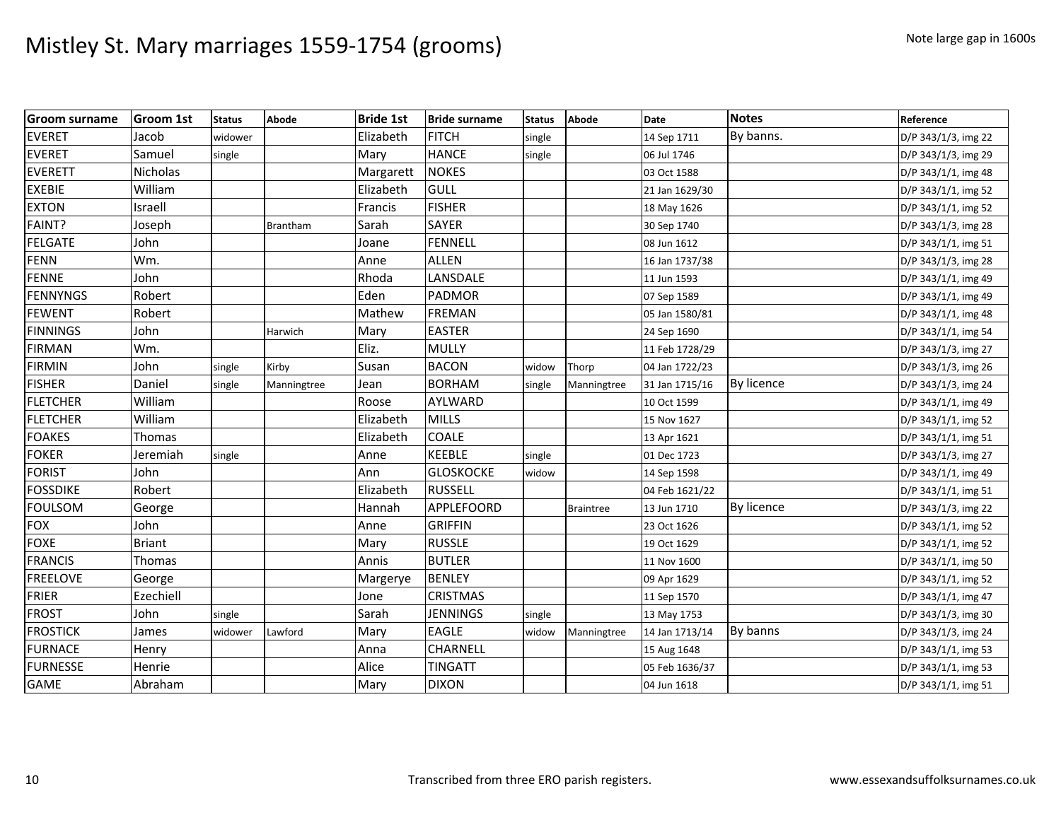| <b>Groom surname</b> | <b>Groom 1st</b> | <b>Status</b> | Abode           | <b>Bride 1st</b> | <b>Bride surname</b> | <b>Status</b> | <b>Abode</b>     | Date           | <b>Notes</b> | Reference           |
|----------------------|------------------|---------------|-----------------|------------------|----------------------|---------------|------------------|----------------|--------------|---------------------|
| <b>EVERET</b>        | Jacob            | widower       |                 | Elizabeth        | <b>FITCH</b>         | single        |                  | 14 Sep 1711    | By banns.    | D/P 343/1/3, img 22 |
| <b>EVERET</b>        | Samuel           | single        |                 | Mary             | <b>HANCE</b>         | single        |                  | 06 Jul 1746    |              | D/P 343/1/3, img 29 |
| <b>EVERETT</b>       | Nicholas         |               |                 | Margarett        | <b>NOKES</b>         |               |                  | 03 Oct 1588    |              | D/P 343/1/1, img 48 |
| <b>EXEBIE</b>        | William          |               |                 | Elizabeth        | <b>GULL</b>          |               |                  | 21 Jan 1629/30 |              | D/P 343/1/1, img 52 |
| <b>EXTON</b>         | Israell          |               |                 | Francis          | <b>FISHER</b>        |               |                  | 18 May 1626    |              | D/P 343/1/1, img 52 |
| FAINT?               | Joseph           |               | <b>Brantham</b> | Sarah            | <b>SAYER</b>         |               |                  | 30 Sep 1740    |              | D/P 343/1/3, img 28 |
| <b>FELGATE</b>       | John             |               |                 | Joane            | <b>FENNELL</b>       |               |                  | 08 Jun 1612    |              | D/P 343/1/1, img 51 |
| <b>FENN</b>          | Wm.              |               |                 | Anne             | <b>ALLEN</b>         |               |                  | 16 Jan 1737/38 |              | D/P 343/1/3, img 28 |
| <b>FENNE</b>         | John             |               |                 | Rhoda            | LANSDALE             |               |                  | 11 Jun 1593    |              | D/P 343/1/1, img 49 |
| FENNYNGS             | Robert           |               |                 | Eden             | <b>PADMOR</b>        |               |                  | 07 Sep 1589    |              | D/P 343/1/1, img 49 |
| <b>FEWENT</b>        | Robert           |               |                 | Mathew           | <b>FREMAN</b>        |               |                  | 05 Jan 1580/81 |              | D/P 343/1/1, img 48 |
| <b>FINNINGS</b>      | John             |               | Harwich         | Mary             | <b>EASTER</b>        |               |                  | 24 Sep 1690    |              | D/P 343/1/1, img 54 |
| <b>FIRMAN</b>        | Wm.              |               |                 | Eliz.            | <b>MULLY</b>         |               |                  | 11 Feb 1728/29 |              | D/P 343/1/3, img 27 |
| <b>FIRMIN</b>        | John             | single        | Kirby           | Susan            | <b>BACON</b>         | widow         | Thorp            | 04 Jan 1722/23 |              | D/P 343/1/3, img 26 |
| <b>FISHER</b>        | Daniel           | single        | Manningtree     | Jean             | <b>BORHAM</b>        | single        | Manningtree      | 31 Jan 1715/16 | By licence   | D/P 343/1/3, img 24 |
| <b>FLETCHER</b>      | William          |               |                 | Roose            | AYLWARD              |               |                  | 10 Oct 1599    |              | D/P 343/1/1, img 49 |
| <b>FLETCHER</b>      | William          |               |                 | Elizabeth        | <b>MILLS</b>         |               |                  | 15 Nov 1627    |              | D/P 343/1/1, img 52 |
| <b>FOAKES</b>        | Thomas           |               |                 | Elizabeth        | COALE                |               |                  | 13 Apr 1621    |              | D/P 343/1/1, img 51 |
| <b>FOKER</b>         | Jeremiah         | single        |                 | Anne             | <b>KEEBLE</b>        | single        |                  | 01 Dec 1723    |              | D/P 343/1/3, img 27 |
| <b>FORIST</b>        | John             |               |                 | Ann              | <b>GLOSKOCKE</b>     | widow         |                  | 14 Sep 1598    |              | D/P 343/1/1, img 49 |
| <b>FOSSDIKE</b>      | Robert           |               |                 | Elizabeth        | <b>RUSSELL</b>       |               |                  | 04 Feb 1621/22 |              | D/P 343/1/1, img 51 |
| <b>FOULSOM</b>       | George           |               |                 | Hannah           | APPLEFOORD           |               | <b>Braintree</b> | 13 Jun 1710    | By licence   | D/P 343/1/3, img 22 |
| <b>FOX</b>           | John             |               |                 | Anne             | <b>GRIFFIN</b>       |               |                  | 23 Oct 1626    |              | D/P 343/1/1, img 52 |
| <b>FOXE</b>          | <b>Briant</b>    |               |                 | Mary             | <b>RUSSLE</b>        |               |                  | 19 Oct 1629    |              | D/P 343/1/1, img 52 |
| <b>FRANCIS</b>       | Thomas           |               |                 | Annis            | <b>BUTLER</b>        |               |                  | 11 Nov 1600    |              | D/P 343/1/1, img 50 |
| <b>FREELOVE</b>      | George           |               |                 | Margerye         | <b>BENLEY</b>        |               |                  | 09 Apr 1629    |              | D/P 343/1/1, img 52 |
| <b>FRIER</b>         | Ezechiell        |               |                 | Jone             | <b>CRISTMAS</b>      |               |                  | 11 Sep 1570    |              | D/P 343/1/1, img 47 |
| <b>FROST</b>         | John             | single        |                 | Sarah            | <b>JENNINGS</b>      | single        |                  | 13 May 1753    |              | D/P 343/1/3, img 30 |
| <b>FROSTICK</b>      | James            | widower       | Lawford         | Mary             | <b>EAGLE</b>         | widow         | Manningtree      | 14 Jan 1713/14 | By banns     | D/P 343/1/3, img 24 |
| <b>FURNACE</b>       | Henry            |               |                 | Anna             | CHARNELL             |               |                  | 15 Aug 1648    |              | D/P 343/1/1, img 53 |
| <b>FURNESSE</b>      | Henrie           |               |                 | Alice            | <b>TINGATT</b>       |               |                  | 05 Feb 1636/37 |              | D/P 343/1/1, img 53 |
| <b>GAME</b>          | Abraham          |               |                 | Mary             | <b>DIXON</b>         |               |                  | 04 Jun 1618    |              | D/P 343/1/1, img 51 |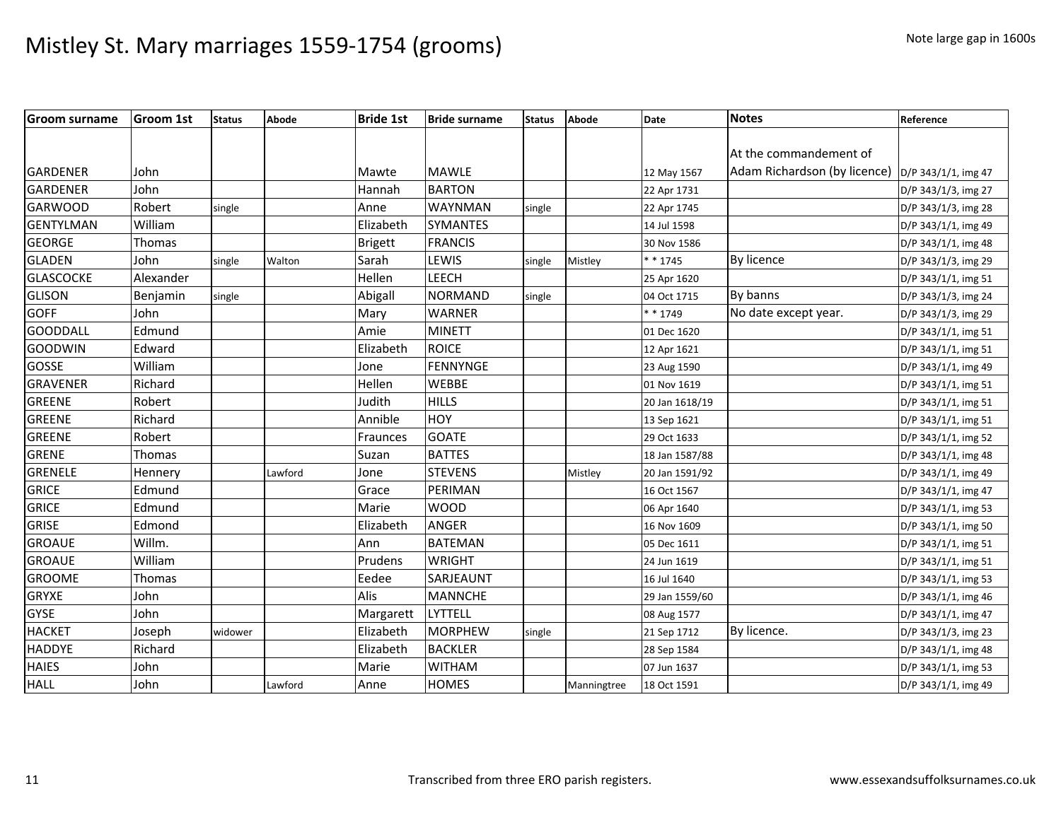| <b>Groom surname</b> | <b>Groom 1st</b> | Status  | Abode   | <b>Bride 1st</b> | <b>Bride surname</b> | <b>Status</b> | <b>Abode</b> | Date           | <b>Notes</b>                 | Reference           |
|----------------------|------------------|---------|---------|------------------|----------------------|---------------|--------------|----------------|------------------------------|---------------------|
|                      |                  |         |         |                  |                      |               |              |                |                              |                     |
|                      |                  |         |         |                  |                      |               |              |                | At the commandement of       |                     |
| GARDENER             | John             |         |         | Mawte            | <b>MAWLE</b>         |               |              | 12 May 1567    | Adam Richardson (by licence) | D/P 343/1/1, img 47 |
| <b>GARDENER</b>      | John             |         |         | Hannah           | <b>BARTON</b>        |               |              | 22 Apr 1731    |                              | D/P 343/1/3, img 27 |
| <b>GARWOOD</b>       | Robert           | single  |         | Anne             | WAYNMAN              | single        |              | 22 Apr 1745    |                              | D/P 343/1/3, img 28 |
| <b>GENTYLMAN</b>     | William          |         |         | Elizabeth        | <b>SYMANTES</b>      |               |              | 14 Jul 1598    |                              | D/P 343/1/1, img 49 |
| <b>GEORGE</b>        | Thomas           |         |         | <b>Brigett</b>   | <b>FRANCIS</b>       |               |              | 30 Nov 1586    |                              | D/P 343/1/1, img 48 |
| <b>GLADEN</b>        | John             | single  | Walton  | Sarah            | LEWIS                | single        | Mistley      | * * 1745       | By licence                   | D/P 343/1/3, img 29 |
| <b>GLASCOCKE</b>     | Alexander        |         |         | Hellen           | <b>LEECH</b>         |               |              | 25 Apr 1620    |                              | D/P 343/1/1, img 51 |
| <b>GLISON</b>        | Benjamin         | single  |         | Abigall          | <b>NORMAND</b>       | single        |              | 04 Oct 1715    | By banns                     | D/P 343/1/3, img 24 |
| <b>GOFF</b>          | John             |         |         | Mary             | <b>WARNER</b>        |               |              | * * 1749       | No date except year.         | D/P 343/1/3, img 29 |
| <b>GOODDALL</b>      | Edmund           |         |         | Amie             | <b>MINETT</b>        |               |              | 01 Dec 1620    |                              | D/P 343/1/1, img 51 |
| <b>GOODWIN</b>       | Edward           |         |         | Elizabeth        | <b>ROICE</b>         |               |              | 12 Apr 1621    |                              | D/P 343/1/1, img 51 |
| GOSSE                | William          |         |         | Jone             | <b>FENNYNGE</b>      |               |              | 23 Aug 1590    |                              | D/P 343/1/1, img 49 |
| <b>GRAVENER</b>      | Richard          |         |         | Hellen           | <b>WEBBE</b>         |               |              | 01 Nov 1619    |                              | D/P 343/1/1, img 51 |
| <b>GREENE</b>        | Robert           |         |         | Judith           | <b>HILLS</b>         |               |              | 20 Jan 1618/19 |                              | D/P 343/1/1, img 51 |
| <b>GREENE</b>        | Richard          |         |         | Annible          | <b>HOY</b>           |               |              | 13 Sep 1621    |                              | D/P 343/1/1, img 51 |
| <b>GREENE</b>        | Robert           |         |         | Fraunces         | <b>GOATE</b>         |               |              | 29 Oct 1633    |                              | D/P 343/1/1, img 52 |
| <b>GRENE</b>         | Thomas           |         |         | Suzan            | <b>BATTES</b>        |               |              | 18 Jan 1587/88 |                              | D/P 343/1/1, img 48 |
| <b>GRENELE</b>       | Hennery          |         | Lawford | Jone             | <b>STEVENS</b>       |               | Mistley      | 20 Jan 1591/92 |                              | D/P 343/1/1, img 49 |
| <b>GRICE</b>         | Edmund           |         |         | Grace            | PERIMAN              |               |              | 16 Oct 1567    |                              | D/P 343/1/1, img 47 |
| <b>GRICE</b>         | Edmund           |         |         | Marie            | <b>WOOD</b>          |               |              | 06 Apr 1640    |                              | D/P 343/1/1, img 53 |
| <b>GRISE</b>         | Edmond           |         |         | Elizabeth        | <b>ANGER</b>         |               |              | 16 Nov 1609    |                              | D/P 343/1/1, img 50 |
| <b>GROAUE</b>        | Willm.           |         |         | Ann              | <b>BATEMAN</b>       |               |              | 05 Dec 1611    |                              | D/P 343/1/1, img 51 |
| <b>GROAUE</b>        | William          |         |         | Prudens          | <b>WRIGHT</b>        |               |              | 24 Jun 1619    |                              | D/P 343/1/1, img 51 |
| <b>GROOME</b>        | Thomas           |         |         | Eedee            | SARJEAUNT            |               |              | 16 Jul 1640    |                              | D/P 343/1/1, img 53 |
| <b>GRYXE</b>         | John             |         |         | Alis             | <b>MANNCHE</b>       |               |              | 29 Jan 1559/60 |                              | D/P 343/1/1, img 46 |
| <b>GYSE</b>          | John             |         |         | Margarett        | <b>LYTTELL</b>       |               |              | 08 Aug 1577    |                              | D/P 343/1/1, img 47 |
| <b>HACKET</b>        | Joseph           | widower |         | Elizabeth        | <b>MORPHEW</b>       | single        |              | 21 Sep 1712    | By licence.                  | D/P 343/1/3, img 23 |
| <b>HADDYE</b>        | Richard          |         |         | Elizabeth        | <b>BACKLER</b>       |               |              | 28 Sep 1584    |                              | D/P 343/1/1, img 48 |
| <b>HAIES</b>         | John             |         |         | Marie            | <b>WITHAM</b>        |               |              | 07 Jun 1637    |                              | D/P 343/1/1, img 53 |
| <b>HALL</b>          | John             |         | Lawford | Anne             | <b>HOMES</b>         |               | Manningtree  | 18 Oct 1591    |                              | D/P 343/1/1, img 49 |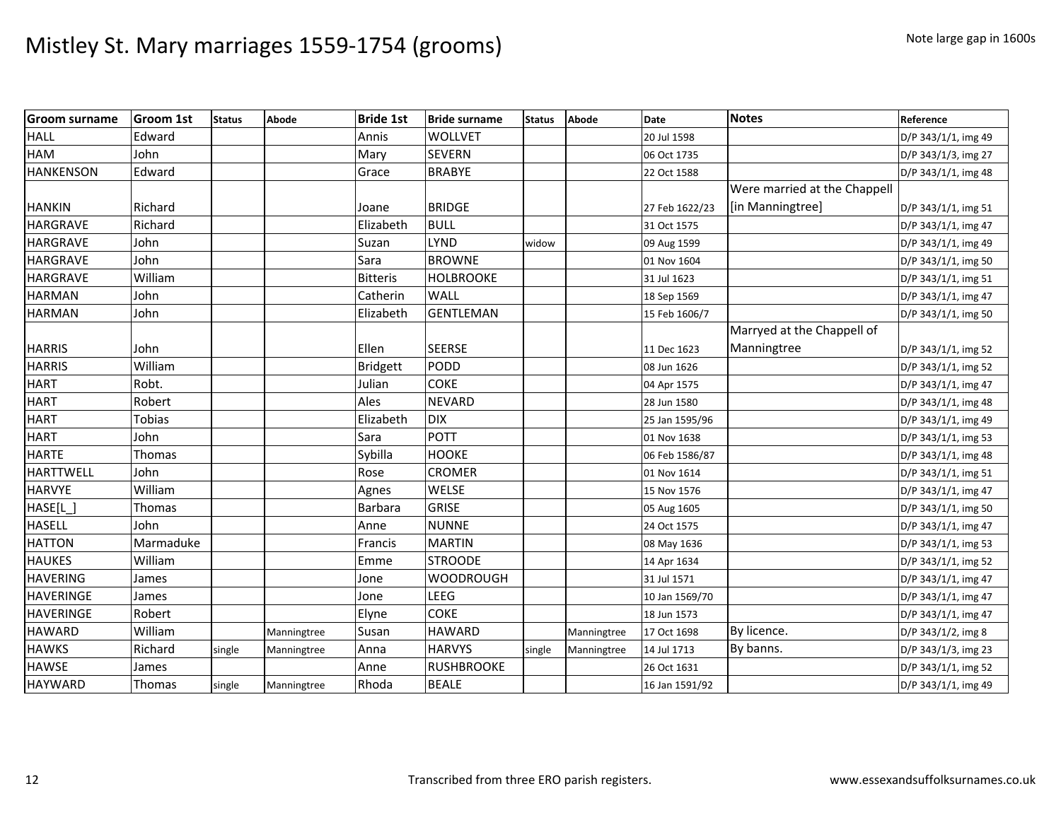| <b>Groom surname</b> | <b>Groom 1st</b> | <b>Status</b> | Abode       | <b>Bride 1st</b> | <b>Bride surname</b> | <b>Status</b> | <b>Abode</b> | <b>Date</b>    | <b>Notes</b>                 | Reference           |
|----------------------|------------------|---------------|-------------|------------------|----------------------|---------------|--------------|----------------|------------------------------|---------------------|
| <b>HALL</b>          | Edward           |               |             | Annis            | <b>WOLLVET</b>       |               |              | 20 Jul 1598    |                              | D/P 343/1/1, img 49 |
| <b>HAM</b>           | John             |               |             | Mary             | <b>SEVERN</b>        |               |              | 06 Oct 1735    |                              | D/P 343/1/3, img 27 |
| <b>HANKENSON</b>     | Edward           |               |             | Grace            | <b>BRABYE</b>        |               |              | 22 Oct 1588    |                              | D/P 343/1/1, img 48 |
|                      |                  |               |             |                  |                      |               |              |                | Were married at the Chappell |                     |
| <b>HANKIN</b>        | Richard          |               |             | Joane            | <b>BRIDGE</b>        |               |              | 27 Feb 1622/23 | [in Manningtree]             | D/P 343/1/1, img 51 |
| <b>HARGRAVE</b>      | Richard          |               |             | Elizabeth        | <b>BULL</b>          |               |              | 31 Oct 1575    |                              | D/P 343/1/1, img 47 |
| <b>HARGRAVE</b>      | John             |               |             | Suzan            | LYND                 | widow         |              | 09 Aug 1599    |                              | D/P 343/1/1, img 49 |
| <b>HARGRAVE</b>      | John             |               |             | Sara             | <b>BROWNE</b>        |               |              | 01 Nov 1604    |                              | D/P 343/1/1, img 50 |
| <b>HARGRAVE</b>      | William          |               |             | <b>Bitteris</b>  | <b>HOLBROOKE</b>     |               |              | 31 Jul 1623    |                              | D/P 343/1/1, img 51 |
| <b>HARMAN</b>        | John             |               |             | Catherin         | WALL                 |               |              | 18 Sep 1569    |                              | D/P 343/1/1, img 47 |
| <b>HARMAN</b>        | John             |               |             | Elizabeth        | <b>GENTLEMAN</b>     |               |              | 15 Feb 1606/7  |                              | D/P 343/1/1, img 50 |
|                      |                  |               |             |                  |                      |               |              |                | Marryed at the Chappell of   |                     |
| <b>HARRIS</b>        | John             |               |             | Ellen            | <b>SEERSE</b>        |               |              | 11 Dec 1623    | Manningtree                  | D/P 343/1/1, img 52 |
| <b>HARRIS</b>        | William          |               |             | Bridgett         | PODD                 |               |              | 08 Jun 1626    |                              | D/P 343/1/1, img 52 |
| <b>HART</b>          | Robt.            |               |             | Julian           | <b>COKE</b>          |               |              | 04 Apr 1575    |                              | D/P 343/1/1, img 47 |
| <b>HART</b>          | Robert           |               |             | Ales             | <b>NEVARD</b>        |               |              | 28 Jun 1580    |                              | D/P 343/1/1, img 48 |
| <b>HART</b>          | Tobias           |               |             | Elizabeth        | <b>DIX</b>           |               |              | 25 Jan 1595/96 |                              | D/P 343/1/1, img 49 |
| <b>HART</b>          | John             |               |             | Sara             | POTT                 |               |              | 01 Nov 1638    |                              | D/P 343/1/1, img 53 |
| <b>HARTE</b>         | Thomas           |               |             | Sybilla          | <b>HOOKE</b>         |               |              | 06 Feb 1586/87 |                              | D/P 343/1/1, img 48 |
| HARTTWELL            | John             |               |             | Rose             | <b>CROMER</b>        |               |              | 01 Nov 1614    |                              | D/P 343/1/1, img 51 |
| <b>HARVYE</b>        | William          |               |             | Agnes            | <b>WELSE</b>         |               |              | 15 Nov 1576    |                              | D/P 343/1/1, img 47 |
| HASE[L]              | Thomas           |               |             | Barbara          | <b>GRISE</b>         |               |              | 05 Aug 1605    |                              | D/P 343/1/1, img 50 |
| <b>HASELL</b>        | John             |               |             | Anne             | <b>NUNNE</b>         |               |              | 24 Oct 1575    |                              | D/P 343/1/1, img 47 |
| <b>HATTON</b>        | Marmaduke        |               |             | Francis          | <b>MARTIN</b>        |               |              | 08 May 1636    |                              | D/P 343/1/1, img 53 |
| <b>HAUKES</b>        | William          |               |             | Emme             | <b>STROODE</b>       |               |              | 14 Apr 1634    |                              | D/P 343/1/1, img 52 |
| <b>HAVERING</b>      | James            |               |             | Jone             | <b>WOODROUGH</b>     |               |              | 31 Jul 1571    |                              | D/P 343/1/1, img 47 |
| <b>HAVERINGE</b>     | James            |               |             | Jone             | LEEG                 |               |              | 10 Jan 1569/70 |                              | D/P 343/1/1, img 47 |
| <b>HAVERINGE</b>     | Robert           |               |             | Elyne            | <b>COKE</b>          |               |              | 18 Jun 1573    |                              | D/P 343/1/1, img 47 |
| <b>HAWARD</b>        | William          |               | Manningtree | Susan            | <b>HAWARD</b>        |               | Manningtree  | 17 Oct 1698    | By licence.                  | D/P 343/1/2, img 8  |
| <b>HAWKS</b>         | Richard          | single        | Manningtree | Anna             | <b>HARVYS</b>        | single        | Manningtree  | 14 Jul 1713    | By banns.                    | D/P 343/1/3, img 23 |
| <b>HAWSE</b>         | James            |               |             | Anne             | <b>RUSHBROOKE</b>    |               |              | 26 Oct 1631    |                              | D/P 343/1/1, img 52 |
| <b>HAYWARD</b>       | Thomas           | single        | Manningtree | Rhoda            | <b>BEALE</b>         |               |              | 16 Jan 1591/92 |                              | D/P 343/1/1, img 49 |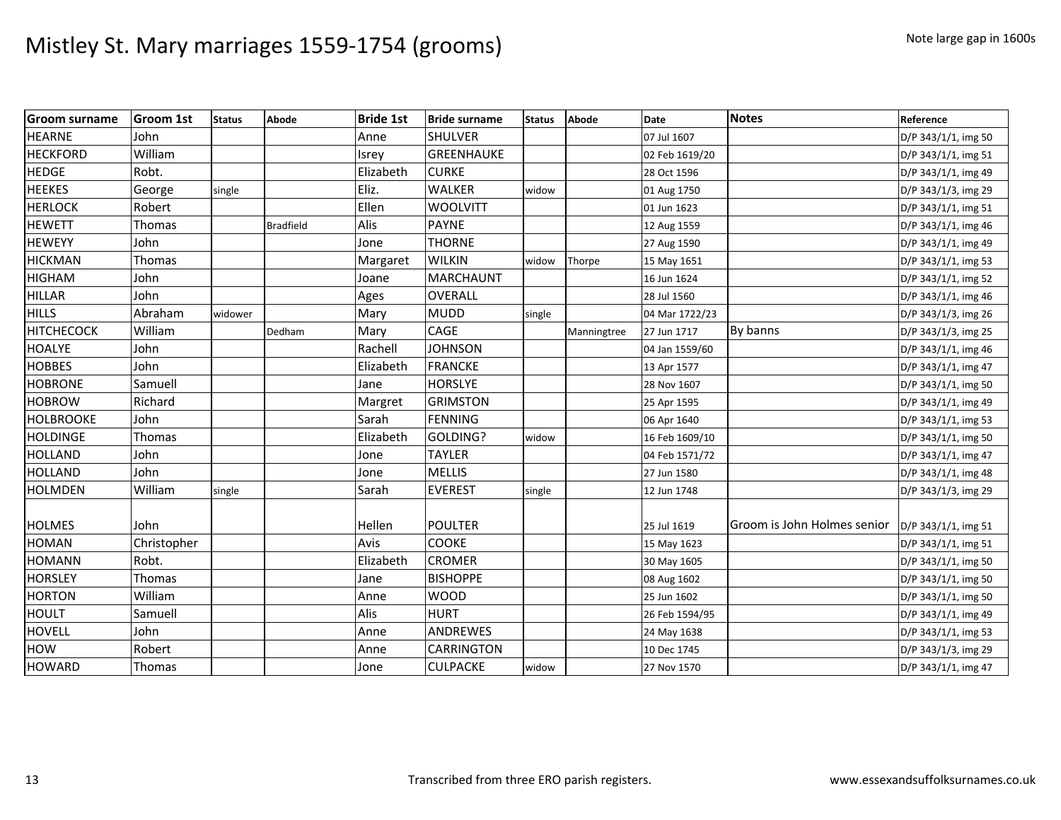| <b>Groom surname</b> | Groom 1st   | <b>Status</b> | Abode            | <b>Bride 1st</b> | <b>Bride surname</b> | <b>Status</b> | <b>Abode</b> | Date           | Notes                       | Reference           |
|----------------------|-------------|---------------|------------------|------------------|----------------------|---------------|--------------|----------------|-----------------------------|---------------------|
| <b>HEARNE</b>        | John        |               |                  | Anne             | <b>SHULVER</b>       |               |              | 07 Jul 1607    |                             | D/P 343/1/1, img 50 |
| <b>HECKFORD</b>      | William     |               |                  | Isrey            | <b>GREENHAUKE</b>    |               |              | 02 Feb 1619/20 |                             | D/P 343/1/1, img 51 |
| <b>HEDGE</b>         | Robt.       |               |                  | Elizabeth        | <b>CURKE</b>         |               |              | 28 Oct 1596    |                             | D/P 343/1/1, img 49 |
| <b>HEEKES</b>        | George      | single        |                  | Eliz.            | <b>WALKER</b>        | widow         |              | 01 Aug 1750    |                             | D/P 343/1/3, img 29 |
| <b>HERLOCK</b>       | Robert      |               |                  | Ellen            | <b>WOOLVITT</b>      |               |              | 01 Jun 1623    |                             | D/P 343/1/1, img 51 |
| <b>HEWETT</b>        | Thomas      |               | <b>Bradfield</b> | Alis             | <b>PAYNE</b>         |               |              | 12 Aug 1559    |                             | D/P 343/1/1, img 46 |
| <b>HEWEYY</b>        | John        |               |                  | Jone             | <b>THORNE</b>        |               |              | 27 Aug 1590    |                             | D/P 343/1/1, img 49 |
| <b>HICKMAN</b>       | Thomas      |               |                  | Margaret         | <b>WILKIN</b>        | widow         | Thorpe       | 15 May 1651    |                             | D/P 343/1/1, img 53 |
| <b>HIGHAM</b>        | John        |               |                  | Joane            | <b>MARCHAUNT</b>     |               |              | 16 Jun 1624    |                             | D/P 343/1/1, img 52 |
| <b>HILLAR</b>        | John        |               |                  | Ages             | <b>OVERALL</b>       |               |              | 28 Jul 1560    |                             | D/P 343/1/1, img 46 |
| <b>HILLS</b>         | Abraham     | widower       |                  | Mary             | <b>MUDD</b>          | single        |              | 04 Mar 1722/23 |                             | D/P 343/1/3, img 26 |
| <b>HITCHECOCK</b>    | William     |               | Dedham           | Mary             | CAGE                 |               | Manningtree  | 27 Jun 1717    | By banns                    | D/P 343/1/3, img 25 |
| <b>HOALYE</b>        | John        |               |                  | Rachell          | <b>JOHNSON</b>       |               |              | 04 Jan 1559/60 |                             | D/P 343/1/1, img 46 |
| <b>HOBBES</b>        | John        |               |                  | Elizabeth        | <b>FRANCKE</b>       |               |              | 13 Apr 1577    |                             | D/P 343/1/1, img 47 |
| <b>HOBRONE</b>       | Samuell     |               |                  | Jane             | <b>HORSLYE</b>       |               |              | 28 Nov 1607    |                             | D/P 343/1/1, img 50 |
| <b>HOBROW</b>        | Richard     |               |                  | Margret          | <b>GRIMSTON</b>      |               |              | 25 Apr 1595    |                             | D/P 343/1/1, img 49 |
| <b>HOLBROOKE</b>     | John        |               |                  | Sarah            | <b>FENNING</b>       |               |              | 06 Apr 1640    |                             | D/P 343/1/1, img 53 |
| <b>HOLDINGE</b>      | Thomas      |               |                  | Elizabeth        | GOLDING?             | widow         |              | 16 Feb 1609/10 |                             | D/P 343/1/1, img 50 |
| <b>HOLLAND</b>       | John        |               |                  | Jone             | <b>TAYLER</b>        |               |              | 04 Feb 1571/72 |                             | D/P 343/1/1, img 47 |
| <b>HOLLAND</b>       | John        |               |                  | Jone             | <b>MELLIS</b>        |               |              | 27 Jun 1580    |                             | D/P 343/1/1, img 48 |
| <b>HOLMDEN</b>       | William     | single        |                  | Sarah            | <b>EVEREST</b>       | single        |              | 12 Jun 1748    |                             | D/P 343/1/3, img 29 |
| <b>HOLMES</b>        | John        |               |                  | Hellen           | <b>POULTER</b>       |               |              | 25 Jul 1619    | Groom is John Holmes senior | D/P 343/1/1, img 51 |
| <b>HOMAN</b>         | Christopher |               |                  | Avis             | COOKE                |               |              | 15 May 1623    |                             | D/P 343/1/1, img 51 |
| <b>HOMANN</b>        | Robt.       |               |                  | Elizabeth        | <b>CROMER</b>        |               |              | 30 May 1605    |                             | D/P 343/1/1, img 50 |
| <b>HORSLEY</b>       | Thomas      |               |                  | Jane             | <b>BISHOPPE</b>      |               |              | 08 Aug 1602    |                             | D/P 343/1/1, img 50 |
| <b>HORTON</b>        | William     |               |                  | Anne             | <b>WOOD</b>          |               |              | 25 Jun 1602    |                             | D/P 343/1/1, img 50 |
| <b>HOULT</b>         | Samuell     |               |                  | Alis             | <b>HURT</b>          |               |              | 26 Feb 1594/95 |                             | D/P 343/1/1, img 49 |
| <b>HOVELL</b>        | John        |               |                  | Anne             | <b>ANDREWES</b>      |               |              | 24 May 1638    |                             | D/P 343/1/1, img 53 |
| <b>HOW</b>           | Robert      |               |                  | Anne             | <b>CARRINGTON</b>    |               |              | 10 Dec 1745    |                             | D/P 343/1/3, img 29 |
| <b>HOWARD</b>        | Thomas      |               |                  | Jone             | <b>CULPACKE</b>      | widow         |              | 27 Nov 1570    |                             | D/P 343/1/1, img 47 |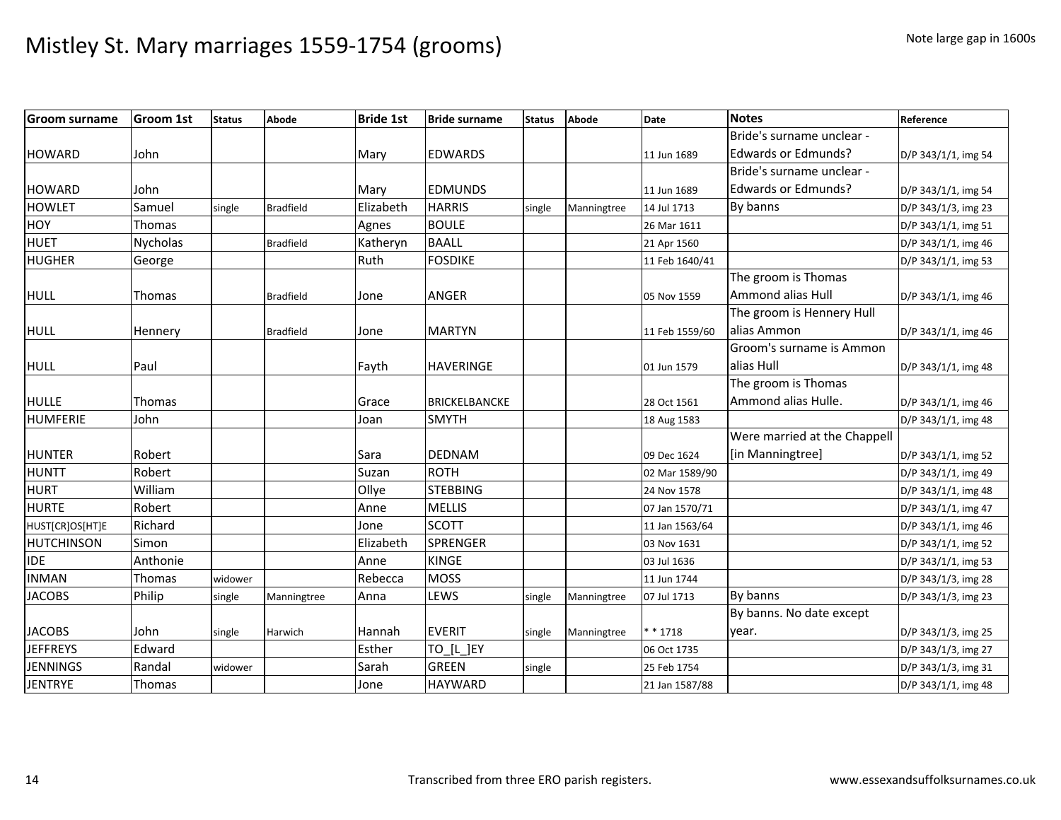| <b>Groom surname</b> | <b>Groom 1st</b> | <b>Status</b> | Abode            | <b>Bride 1st</b> | <b>Bride surname</b> | <b>Status</b> | <b>Abode</b> | <b>Date</b>    | <b>Notes</b>                 | Reference           |
|----------------------|------------------|---------------|------------------|------------------|----------------------|---------------|--------------|----------------|------------------------------|---------------------|
|                      |                  |               |                  |                  |                      |               |              |                | Bride's surname unclear -    |                     |
| <b>HOWARD</b>        | John             |               |                  | Mary             | <b>EDWARDS</b>       |               |              | 11 Jun 1689    | <b>Edwards or Edmunds?</b>   | D/P 343/1/1, img 54 |
|                      |                  |               |                  |                  |                      |               |              |                | Bride's surname unclear -    |                     |
| <b>HOWARD</b>        | John             |               |                  | Mary             | <b>EDMUNDS</b>       |               |              | 11 Jun 1689    | <b>Edwards or Edmunds?</b>   | D/P 343/1/1, img 54 |
| <b>HOWLET</b>        | Samuel           | single        | <b>Bradfield</b> | Elizabeth        | <b>HARRIS</b>        | single        | Manningtree  | 14 Jul 1713    | By banns                     | D/P 343/1/3, img 23 |
| <b>HOY</b>           | Thomas           |               |                  | Agnes            | <b>BOULE</b>         |               |              | 26 Mar 1611    |                              | D/P 343/1/1, img 51 |
| <b>HUET</b>          | <b>Nycholas</b>  |               | <b>Bradfield</b> | Katheryn         | <b>BAALL</b>         |               |              | 21 Apr 1560    |                              | D/P 343/1/1, img 46 |
| <b>HUGHER</b>        | George           |               |                  | Ruth             | <b>FOSDIKE</b>       |               |              | 11 Feb 1640/41 |                              | D/P 343/1/1, img 53 |
|                      |                  |               |                  |                  |                      |               |              |                | The groom is Thomas          |                     |
| <b>HULL</b>          | <b>Thomas</b>    |               | <b>Bradfield</b> | Jone             | <b>ANGER</b>         |               |              | 05 Nov 1559    | <b>Ammond alias Hull</b>     | D/P 343/1/1, img 46 |
|                      |                  |               |                  |                  |                      |               |              |                | The groom is Hennery Hull    |                     |
| <b>HULL</b>          | Hennery          |               | <b>Bradfield</b> | Jone             | <b>MARTYN</b>        |               |              | 11 Feb 1559/60 | alias Ammon                  | D/P 343/1/1, img 46 |
|                      |                  |               |                  |                  |                      |               |              |                | Groom's surname is Ammon     |                     |
| <b>HULL</b>          | Paul             |               |                  | Fayth            | <b>HAVERINGE</b>     |               |              | 01 Jun 1579    | alias Hull                   | D/P 343/1/1, img 48 |
|                      |                  |               |                  |                  |                      |               |              |                | The groom is Thomas          |                     |
| <b>HULLE</b>         | Thomas           |               |                  | Grace            | <b>BRICKELBANCKE</b> |               |              | 28 Oct 1561    | Ammond alias Hulle.          | D/P 343/1/1, img 46 |
| <b>HUMFERIE</b>      | John             |               |                  | Joan             | <b>SMYTH</b>         |               |              | 18 Aug 1583    |                              | D/P 343/1/1, img 48 |
|                      |                  |               |                  |                  |                      |               |              |                | Were married at the Chappell |                     |
| <b>HUNTER</b>        | Robert           |               |                  | Sara             | <b>DEDNAM</b>        |               |              | 09 Dec 1624    | [in Manningtree]             | D/P 343/1/1, img 52 |
| <b>HUNTT</b>         | Robert           |               |                  | Suzan            | ROTH                 |               |              | 02 Mar 1589/90 |                              | D/P 343/1/1, img 49 |
| <b>HURT</b>          | William          |               |                  | Ollye            | <b>STEBBING</b>      |               |              | 24 Nov 1578    |                              | D/P 343/1/1, img 48 |
| <b>HURTE</b>         | Robert           |               |                  | Anne             | <b>MELLIS</b>        |               |              | 07 Jan 1570/71 |                              | D/P 343/1/1, img 47 |
| HUST[CR]OS[HT]E      | Richard          |               |                  | Jone             | <b>SCOTT</b>         |               |              | 11 Jan 1563/64 |                              | D/P 343/1/1, img 46 |
| <b>HUTCHINSON</b>    | Simon            |               |                  | Elizabeth        | <b>SPRENGER</b>      |               |              | 03 Nov 1631    |                              | D/P 343/1/1, img 52 |
| <b>IDE</b>           | Anthonie         |               |                  | Anne             | <b>KINGE</b>         |               |              | 03 Jul 1636    |                              | D/P 343/1/1, img 53 |
| <b>INMAN</b>         | Thomas           | widower       |                  | Rebecca          | <b>MOSS</b>          |               |              | 11 Jun 1744    |                              | D/P 343/1/3, img 28 |
| <b>JACOBS</b>        | Philip           | single        | Manningtree      | Anna             | LEWS                 | single        | Manningtree  | 07 Jul 1713    | By banns                     | D/P 343/1/3, img 23 |
|                      |                  |               |                  |                  |                      |               |              |                | By banns. No date except     |                     |
| <b>JACOBS</b>        | John             | single        | Harwich          | Hannah           | <b>EVERIT</b>        | single        | Manningtree  | * * 1718       | year.                        | D/P 343/1/3, img 25 |
| <b>JEFFREYS</b>      | Edward           |               |                  | Esther           | TO [L ]EY            |               |              | 06 Oct 1735    |                              | D/P 343/1/3, img 27 |
| <b>JENNINGS</b>      | Randal           | widower       |                  | Sarah            | <b>GREEN</b>         | single        |              | 25 Feb 1754    |                              | D/P 343/1/3, img 31 |
| <b>JENTRYE</b>       | Thomas           |               |                  | Jone             | <b>HAYWARD</b>       |               |              | 21 Jan 1587/88 |                              | D/P 343/1/1, img 48 |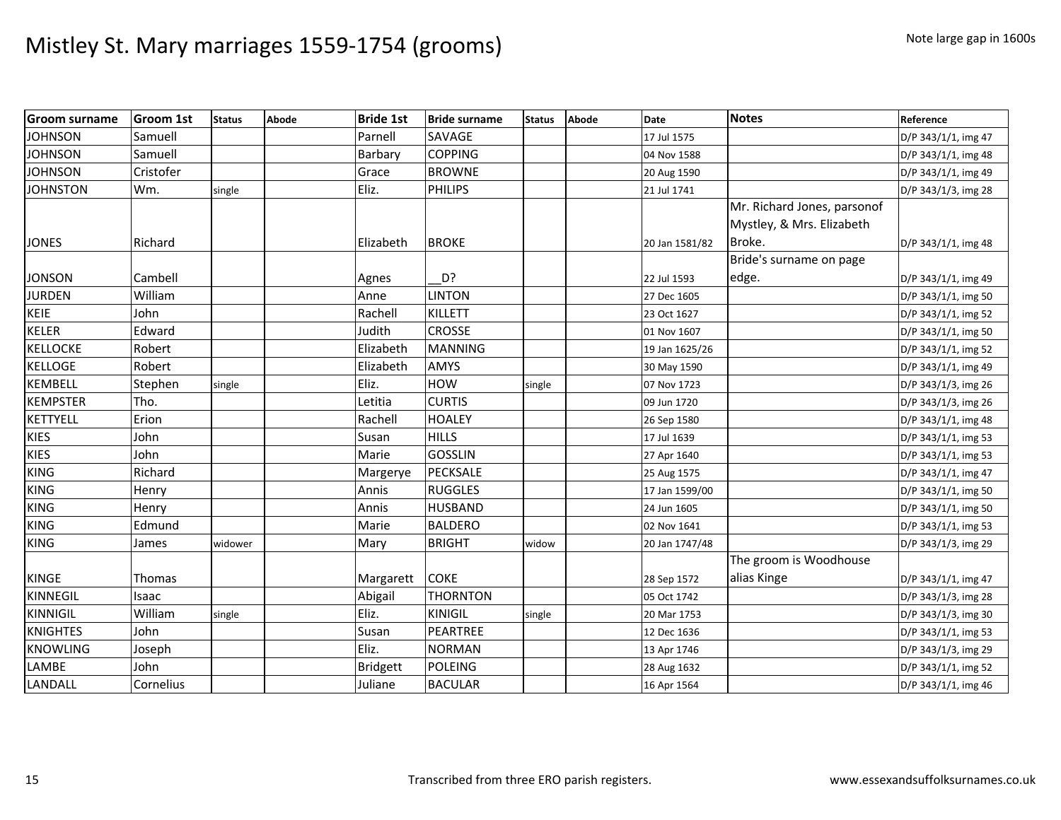| <b>Groom surname</b> | <b>Groom 1st</b> | <b>Status</b> | Abode | <b>Bride 1st</b> | <b>Bride surname</b> | <b>Status</b> | Abode | <b>Date</b>    | <b>Notes</b>                | Reference           |
|----------------------|------------------|---------------|-------|------------------|----------------------|---------------|-------|----------------|-----------------------------|---------------------|
| <b>JOHNSON</b>       | Samuell          |               |       | Parnell          | SAVAGE               |               |       | 17 Jul 1575    |                             | D/P 343/1/1, img 47 |
| <b>JOHNSON</b>       | Samuell          |               |       | Barbary          | <b>COPPING</b>       |               |       | 04 Nov 1588    |                             | D/P 343/1/1, img 48 |
| <b>JOHNSON</b>       | Cristofer        |               |       | Grace            | <b>BROWNE</b>        |               |       | 20 Aug 1590    |                             | D/P 343/1/1, img 49 |
| <b>JOHNSTON</b>      | Wm.              | single        |       | Eliz.            | <b>PHILIPS</b>       |               |       | 21 Jul 1741    |                             | D/P 343/1/3, img 28 |
|                      |                  |               |       |                  |                      |               |       |                | Mr. Richard Jones, parsonof |                     |
|                      |                  |               |       |                  |                      |               |       |                | Mystley, & Mrs. Elizabeth   |                     |
| <b>JONES</b>         | Richard          |               |       | Elizabeth        | <b>BROKE</b>         |               |       | 20 Jan 1581/82 | Broke.                      | D/P 343/1/1, img 48 |
|                      |                  |               |       |                  |                      |               |       |                | Bride's surname on page     |                     |
| <b>JONSON</b>        | Cambell          |               |       | Agnes            | D?                   |               |       | 22 Jul 1593    | edge.                       | D/P 343/1/1, img 49 |
| <b>JURDEN</b>        | William          |               |       | Anne             | <b>LINTON</b>        |               |       | 27 Dec 1605    |                             | D/P 343/1/1, img 50 |
| <b>KEIE</b>          | John             |               |       | Rachell          | <b>KILLETT</b>       |               |       | 23 Oct 1627    |                             | D/P 343/1/1, img 52 |
| <b>KELER</b>         | Edward           |               |       | Judith           | <b>CROSSE</b>        |               |       | 01 Nov 1607    |                             | D/P 343/1/1, img 50 |
| <b>KELLOCKE</b>      | Robert           |               |       | Elizabeth        | <b>MANNING</b>       |               |       | 19 Jan 1625/26 |                             | D/P 343/1/1, img 52 |
| <b>KELLOGE</b>       | Robert           |               |       | Elizabeth        | <b>AMYS</b>          |               |       | 30 May 1590    |                             | D/P 343/1/1, img 49 |
| <b>KEMBELL</b>       | Stephen          | single        |       | Eliz.            | <b>HOW</b>           | single        |       | 07 Nov 1723    |                             | D/P 343/1/3, img 26 |
| <b>KEMPSTER</b>      | Tho.             |               |       | Letitia          | <b>CURTIS</b>        |               |       | 09 Jun 1720    |                             | D/P 343/1/3, img 26 |
| <b>KETTYELL</b>      | Erion            |               |       | Rachell          | <b>HOALEY</b>        |               |       | 26 Sep 1580    |                             | D/P 343/1/1, img 48 |
| <b>KIES</b>          | John             |               |       | Susan            | <b>HILLS</b>         |               |       | 17 Jul 1639    |                             | D/P 343/1/1, img 53 |
| <b>KIES</b>          | John             |               |       | Marie            | <b>GOSSLIN</b>       |               |       | 27 Apr 1640    |                             | D/P 343/1/1, img 53 |
| <b>KING</b>          | Richard          |               |       | Margerye         | <b>PECKSALE</b>      |               |       | 25 Aug 1575    |                             | D/P 343/1/1, img 47 |
| <b>KING</b>          | Henry            |               |       | Annis            | <b>RUGGLES</b>       |               |       | 17 Jan 1599/00 |                             | D/P 343/1/1, img 50 |
| <b>KING</b>          | Henry            |               |       | Annis            | <b>HUSBAND</b>       |               |       | 24 Jun 1605    |                             | D/P 343/1/1, img 50 |
| <b>KING</b>          | Edmund           |               |       | Marie            | <b>BALDERO</b>       |               |       | 02 Nov 1641    |                             | D/P 343/1/1, img 53 |
| <b>KING</b>          | James            | widower       |       | Mary             | <b>BRIGHT</b>        | widow         |       | 20 Jan 1747/48 |                             | D/P 343/1/3, img 29 |
|                      |                  |               |       |                  |                      |               |       |                | The groom is Woodhouse      |                     |
| KINGE                | Thomas           |               |       | Margarett        | <b>COKE</b>          |               |       | 28 Sep 1572    | alias Kinge                 | D/P 343/1/1, img 47 |
| KINNEGIL             | Isaac            |               |       | Abigail          | <b>THORNTON</b>      |               |       | 05 Oct 1742    |                             | D/P 343/1/3, img 28 |
| <b>KINNIGIL</b>      | William          | single        |       | Eliz.            | KINIGIL              | single        |       | 20 Mar 1753    |                             | D/P 343/1/3, img 30 |
| <b>KNIGHTES</b>      | John             |               |       | Susan            | <b>PEARTREE</b>      |               |       | 12 Dec 1636    |                             | D/P 343/1/1, img 53 |
| <b>KNOWLING</b>      | Joseph           |               |       | Eliz.            | <b>NORMAN</b>        |               |       | 13 Apr 1746    |                             | D/P 343/1/3, img 29 |
| LAMBE                | John             |               |       | <b>Bridgett</b>  | <b>POLEING</b>       |               |       | 28 Aug 1632    |                             | D/P 343/1/1, img 52 |
| LANDALL              | Cornelius        |               |       | Juliane          | <b>BACULAR</b>       |               |       | 16 Apr 1564    |                             | D/P 343/1/1, img 46 |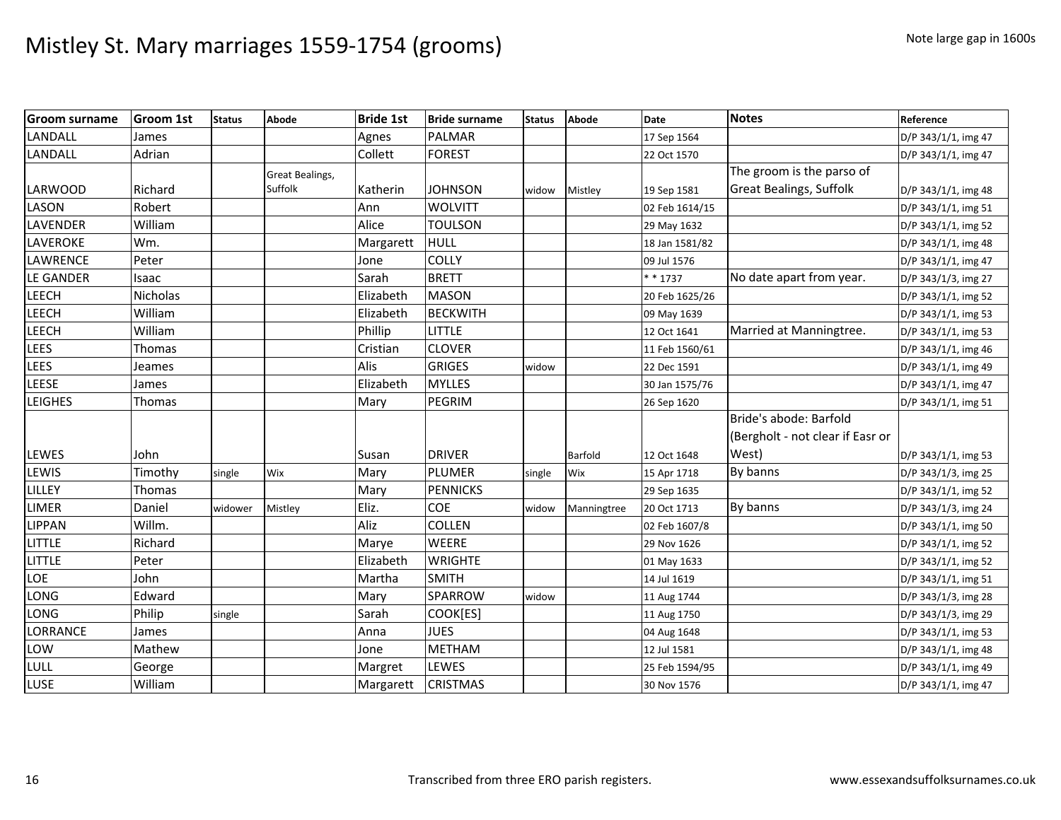| <b>Groom surname</b> | <b>Groom 1st</b> | <b>Status</b> | Abode                  | <b>Bride 1st</b> | <b>Bride surname</b> | <b>Status</b> | Abode       | <b>Date</b>    | <b>Notes</b>                     | Reference           |
|----------------------|------------------|---------------|------------------------|------------------|----------------------|---------------|-------------|----------------|----------------------------------|---------------------|
| <b>LANDALL</b>       | James            |               |                        | Agnes            | <b>PALMAR</b>        |               |             | 17 Sep 1564    |                                  | D/P 343/1/1, img 47 |
| LANDALL              | Adrian           |               |                        | Collett          | <b>FOREST</b>        |               |             | 22 Oct 1570    |                                  | D/P 343/1/1, img 47 |
|                      |                  |               | <b>Great Bealings,</b> |                  |                      |               |             |                | The groom is the parso of        |                     |
| <b>LARWOOD</b>       | Richard          |               | Suffolk                | Katherin         | <b>JOHNSON</b>       | widow         | Mistley     | 19 Sep 1581    | <b>Great Bealings, Suffolk</b>   | D/P 343/1/1, img 48 |
| <b>LASON</b>         | Robert           |               |                        | Ann              | <b>WOLVITT</b>       |               |             | 02 Feb 1614/15 |                                  | D/P 343/1/1, img 51 |
| <b>LAVENDER</b>      | William          |               |                        | Alice            | <b>TOULSON</b>       |               |             | 29 May 1632    |                                  | D/P 343/1/1, img 52 |
| <b>LAVEROKE</b>      | Wm.              |               |                        | Margarett        | <b>HULL</b>          |               |             | 18 Jan 1581/82 |                                  | D/P 343/1/1, img 48 |
| <b>LAWRENCE</b>      | Peter            |               |                        | Jone             | <b>COLLY</b>         |               |             | 09 Jul 1576    |                                  | D/P 343/1/1, img 47 |
| <b>LE GANDER</b>     | Isaac            |               |                        | Sarah            | <b>BRETT</b>         |               |             | $* * 1737$     | No date apart from year.         | D/P 343/1/3, img 27 |
| <b>LEECH</b>         | Nicholas         |               |                        | Elizabeth        | <b>MASON</b>         |               |             | 20 Feb 1625/26 |                                  | D/P 343/1/1, img 52 |
| <b>LEECH</b>         | William          |               |                        | Elizabeth        | <b>BECKWITH</b>      |               |             | 09 May 1639    |                                  | D/P 343/1/1, img 53 |
| <b>LEECH</b>         | William          |               |                        | Phillip          | little               |               |             | 12 Oct 1641    | Married at Manningtree.          | D/P 343/1/1, img 53 |
| <b>LEES</b>          | Thomas           |               |                        | Cristian         | <b>CLOVER</b>        |               |             | 11 Feb 1560/61 |                                  | D/P 343/1/1, img 46 |
| <b>LEES</b>          | Jeames           |               |                        | Alis             | <b>GRIGES</b>        | widow         |             | 22 Dec 1591    |                                  | D/P 343/1/1, img 49 |
| <b>LEESE</b>         | James            |               |                        | Elizabeth        | <b>MYLLES</b>        |               |             | 30 Jan 1575/76 |                                  | D/P 343/1/1, img 47 |
| <b>LEIGHES</b>       | Thomas           |               |                        | Mary             | PEGRIM               |               |             | 26 Sep 1620    |                                  | D/P 343/1/1, img 51 |
|                      |                  |               |                        |                  |                      |               |             |                | Bride's abode: Barfold           |                     |
|                      |                  |               |                        |                  |                      |               |             |                | (Bergholt - not clear if Easr or |                     |
| <b>LEWES</b>         | John             |               |                        | Susan            | <b>DRIVER</b>        |               | Barfold     | 12 Oct 1648    | West)                            | D/P 343/1/1, img 53 |
| LEWIS                | Timothy          | single        | Wix                    | Mary             | PLUMER               | single        | Wix         | 15 Apr 1718    | By banns                         | D/P 343/1/3, img 25 |
| LILLEY               | Thomas           |               |                        | Mary             | <b>PENNICKS</b>      |               |             | 29 Sep 1635    |                                  | D/P 343/1/1, img 52 |
| <b>LIMER</b>         | Daniel           | widower       | Mistley                | Eliz.            | COE                  | widow         | Manningtree | 20 Oct 1713    | By banns                         | D/P 343/1/3, img 24 |
| <b>LIPPAN</b>        | Willm.           |               |                        | Aliz             | <b>COLLEN</b>        |               |             | 02 Feb 1607/8  |                                  | D/P 343/1/1, img 50 |
| LITTLE               | Richard          |               |                        | Marye            | <b>WEERE</b>         |               |             | 29 Nov 1626    |                                  | D/P 343/1/1, img 52 |
| LITTLE               | Peter            |               |                        | Elizabeth        | <b>WRIGHTE</b>       |               |             | 01 May 1633    |                                  | D/P 343/1/1, img 52 |
| LOE                  | John             |               |                        | Martha           | <b>SMITH</b>         |               |             | 14 Jul 1619    |                                  | D/P 343/1/1, img 51 |
| LONG                 | Edward           |               |                        | Mary             | SPARROW              | widow         |             | 11 Aug 1744    |                                  | D/P 343/1/3, img 28 |
| LONG                 | Philip           | single        |                        | Sarah            | COOK[ES]             |               |             | 11 Aug 1750    |                                  | D/P 343/1/3, img 29 |
| <b>LORRANCE</b>      | James            |               |                        | Anna             | <b>JUES</b>          |               |             | 04 Aug 1648    |                                  | D/P 343/1/1, img 53 |
| LOW                  | Mathew           |               |                        | Jone             | <b>METHAM</b>        |               |             | 12 Jul 1581    |                                  | D/P 343/1/1, img 48 |
| LULL                 | George           |               |                        | Margret          | LEWES                |               |             | 25 Feb 1594/95 |                                  | D/P 343/1/1, img 49 |
| LUSE                 | William          |               |                        | Margarett        | <b>CRISTMAS</b>      |               |             | 30 Nov 1576    |                                  | D/P 343/1/1, img 47 |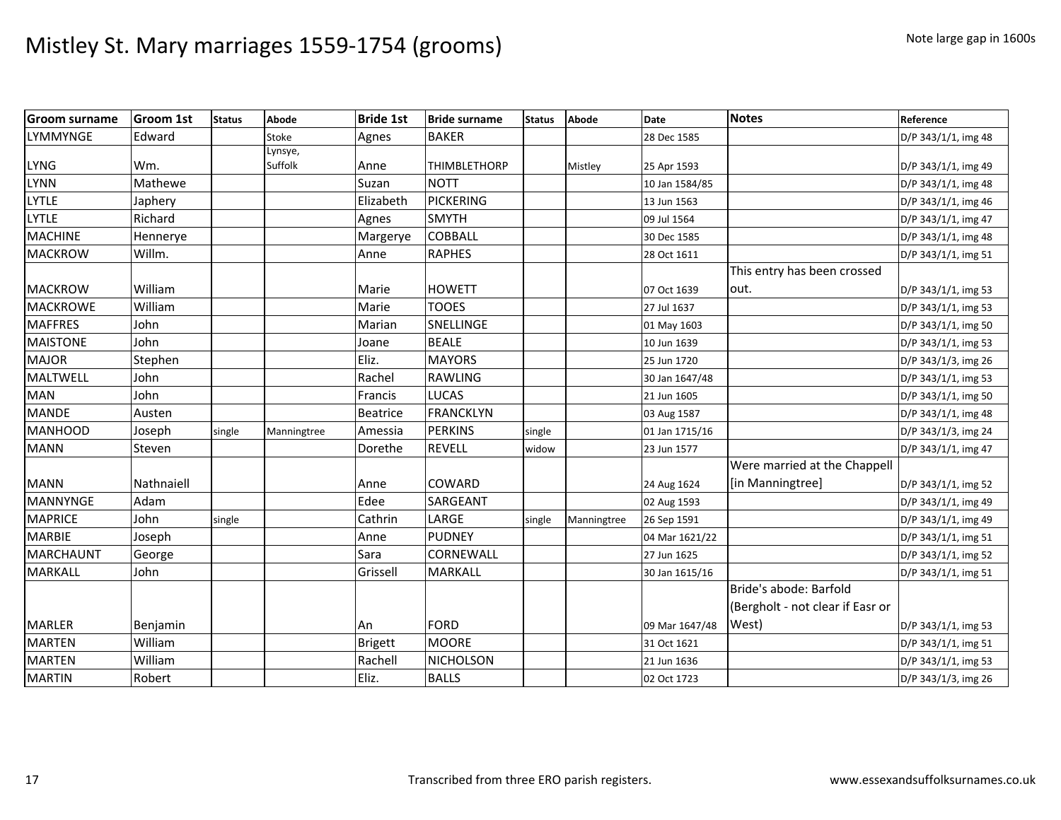| <b>Groom surname</b> | <b>Groom 1st</b> | <b>Status</b> | Abode              | <b>Bride 1st</b> | <b>Bride surname</b> | <b>Status</b> | <b>Abode</b> | <b>Date</b>    | <b>Notes</b>                                               | Reference           |
|----------------------|------------------|---------------|--------------------|------------------|----------------------|---------------|--------------|----------------|------------------------------------------------------------|---------------------|
| <b>LYMMYNGE</b>      | Edward           |               | Stoke              | Agnes            | <b>BAKER</b>         |               |              | 28 Dec 1585    |                                                            | D/P 343/1/1, img 48 |
| <b>LYNG</b>          | Wm.              |               | Lynsye,<br>Suffolk | Anne             | <b>THIMBLETHORP</b>  |               | Mistley      | 25 Apr 1593    |                                                            | D/P 343/1/1, img 49 |
| <b>LYNN</b>          | Mathewe          |               |                    | Suzan            | <b>NOTT</b>          |               |              | 10 Jan 1584/85 |                                                            | D/P 343/1/1, img 48 |
| <b>LYTLE</b>         | Japhery          |               |                    | Elizabeth        | <b>PICKERING</b>     |               |              | 13 Jun 1563    |                                                            | D/P 343/1/1, img 46 |
| <b>LYTLE</b>         | Richard          |               |                    | Agnes            | <b>SMYTH</b>         |               |              | 09 Jul 1564    |                                                            | D/P 343/1/1, img 47 |
| <b>MACHINE</b>       | Hennerye         |               |                    | Margerye         | <b>COBBALL</b>       |               |              | 30 Dec 1585    |                                                            | D/P 343/1/1, img 48 |
| <b>MACKROW</b>       | Willm.           |               |                    | Anne             | <b>RAPHES</b>        |               |              | 28 Oct 1611    |                                                            | D/P 343/1/1, img 51 |
|                      |                  |               |                    |                  |                      |               |              |                | This entry has been crossed                                |                     |
| <b>MACKROW</b>       | William          |               |                    | Marie            | <b>HOWETT</b>        |               |              | 07 Oct 1639    | out.                                                       | D/P 343/1/1, img 53 |
| <b>MACKROWE</b>      | William          |               |                    | Marie            | <b>TOOES</b>         |               |              | 27 Jul 1637    |                                                            | D/P 343/1/1, img 53 |
| <b>MAFFRES</b>       | John             |               |                    | Marian           | SNELLINGE            |               |              | 01 May 1603    |                                                            | D/P 343/1/1, img 50 |
| <b>MAISTONE</b>      | John             |               |                    | Joane            | <b>BEALE</b>         |               |              | 10 Jun 1639    |                                                            | D/P 343/1/1, img 53 |
| <b>MAJOR</b>         | Stephen          |               |                    | Eliz.            | <b>MAYORS</b>        |               |              | 25 Jun 1720    |                                                            | D/P 343/1/3, img 26 |
| <b>MALTWELL</b>      | John             |               |                    | Rachel           | <b>RAWLING</b>       |               |              | 30 Jan 1647/48 |                                                            | D/P 343/1/1, img 53 |
| <b>MAN</b>           | John             |               |                    | Francis          | <b>LUCAS</b>         |               |              | 21 Jun 1605    |                                                            | D/P 343/1/1, img 50 |
| <b>MANDE</b>         | Austen           |               |                    | Beatrice         | <b>FRANCKLYN</b>     |               |              | 03 Aug 1587    |                                                            | D/P 343/1/1, img 48 |
| <b>MANHOOD</b>       | Joseph           | single        | Manningtree        | Amessia          | <b>PERKINS</b>       | single        |              | 01 Jan 1715/16 |                                                            | D/P 343/1/3, img 24 |
| <b>MANN</b>          | Steven           |               |                    | Dorethe          | <b>REVELL</b>        | widow         |              | 23 Jun 1577    |                                                            | D/P 343/1/1, img 47 |
| <b>MANN</b>          | Nathnaiell       |               |                    | Anne             | <b>COWARD</b>        |               |              | 24 Aug 1624    | Were married at the Chappell<br>[in Manningtree]           | D/P 343/1/1, img 52 |
| <b>MANNYNGE</b>      | Adam             |               |                    | Edee             | <b>SARGEANT</b>      |               |              | 02 Aug 1593    |                                                            | D/P 343/1/1, img 49 |
| <b>MAPRICE</b>       | John             | single        |                    | Cathrin          | LARGE                | single        | Manningtree  | 26 Sep 1591    |                                                            | D/P 343/1/1, img 49 |
| <b>MARBIE</b>        | Joseph           |               |                    | Anne             | <b>PUDNEY</b>        |               |              | 04 Mar 1621/22 |                                                            | D/P 343/1/1, img 51 |
| MARCHAUNT            | George           |               |                    | Sara             | CORNEWALL            |               |              | 27 Jun 1625    |                                                            | D/P 343/1/1, img 52 |
| <b>MARKALL</b>       | John             |               |                    | Grissell         | <b>MARKALL</b>       |               |              | 30 Jan 1615/16 |                                                            | D/P 343/1/1, img 51 |
|                      |                  |               |                    |                  |                      |               |              |                | Bride's abode: Barfold<br>(Bergholt - not clear if Easr or |                     |
| <b>MARLER</b>        | Benjamin         |               |                    | An               | <b>FORD</b>          |               |              | 09 Mar 1647/48 | West)                                                      | D/P 343/1/1, img 53 |
| <b>MARTEN</b>        | William          |               |                    | <b>Brigett</b>   | <b>MOORE</b>         |               |              | 31 Oct 1621    |                                                            | D/P 343/1/1, img 51 |
| <b>MARTEN</b>        | William          |               |                    | Rachell          | NICHOLSON            |               |              | 21 Jun 1636    |                                                            | D/P 343/1/1, img 53 |
| <b>MARTIN</b>        | Robert           |               |                    | Eliz.            | <b>BALLS</b>         |               |              | 02 Oct 1723    |                                                            | D/P 343/1/3, img 26 |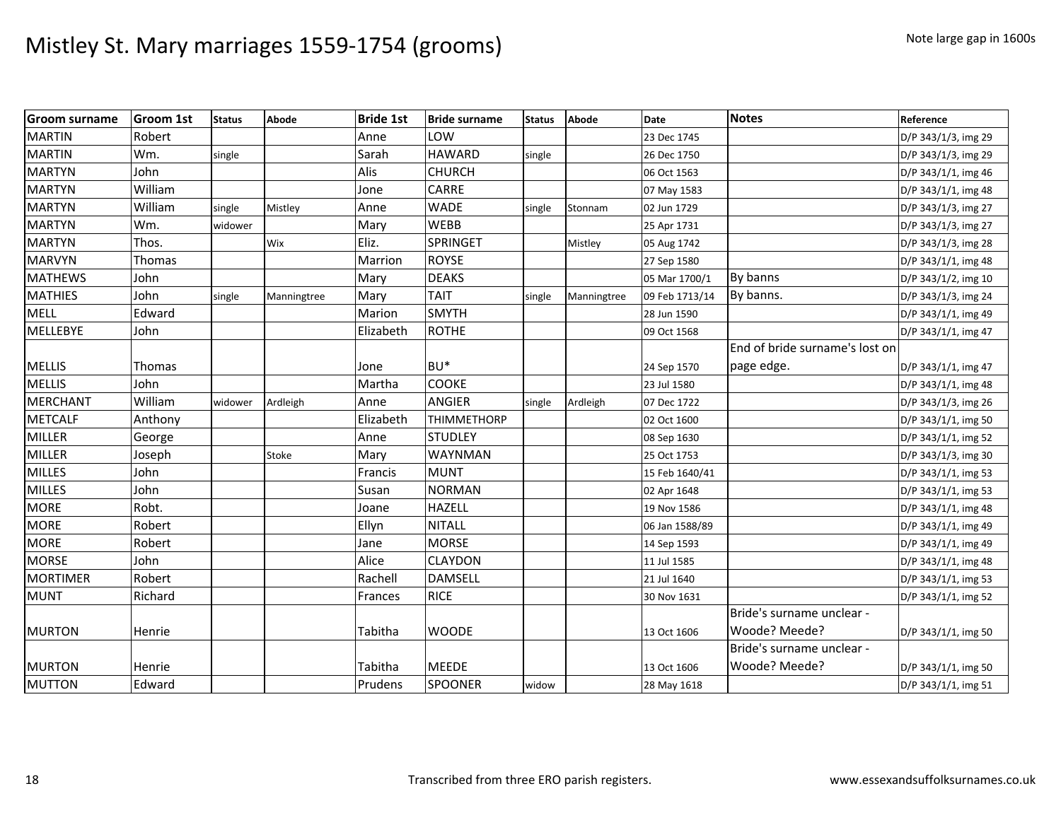| <b>Groom surname</b> | <b>Groom 1st</b> | <b>Status</b> | Abode       | <b>Bride 1st</b> | <b>Bride surname</b> | <b>Status</b> | <b>Abode</b> | <b>Date</b>    | <b>Notes</b>                   | Reference           |
|----------------------|------------------|---------------|-------------|------------------|----------------------|---------------|--------------|----------------|--------------------------------|---------------------|
| <b>MARTIN</b>        | Robert           |               |             | Anne             | LOW                  |               |              | 23 Dec 1745    |                                | D/P 343/1/3, img 29 |
| <b>MARTIN</b>        | Wm.              | single        |             | Sarah            | <b>HAWARD</b>        | single        |              | 26 Dec 1750    |                                | D/P 343/1/3, img 29 |
| <b>MARTYN</b>        | John             |               |             | Alis             | <b>CHURCH</b>        |               |              | 06 Oct 1563    |                                | D/P 343/1/1, img 46 |
| <b>MARTYN</b>        | William          |               |             | Jone             | CARRE                |               |              | 07 May 1583    |                                | D/P 343/1/1, img 48 |
| <b>MARTYN</b>        | William          | single        | Mistley     | Anne             | <b>WADE</b>          | single        | Stonnam      | 02 Jun 1729    |                                | D/P 343/1/3, img 27 |
| <b>MARTYN</b>        | Wm.              | widower       |             | Mary             | <b>WEBB</b>          |               |              | 25 Apr 1731    |                                | D/P 343/1/3, img 27 |
| <b>MARTYN</b>        | Thos.            |               | Wix         | Eliz.            | SPRINGET             |               | Mistley      | 05 Aug 1742    |                                | D/P 343/1/3, img 28 |
| <b>MARVYN</b>        | Thomas           |               |             | Marrion          | <b>ROYSE</b>         |               |              | 27 Sep 1580    |                                | D/P 343/1/1, img 48 |
| <b>MATHEWS</b>       | John             |               |             | Mary             | <b>DEAKS</b>         |               |              | 05 Mar 1700/1  | By banns                       | D/P 343/1/2, img 10 |
| <b>MATHIES</b>       | John             | single        | Manningtree | Mary             | <b>TAIT</b>          | single        | Manningtree  | 09 Feb 1713/14 | By banns.                      | D/P 343/1/3, img 24 |
| <b>MELL</b>          | Edward           |               |             | Marion           | <b>SMYTH</b>         |               |              | 28 Jun 1590    |                                | D/P 343/1/1, img 49 |
| <b>MELLEBYE</b>      | John             |               |             | Elizabeth        | <b>ROTHE</b>         |               |              | 09 Oct 1568    |                                | D/P 343/1/1, img 47 |
|                      |                  |               |             |                  |                      |               |              |                | End of bride surname's lost on |                     |
| <b>MELLIS</b>        | <b>Thomas</b>    |               |             | Jone             | BU <sup>*</sup>      |               |              | 24 Sep 1570    | page edge.                     | D/P 343/1/1, img 47 |
| <b>MELLIS</b>        | John             |               |             | Martha           | COOKE                |               |              | 23 Jul 1580    |                                | D/P 343/1/1, img 48 |
| <b>MERCHANT</b>      | William          | widower       | Ardleigh    | Anne             | <b>ANGIER</b>        | single        | Ardleigh     | 07 Dec 1722    |                                | D/P 343/1/3, img 26 |
| <b>METCALF</b>       | Anthony          |               |             | Elizabeth        | <b>THIMMETHORP</b>   |               |              | 02 Oct 1600    |                                | D/P 343/1/1, img 50 |
| <b>MILLER</b>        | George           |               |             | Anne             | <b>STUDLEY</b>       |               |              | 08 Sep 1630    |                                | D/P 343/1/1, img 52 |
| <b>MILLER</b>        | Joseph           |               | Stoke       | Mary             | <b>WAYNMAN</b>       |               |              | 25 Oct 1753    |                                | D/P 343/1/3, img 30 |
| <b>MILLES</b>        | John             |               |             | Francis          | <b>MUNT</b>          |               |              | 15 Feb 1640/41 |                                | D/P 343/1/1, img 53 |
| <b>MILLES</b>        | John             |               |             | Susan            | <b>NORMAN</b>        |               |              | 02 Apr 1648    |                                | D/P 343/1/1, img 53 |
| <b>MORE</b>          | Robt.            |               |             | Joane            | <b>HAZELL</b>        |               |              | 19 Nov 1586    |                                | D/P 343/1/1, img 48 |
| <b>MORE</b>          | Robert           |               |             | Ellyn            | <b>NITALL</b>        |               |              | 06 Jan 1588/89 |                                | D/P 343/1/1, img 49 |
| <b>MORE</b>          | Robert           |               |             | Jane             | <b>MORSE</b>         |               |              | 14 Sep 1593    |                                | D/P 343/1/1, img 49 |
| <b>MORSE</b>         | John             |               |             | Alice            | <b>CLAYDON</b>       |               |              | 11 Jul 1585    |                                | D/P 343/1/1, img 48 |
| <b>MORTIMER</b>      | Robert           |               |             | Rachell          | <b>DAMSELL</b>       |               |              | 21 Jul 1640    |                                | D/P 343/1/1, img 53 |
| <b>MUNT</b>          | Richard          |               |             | Frances          | <b>RICE</b>          |               |              | 30 Nov 1631    |                                | D/P 343/1/1, img 52 |
|                      |                  |               |             |                  |                      |               |              |                | Bride's surname unclear -      |                     |
| <b>MURTON</b>        | <b>Henrie</b>    |               |             | Tabitha          | <b>WOODE</b>         |               |              | 13 Oct 1606    | Woode? Meede?                  | D/P 343/1/1, img 50 |
|                      |                  |               |             |                  |                      |               |              |                | Bride's surname unclear -      |                     |
| <b>MURTON</b>        | Henrie           |               |             | Tabitha          | <b>MEEDE</b>         |               |              | 13 Oct 1606    | Woode? Meede?                  | D/P 343/1/1, img 50 |
| <b>MUTTON</b>        | Edward           |               |             | Prudens          | SPOONER              | widow         |              | 28 May 1618    |                                | D/P 343/1/1, img 51 |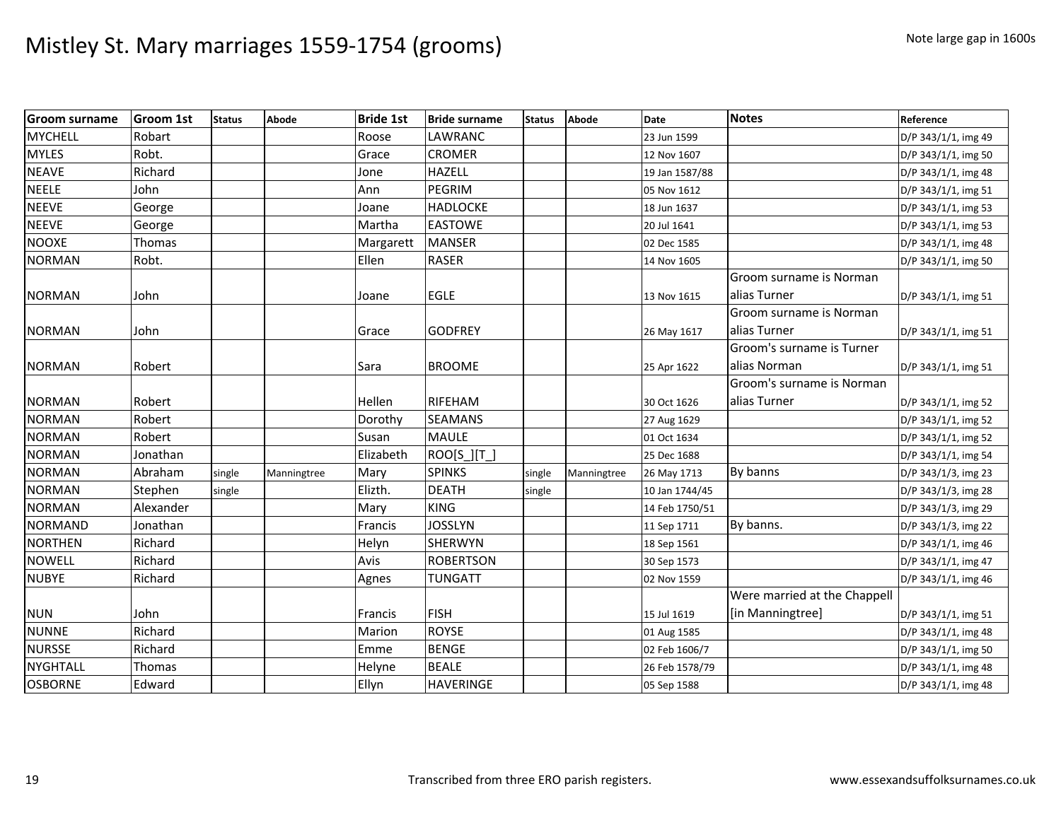| <b>Groom surname</b> | <b>Groom 1st</b> | <b>Status</b> | <b>Abode</b> | <b>Bride 1st</b> | <b>Bride surname</b> | <b>Status</b> | <b>Abode</b> | <b>Date</b>    | <b>Notes</b>                 | Reference           |
|----------------------|------------------|---------------|--------------|------------------|----------------------|---------------|--------------|----------------|------------------------------|---------------------|
| <b>MYCHELL</b>       | Robart           |               |              | Roose            | <b>LAWRANC</b>       |               |              | 23 Jun 1599    |                              | D/P 343/1/1, img 49 |
| <b>MYLES</b>         | Robt.            |               |              | Grace            | <b>CROMER</b>        |               |              | 12 Nov 1607    |                              | D/P 343/1/1, img 50 |
| <b>NEAVE</b>         | Richard          |               |              | Jone             | <b>HAZELL</b>        |               |              | 19 Jan 1587/88 |                              | D/P 343/1/1, img 48 |
| <b>NEELE</b>         | John             |               |              | Ann              | PEGRIM               |               |              | 05 Nov 1612    |                              | D/P 343/1/1, img 51 |
| <b>NEEVE</b>         | George           |               |              | Joane            | <b>HADLOCKE</b>      |               |              | 18 Jun 1637    |                              | D/P 343/1/1, img 53 |
| <b>NEEVE</b>         | George           |               |              | Martha           | <b>EASTOWE</b>       |               |              | 20 Jul 1641    |                              | D/P 343/1/1, img 53 |
| <b>NOOXE</b>         | Thomas           |               |              | Margarett        | <b>MANSER</b>        |               |              | 02 Dec 1585    |                              | D/P 343/1/1, img 48 |
| <b>NORMAN</b>        | Robt.            |               |              | Ellen            | <b>RASER</b>         |               |              | 14 Nov 1605    |                              | D/P 343/1/1, img 50 |
|                      |                  |               |              |                  |                      |               |              |                | Groom surname is Norman      |                     |
| <b>NORMAN</b>        | John             |               |              | Joane            | <b>EGLE</b>          |               |              | 13 Nov 1615    | alias Turner                 | D/P 343/1/1, img 51 |
|                      |                  |               |              |                  |                      |               |              |                | Groom surname is Norman      |                     |
| <b>NORMAN</b>        | John             |               |              | Grace            | <b>GODFREY</b>       |               |              | 26 May 1617    | alias Turner                 | D/P 343/1/1, img 51 |
|                      |                  |               |              |                  |                      |               |              |                | Groom's surname is Turner    |                     |
| <b>NORMAN</b>        | Robert           |               |              | Sara             | <b>BROOME</b>        |               |              | 25 Apr 1622    | alias Norman                 | D/P 343/1/1, img 51 |
|                      |                  |               |              |                  |                      |               |              |                | Groom's surname is Norman    |                     |
| <b>NORMAN</b>        | Robert           |               |              | Hellen           | RIFEHAM              |               |              | 30 Oct 1626    | alias Turner                 | D/P 343/1/1, img 52 |
| <b>NORMAN</b>        | Robert           |               |              | Dorothy          | <b>SEAMANS</b>       |               |              | 27 Aug 1629    |                              | D/P 343/1/1, img 52 |
| <b>NORMAN</b>        | Robert           |               |              | Susan            | <b>MAULE</b>         |               |              | 01 Oct 1634    |                              | D/P 343/1/1, img 52 |
| <b>NORMAN</b>        | Jonathan         |               |              | Elizabeth        | $ROO[S_][T_$         |               |              | 25 Dec 1688    |                              | D/P 343/1/1, img 54 |
| <b>NORMAN</b>        | Abraham          | single        | Manningtree  | Mary             | <b>SPINKS</b>        | single        | Manningtree  | 26 May 1713    | By banns                     | D/P 343/1/3, img 23 |
| <b>NORMAN</b>        | Stephen          | single        |              | Elizth.          | <b>DEATH</b>         | single        |              | 10 Jan 1744/45 |                              | D/P 343/1/3, img 28 |
| <b>NORMAN</b>        | Alexander        |               |              | Mary             | <b>KING</b>          |               |              | 14 Feb 1750/51 |                              | D/P 343/1/3, img 29 |
| <b>NORMAND</b>       | Jonathan         |               |              | Francis          | <b>JOSSLYN</b>       |               |              | 11 Sep 1711    | By banns.                    | D/P 343/1/3, img 22 |
| <b>NORTHEN</b>       | Richard          |               |              | Helyn            | <b>SHERWYN</b>       |               |              | 18 Sep 1561    |                              | D/P 343/1/1, img 46 |
| <b>NOWELL</b>        | Richard          |               |              | Avis             | <b>ROBERTSON</b>     |               |              | 30 Sep 1573    |                              | D/P 343/1/1, img 47 |
| <b>NUBYE</b>         | Richard          |               |              | Agnes            | <b>TUNGATT</b>       |               |              | 02 Nov 1559    |                              | D/P 343/1/1, img 46 |
|                      |                  |               |              |                  |                      |               |              |                | Were married at the Chappell |                     |
| <b>NUN</b>           | John             |               |              | Francis          | <b>FISH</b>          |               |              | 15 Jul 1619    | [in Manningtree]             | D/P 343/1/1, img 51 |
| <b>NUNNE</b>         | Richard          |               |              | Marion           | <b>ROYSE</b>         |               |              | 01 Aug 1585    |                              | D/P 343/1/1, img 48 |
| <b>NURSSE</b>        | Richard          |               |              | Emme             | <b>BENGE</b>         |               |              | 02 Feb 1606/7  |                              | D/P 343/1/1, img 50 |
| <b>NYGHTALL</b>      | Thomas           |               |              | Helyne           | <b>BEALE</b>         |               |              | 26 Feb 1578/79 |                              | D/P 343/1/1, img 48 |
| <b>OSBORNE</b>       | Edward           |               |              | Ellyn            | <b>HAVERINGE</b>     |               |              | 05 Sep 1588    |                              | D/P 343/1/1, img 48 |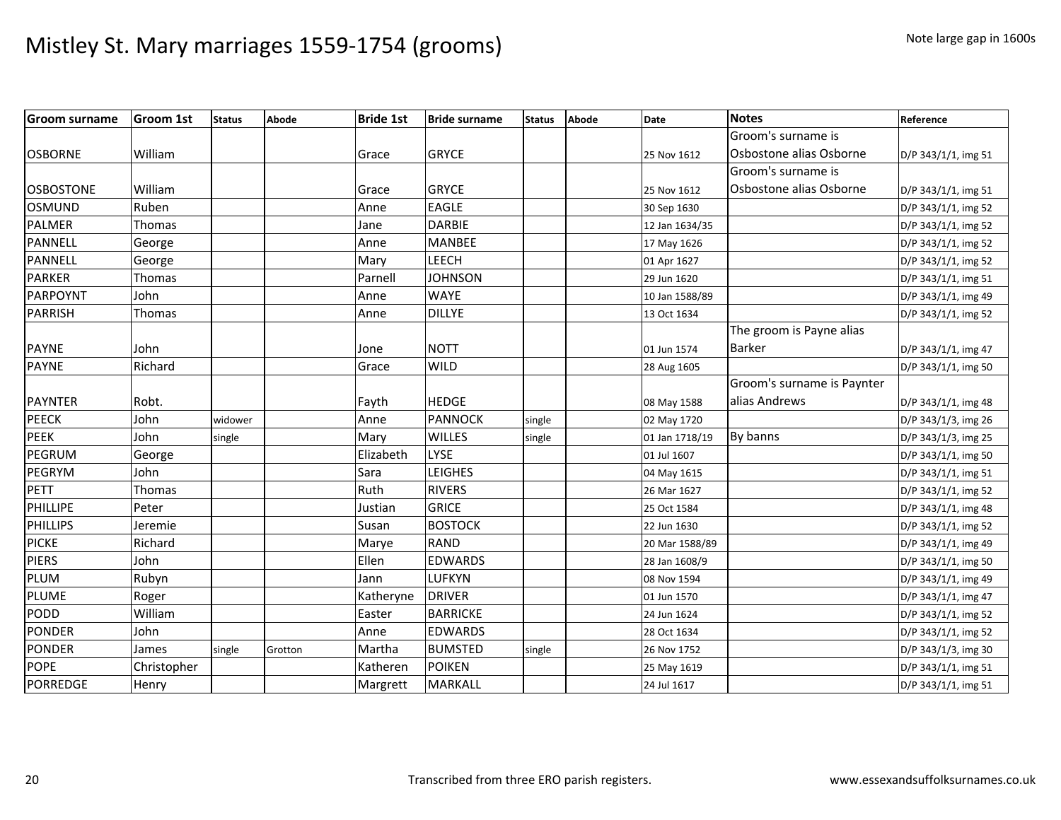| <b>Groom surname</b> | <b>Groom 1st</b> | <b>Status</b> | <b>Abode</b> | <b>Bride 1st</b> | <b>Bride surname</b> | <b>Status</b> | Abode | <b>Date</b>    | <b>Notes</b>               | Reference           |
|----------------------|------------------|---------------|--------------|------------------|----------------------|---------------|-------|----------------|----------------------------|---------------------|
|                      |                  |               |              |                  |                      |               |       |                | Groom's surname is         |                     |
| <b>OSBORNE</b>       | William          |               |              | Grace            | <b>GRYCE</b>         |               |       | 25 Nov 1612    | Osbostone alias Osborne    | D/P 343/1/1, img 51 |
|                      |                  |               |              |                  |                      |               |       |                | Groom's surname is         |                     |
| <b>OSBOSTONE</b>     | William          |               |              | Grace            | <b>GRYCE</b>         |               |       | 25 Nov 1612    | Osbostone alias Osborne    | D/P 343/1/1, img 51 |
| OSMUND               | Ruben            |               |              | Anne             | <b>EAGLE</b>         |               |       | 30 Sep 1630    |                            | D/P 343/1/1, img 52 |
| <b>PALMER</b>        | <b>Thomas</b>    |               |              | Jane             | <b>DARBIE</b>        |               |       | 12 Jan 1634/35 |                            | D/P 343/1/1, img 52 |
| PANNELL              | George           |               |              | Anne             | <b>MANBEE</b>        |               |       | 17 May 1626    |                            | D/P 343/1/1, img 52 |
| <b>PANNELL</b>       | George           |               |              | Mary             | LEECH                |               |       | 01 Apr 1627    |                            | D/P 343/1/1, img 52 |
| <b>PARKER</b>        | Thomas           |               |              | Parnell          | <b>JOHNSON</b>       |               |       | 29 Jun 1620    |                            | D/P 343/1/1, img 51 |
| PARPOYNT             | John             |               |              | Anne             | <b>WAYE</b>          |               |       | 10 Jan 1588/89 |                            | D/P 343/1/1, img 49 |
| PARRISH              | Thomas           |               |              | Anne             | <b>DILLYE</b>        |               |       | 13 Oct 1634    |                            | D/P 343/1/1, img 52 |
|                      |                  |               |              |                  |                      |               |       |                | The groom is Payne alias   |                     |
| <b>PAYNE</b>         | John             |               |              | Jone             | <b>NOTT</b>          |               |       | 01 Jun 1574    | Barker                     | D/P 343/1/1, img 47 |
| <b>PAYNE</b>         | Richard          |               |              | Grace            | <b>WILD</b>          |               |       | 28 Aug 1605    |                            | D/P 343/1/1, img 50 |
|                      |                  |               |              |                  |                      |               |       |                | Groom's surname is Paynter |                     |
| <b>PAYNTER</b>       | Robt.            |               |              | Fayth            | <b>HEDGE</b>         |               |       | 08 May 1588    | alias Andrews              | D/P 343/1/1, img 48 |
| <b>PEECK</b>         | John             | widower       |              | Anne             | <b>PANNOCK</b>       | single        |       | 02 May 1720    |                            | D/P 343/1/3, img 26 |
| PEEK                 | John             | single        |              | Mary             | <b>WILLES</b>        | single        |       | 01 Jan 1718/19 | By banns                   | D/P 343/1/3, img 25 |
| PEGRUM               | George           |               |              | Elizabeth        | LYSE                 |               |       | 01 Jul 1607    |                            | D/P 343/1/1, img 50 |
| <b>PEGRYM</b>        | John             |               |              | Sara             | <b>LEIGHES</b>       |               |       | 04 May 1615    |                            | D/P 343/1/1, img 51 |
| <b>PETT</b>          | Thomas           |               |              | Ruth             | <b>RIVERS</b>        |               |       | 26 Mar 1627    |                            | D/P 343/1/1, img 52 |
| PHILLIPE             | Peter            |               |              | Justian          | <b>GRICE</b>         |               |       | 25 Oct 1584    |                            | D/P 343/1/1, img 48 |
| PHILLIPS             | Jeremie          |               |              | Susan            | <b>BOSTOCK</b>       |               |       | 22 Jun 1630    |                            | D/P 343/1/1, img 52 |
| <b>PICKE</b>         | Richard          |               |              | Marye            | <b>RAND</b>          |               |       | 20 Mar 1588/89 |                            | D/P 343/1/1, img 49 |
| <b>PIERS</b>         | John             |               |              | Ellen            | <b>EDWARDS</b>       |               |       | 28 Jan 1608/9  |                            | D/P 343/1/1, img 50 |
| PLUM                 | Rubyn            |               |              | Jann             | LUFKYN               |               |       | 08 Nov 1594    |                            | D/P 343/1/1, img 49 |
| PLUME                | Roger            |               |              | Katheryne        | <b>DRIVER</b>        |               |       | 01 Jun 1570    |                            | D/P 343/1/1, img 47 |
| PODD                 | William          |               |              | Easter           | <b>BARRICKE</b>      |               |       | 24 Jun 1624    |                            | D/P 343/1/1, img 52 |
| <b>PONDER</b>        | John             |               |              | Anne             | <b>EDWARDS</b>       |               |       | 28 Oct 1634    |                            | D/P 343/1/1, img 52 |
| <b>PONDER</b>        | James            | single        | Grotton      | Martha           | <b>BUMSTED</b>       | single        |       | 26 Nov 1752    |                            | D/P 343/1/3, img 30 |
| <b>POPE</b>          | Christopher      |               |              | Katheren         | <b>POIKEN</b>        |               |       | 25 May 1619    |                            | D/P 343/1/1, img 51 |
| <b>PORREDGE</b>      | Henry            |               |              | Margrett         | MARKALL              |               |       | 24 Jul 1617    |                            | D/P 343/1/1, img 51 |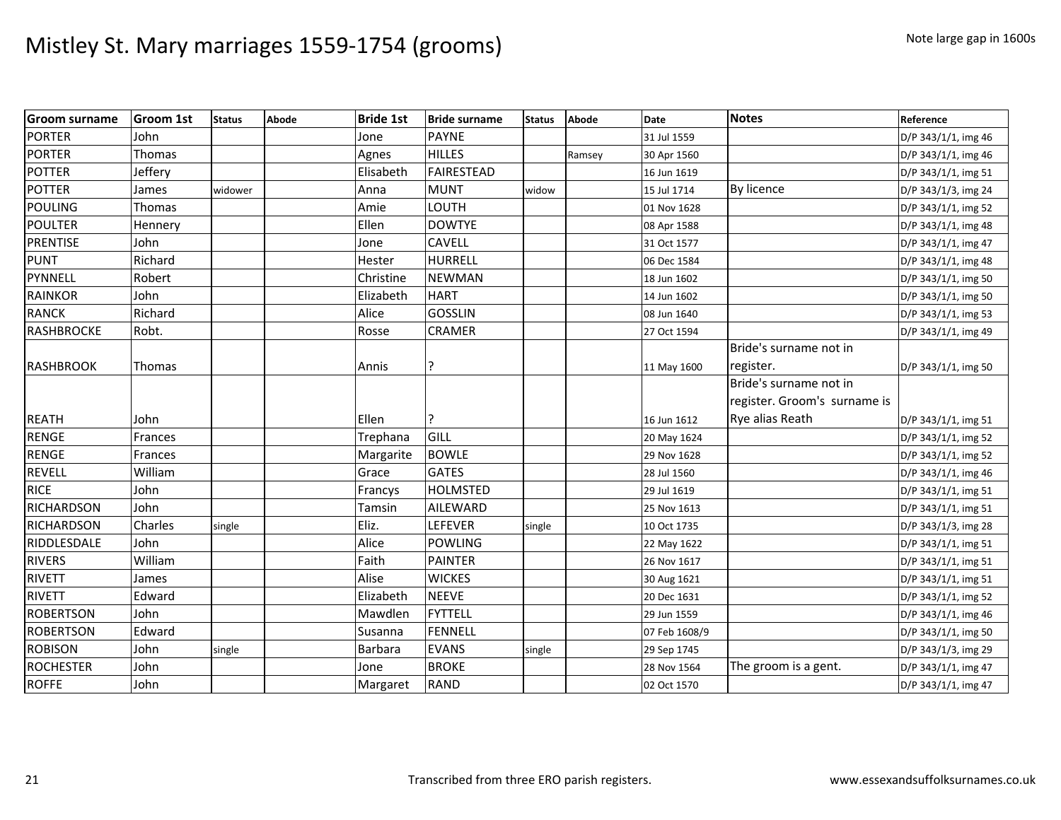| <b>Groom surname</b> | <b>Groom 1st</b> | <b>Status</b> | Abode | <b>Bride 1st</b> | <b>Bride surname</b> | <b>Status</b> | <b>Abode</b> | <b>Date</b>   | <b>Notes</b>                 | Reference           |
|----------------------|------------------|---------------|-------|------------------|----------------------|---------------|--------------|---------------|------------------------------|---------------------|
| <b>PORTER</b>        | John             |               |       | Jone             | <b>PAYNE</b>         |               |              | 31 Jul 1559   |                              | D/P 343/1/1, img 46 |
| <b>PORTER</b>        | Thomas           |               |       | Agnes            | <b>HILLES</b>        |               | Ramsey       | 30 Apr 1560   |                              | D/P 343/1/1, img 46 |
| <b>POTTER</b>        | Jeffery          |               |       | Elisabeth        | <b>FAIRESTEAD</b>    |               |              | 16 Jun 1619   |                              | D/P 343/1/1, img 51 |
| <b>POTTER</b>        | James            | widower       |       | Anna             | <b>MUNT</b>          | widow         |              | 15 Jul 1714   | By licence                   | D/P 343/1/3, img 24 |
| <b>POULING</b>       | Thomas           |               |       | Amie             | LOUTH                |               |              | 01 Nov 1628   |                              | D/P 343/1/1, img 52 |
| <b>POULTER</b>       | Hennery          |               |       | Ellen            | <b>DOWTYE</b>        |               |              | 08 Apr 1588   |                              | D/P 343/1/1, img 48 |
| <b>PRENTISE</b>      | John             |               |       | Jone             | CAVELL               |               |              | 31 Oct 1577   |                              | D/P 343/1/1, img 47 |
| <b>PUNT</b>          | Richard          |               |       | Hester           | HURRELL              |               |              | 06 Dec 1584   |                              | D/P 343/1/1, img 48 |
| PYNNELL              | Robert           |               |       | Christine        | <b>NEWMAN</b>        |               |              | 18 Jun 1602   |                              | D/P 343/1/1, img 50 |
| <b>RAINKOR</b>       | John             |               |       | Elizabeth        | <b>HART</b>          |               |              | 14 Jun 1602   |                              | D/P 343/1/1, img 50 |
| <b>RANCK</b>         | Richard          |               |       | Alice            | <b>GOSSLIN</b>       |               |              | 08 Jun 1640   |                              | D/P 343/1/1, img 53 |
| RASHBROCKE           | Robt.            |               |       | Rosse            | CRAMER               |               |              | 27 Oct 1594   |                              | D/P 343/1/1, img 49 |
|                      |                  |               |       |                  |                      |               |              |               | Bride's surname not in       |                     |
| <b>RASHBROOK</b>     | Thomas           |               |       | Annis            | ς                    |               |              | 11 May 1600   | register.                    | D/P 343/1/1, img 50 |
|                      |                  |               |       |                  |                      |               |              |               | Bride's surname not in       |                     |
|                      |                  |               |       |                  |                      |               |              |               | register. Groom's surname is |                     |
| <b>REATH</b>         | John             |               |       | Ellen            | ?                    |               |              | 16 Jun 1612   | Rye alias Reath              | D/P 343/1/1, img 51 |
| <b>RENGE</b>         | Frances          |               |       | Trephana         | GILL                 |               |              | 20 May 1624   |                              | D/P 343/1/1, img 52 |
| <b>RENGE</b>         | Frances          |               |       | Margarite        | <b>BOWLE</b>         |               |              | 29 Nov 1628   |                              | D/P 343/1/1, img 52 |
| <b>REVELL</b>        | William          |               |       | Grace            | <b>GATES</b>         |               |              | 28 Jul 1560   |                              | D/P 343/1/1, img 46 |
| <b>RICE</b>          | John             |               |       | Francys          | <b>HOLMSTED</b>      |               |              | 29 Jul 1619   |                              | D/P 343/1/1, img 51 |
| <b>RICHARDSON</b>    | John             |               |       | Tamsin           | <b>AILEWARD</b>      |               |              | 25 Nov 1613   |                              | D/P 343/1/1, img 51 |
| <b>RICHARDSON</b>    | Charles          | single        |       | Eliz.            | LEFEVER              | single        |              | 10 Oct 1735   |                              | D/P 343/1/3, img 28 |
| RIDDLESDALE          | John             |               |       | Alice            | POWLING              |               |              | 22 May 1622   |                              | D/P 343/1/1, img 51 |
| <b>RIVERS</b>        | William          |               |       | Faith            | <b>PAINTER</b>       |               |              | 26 Nov 1617   |                              | D/P 343/1/1, img 51 |
| <b>RIVETT</b>        | James            |               |       | Alise            | <b>WICKES</b>        |               |              | 30 Aug 1621   |                              | D/P 343/1/1, img 51 |
| <b>RIVETT</b>        | Edward           |               |       | Elizabeth        | <b>NEEVE</b>         |               |              | 20 Dec 1631   |                              | D/P 343/1/1, img 52 |
| <b>ROBERTSON</b>     | John             |               |       | Mawdlen          | <b>FYTTELL</b>       |               |              | 29 Jun 1559   |                              | D/P 343/1/1, img 46 |
| <b>ROBERTSON</b>     | Edward           |               |       | Susanna          | <b>FENNELL</b>       |               |              | 07 Feb 1608/9 |                              | D/P 343/1/1, img 50 |
| <b>ROBISON</b>       | John             | single        |       | Barbara          | <b>EVANS</b>         | single        |              | 29 Sep 1745   |                              | D/P 343/1/3, img 29 |
| <b>ROCHESTER</b>     | John             |               |       | Jone             | <b>BROKE</b>         |               |              | 28 Nov 1564   | The groom is a gent.         | D/P 343/1/1, img 47 |
| <b>ROFFE</b>         | John             |               |       | Margaret         | <b>RAND</b>          |               |              | 02 Oct 1570   |                              | D/P 343/1/1, img 47 |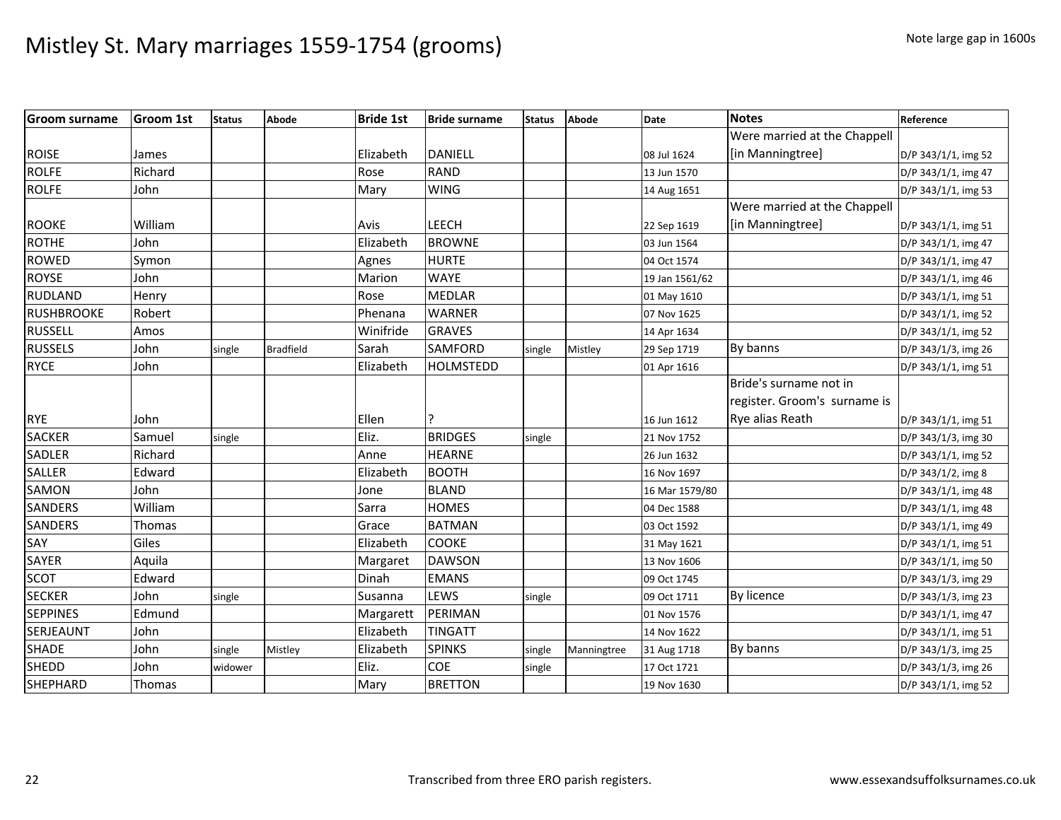| <b>Groom surname</b> | <b>Groom 1st</b> | <b>Status</b> | Abode            | <b>Bride 1st</b> | <b>Bride surname</b> | <b>Status</b> | <b>Abode</b> | Date           | <b>Notes</b>                 | Reference           |
|----------------------|------------------|---------------|------------------|------------------|----------------------|---------------|--------------|----------------|------------------------------|---------------------|
|                      |                  |               |                  |                  |                      |               |              |                | Were married at the Chappell |                     |
| <b>ROISE</b>         | James            |               |                  | Elizabeth        | <b>DANIELL</b>       |               |              | 08 Jul 1624    | [in Manningtree]             | D/P 343/1/1, img 52 |
| <b>ROLFE</b>         | Richard          |               |                  | Rose             | RAND                 |               |              | 13 Jun 1570    |                              | D/P 343/1/1, img 47 |
| <b>ROLFE</b>         | John             |               |                  | Mary             | <b>WING</b>          |               |              | 14 Aug 1651    |                              | D/P 343/1/1, img 53 |
|                      |                  |               |                  |                  |                      |               |              |                | Were married at the Chappell |                     |
| <b>ROOKE</b>         | William          |               |                  | Avis             | LEECH                |               |              | 22 Sep 1619    | [in Manningtree]             | D/P 343/1/1, img 51 |
| <b>ROTHE</b>         | John             |               |                  | Elizabeth        | <b>BROWNE</b>        |               |              | 03 Jun 1564    |                              | D/P 343/1/1, img 47 |
| <b>ROWED</b>         | Symon            |               |                  | Agnes            | <b>HURTE</b>         |               |              | 04 Oct 1574    |                              | D/P 343/1/1, img 47 |
| <b>ROYSE</b>         | John             |               |                  | Marion           | <b>WAYE</b>          |               |              | 19 Jan 1561/62 |                              | D/P 343/1/1, img 46 |
| <b>RUDLAND</b>       | Henry            |               |                  | Rose             | <b>MEDLAR</b>        |               |              | 01 May 1610    |                              | D/P 343/1/1, img 51 |
| <b>RUSHBROOKE</b>    | Robert           |               |                  | Phenana          | <b>WARNER</b>        |               |              | 07 Nov 1625    |                              | D/P 343/1/1, img 52 |
| <b>RUSSELL</b>       | Amos             |               |                  | Winifride        | <b>GRAVES</b>        |               |              | 14 Apr 1634    |                              | D/P 343/1/1, img 52 |
| <b>RUSSELS</b>       | John             | single        | <b>Bradfield</b> | Sarah            | <b>SAMFORD</b>       | single        | Mistley      | 29 Sep 1719    | By banns                     | D/P 343/1/3, img 26 |
| <b>RYCE</b>          | John             |               |                  | Elizabeth        | <b>HOLMSTEDD</b>     |               |              | 01 Apr 1616    |                              | D/P 343/1/1, img 51 |
|                      |                  |               |                  |                  |                      |               |              |                | Bride's surname not in       |                     |
|                      |                  |               |                  |                  |                      |               |              |                | register. Groom's surname is |                     |
| <b>RYE</b>           | John             |               |                  | Ellen            |                      |               |              | 16 Jun 1612    | Rye alias Reath              | D/P 343/1/1, img 51 |
| <b>SACKER</b>        | Samuel           | single        |                  | Eliz.            | <b>BRIDGES</b>       | single        |              | 21 Nov 1752    |                              | D/P 343/1/3, img 30 |
| <b>SADLER</b>        | Richard          |               |                  | Anne             | <b>HEARNE</b>        |               |              | 26 Jun 1632    |                              | D/P 343/1/1, img 52 |
| SALLER               | Edward           |               |                  | Elizabeth        | <b>BOOTH</b>         |               |              | 16 Nov 1697    |                              | D/P 343/1/2, img 8  |
| SAMON                | John             |               |                  | Jone             | <b>BLAND</b>         |               |              | 16 Mar 1579/80 |                              | D/P 343/1/1, img 48 |
| <b>SANDERS</b>       | William          |               |                  | Sarra            | <b>HOMES</b>         |               |              | 04 Dec 1588    |                              | D/P 343/1/1, img 48 |
| <b>SANDERS</b>       | Thomas           |               |                  | Grace            | <b>BATMAN</b>        |               |              | 03 Oct 1592    |                              | D/P 343/1/1, img 49 |
| SAY                  | Giles            |               |                  | Elizabeth        | <b>COOKE</b>         |               |              | 31 May 1621    |                              | D/P 343/1/1, img 51 |
| SAYER                | Aquila           |               |                  | Margaret         | <b>DAWSON</b>        |               |              | 13 Nov 1606    |                              | D/P 343/1/1, img 50 |
| SCOT                 | Edward           |               |                  | Dinah            | <b>EMANS</b>         |               |              | 09 Oct 1745    |                              | D/P 343/1/3, img 29 |
| <b>SECKER</b>        | John             | single        |                  | Susanna          | LEWS                 | single        |              | 09 Oct 1711    | By licence                   | D/P 343/1/3, img 23 |
| <b>SEPPINES</b>      | Edmund           |               |                  | Margarett        | PERIMAN              |               |              | 01 Nov 1576    |                              | D/P 343/1/1, img 47 |
| SERJEAUNT            | John             |               |                  | Elizabeth        | <b>TINGATT</b>       |               |              | 14 Nov 1622    |                              | D/P 343/1/1, img 51 |
| <b>SHADE</b>         | John             | single        | Mistley          | Elizabeth        | <b>SPINKS</b>        | single        | Manningtree  | 31 Aug 1718    | By banns                     | D/P 343/1/3, img 25 |
| <b>SHEDD</b>         | John             | widower       |                  | Eliz.            | <b>COE</b>           | single        |              | 17 Oct 1721    |                              | D/P 343/1/3, img 26 |
| <b>SHEPHARD</b>      | Thomas           |               |                  | Mary             | <b>BRETTON</b>       |               |              | 19 Nov 1630    |                              | D/P 343/1/1, img 52 |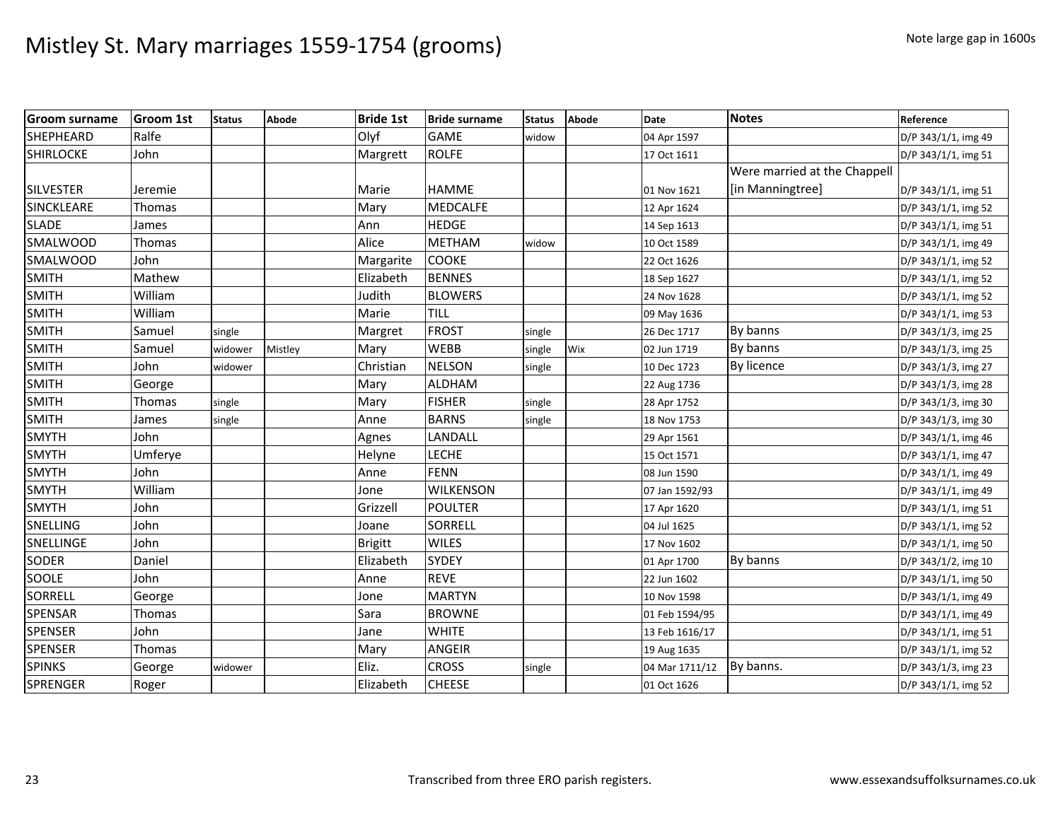| <b>Groom surname</b> | <b>Groom 1st</b> | <b>Status</b> | Abode   | <b>Bride 1st</b> | <b>Bride surname</b> | <b>Status</b> | <b>Abode</b> | <b>Date</b>    | <b>Notes</b>                 | Reference           |
|----------------------|------------------|---------------|---------|------------------|----------------------|---------------|--------------|----------------|------------------------------|---------------------|
| <b>SHEPHEARD</b>     | Ralfe            |               |         | Olyf             | <b>GAME</b>          | widow         |              | 04 Apr 1597    |                              | D/P 343/1/1, img 49 |
| <b>SHIRLOCKE</b>     | John             |               |         | Margrett         | <b>ROLFE</b>         |               |              | 17 Oct 1611    |                              | D/P 343/1/1, img 51 |
|                      |                  |               |         |                  |                      |               |              |                | Were married at the Chappell |                     |
| <b>SILVESTER</b>     | Jeremie          |               |         | Marie            | <b>HAMME</b>         |               |              | 01 Nov 1621    | [in Manningtree]             | D/P 343/1/1, img 51 |
| <b>SINCKLEARE</b>    | Thomas           |               |         | Mary             | <b>MEDCALFE</b>      |               |              | 12 Apr 1624    |                              | D/P 343/1/1, img 52 |
| <b>SLADE</b>         | James            |               |         | Ann              | <b>HEDGE</b>         |               |              | 14 Sep 1613    |                              | D/P 343/1/1, img 51 |
| <b>SMALWOOD</b>      | Thomas           |               |         | Alice            | <b>METHAM</b>        | widow         |              | 10 Oct 1589    |                              | D/P 343/1/1, img 49 |
| <b>SMALWOOD</b>      | John             |               |         | Margarite        | <b>COOKE</b>         |               |              | 22 Oct 1626    |                              | D/P 343/1/1, img 52 |
| <b>SMITH</b>         | Mathew           |               |         | Elizabeth        | <b>BENNES</b>        |               |              | 18 Sep 1627    |                              | D/P 343/1/1, img 52 |
| <b>SMITH</b>         | William          |               |         | Judith           | <b>BLOWERS</b>       |               |              | 24 Nov 1628    |                              | D/P 343/1/1, img 52 |
| SMITH                | William          |               |         | Marie            | TILL                 |               |              | 09 May 1636    |                              | D/P 343/1/1, img 53 |
| <b>SMITH</b>         | Samuel           | single        |         | Margret          | <b>FROST</b>         | single        |              | 26 Dec 1717    | By banns                     | D/P 343/1/3, img 25 |
| <b>SMITH</b>         | Samuel           | widower       | Mistley | Mary             | <b>WEBB</b>          | single        | Wix          | 02 Jun 1719    | By banns                     | D/P 343/1/3, img 25 |
| <b>SMITH</b>         | John             | widower       |         | Christian        | <b>NELSON</b>        | single        |              | 10 Dec 1723    | By licence                   | D/P 343/1/3, img 27 |
| SMITH                | George           |               |         | Mary             | <b>ALDHAM</b>        |               |              | 22 Aug 1736    |                              | D/P 343/1/3, img 28 |
| <b>SMITH</b>         | Thomas           | single        |         | Mary             | <b>FISHER</b>        | single        |              | 28 Apr 1752    |                              | D/P 343/1/3, img 30 |
| <b>SMITH</b>         | James            | single        |         | Anne             | <b>BARNS</b>         | single        |              | 18 Nov 1753    |                              | D/P 343/1/3, img 30 |
| <b>SMYTH</b>         | John             |               |         | Agnes            | LANDALL              |               |              | 29 Apr 1561    |                              | D/P 343/1/1, img 46 |
| <b>SMYTH</b>         | Umferye          |               |         | Helyne           | <b>LECHE</b>         |               |              | 15 Oct 1571    |                              | D/P 343/1/1, img 47 |
| <b>SMYTH</b>         | John             |               |         | Anne             | <b>FENN</b>          |               |              | 08 Jun 1590    |                              | D/P 343/1/1, img 49 |
| <b>SMYTH</b>         | William          |               |         | Jone             | <b>WILKENSON</b>     |               |              | 07 Jan 1592/93 |                              | D/P 343/1/1, img 49 |
| SMYTH                | John             |               |         | Grizzell         | <b>POULTER</b>       |               |              | 17 Apr 1620    |                              | D/P 343/1/1, img 51 |
| SNELLING             | John             |               |         | Joane            | SORRELL              |               |              | 04 Jul 1625    |                              | D/P 343/1/1, img 52 |
| <b>SNELLINGE</b>     | John             |               |         | <b>Brigitt</b>   | <b>WILES</b>         |               |              | 17 Nov 1602    |                              | D/P 343/1/1, img 50 |
| <b>SODER</b>         | Daniel           |               |         | Elizabeth        | <b>SYDEY</b>         |               |              | 01 Apr 1700    | By banns                     | D/P 343/1/2, img 10 |
| SOOLE                | John             |               |         | Anne             | <b>REVE</b>          |               |              | 22 Jun 1602    |                              | D/P 343/1/1, img 50 |
| <b>SORRELL</b>       | George           |               |         | Jone             | <b>MARTYN</b>        |               |              | 10 Nov 1598    |                              | D/P 343/1/1, img 49 |
| <b>SPENSAR</b>       | Thomas           |               |         | Sara             | <b>BROWNE</b>        |               |              | 01 Feb 1594/95 |                              | D/P 343/1/1, img 49 |
| <b>SPENSER</b>       | John             |               |         | Jane             | <b>WHITE</b>         |               |              | 13 Feb 1616/17 |                              | D/P 343/1/1, img 51 |
| <b>SPENSER</b>       | Thomas           |               |         | Mary             | <b>ANGEIR</b>        |               |              | 19 Aug 1635    |                              | D/P 343/1/1, img 52 |
| <b>SPINKS</b>        | George           | widower       |         | Eliz.            | <b>CROSS</b>         | single        |              | 04 Mar 1711/12 | By banns.                    | D/P 343/1/3, img 23 |
| SPRENGER             | Roger            |               |         | Elizabeth        | <b>CHEESE</b>        |               |              | 01 Oct 1626    |                              | D/P 343/1/1, img 52 |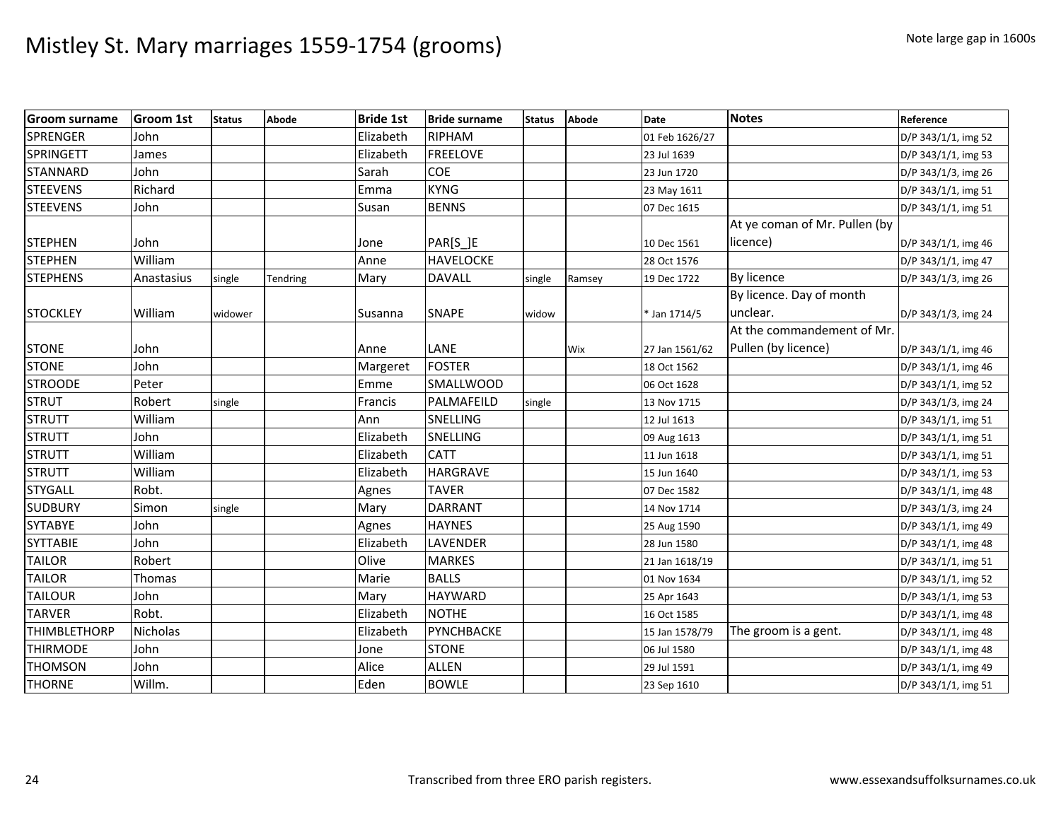| <b>Groom surname</b> | <b>Groom 1st</b> | <b>Status</b> | Abode    | <b>Bride 1st</b> | <b>Bride surname</b> | <b>Status</b> | Abode  | <b>Date</b>    | <b>Notes</b>                  | Reference           |
|----------------------|------------------|---------------|----------|------------------|----------------------|---------------|--------|----------------|-------------------------------|---------------------|
| SPRENGER             | John             |               |          | Elizabeth        | <b>RIPHAM</b>        |               |        | 01 Feb 1626/27 |                               | D/P 343/1/1, img 52 |
| <b>SPRINGETT</b>     | James            |               |          | Elizabeth        | <b>FREELOVE</b>      |               |        | 23 Jul 1639    |                               | D/P 343/1/1, img 53 |
| <b>STANNARD</b>      | John             |               |          | Sarah            | COE                  |               |        | 23 Jun 1720    |                               | D/P 343/1/3, img 26 |
| <b>STEEVENS</b>      | Richard          |               |          | Emma             | <b>KYNG</b>          |               |        | 23 May 1611    |                               | D/P 343/1/1, img 51 |
| <b>STEEVENS</b>      | John             |               |          | Susan            | <b>BENNS</b>         |               |        | 07 Dec 1615    |                               | D/P 343/1/1, img 51 |
|                      |                  |               |          |                  |                      |               |        |                | At ye coman of Mr. Pullen (by |                     |
| <b>STEPHEN</b>       | John             |               |          | Jone             | PAR[S_]E             |               |        | 10 Dec 1561    | licence)                      | D/P 343/1/1, img 46 |
| <b>STEPHEN</b>       | William          |               |          | Anne             | <b>HAVELOCKE</b>     |               |        | 28 Oct 1576    |                               | D/P 343/1/1, img 47 |
| <b>STEPHENS</b>      | Anastasius       | single        | Tendring | Mary             | <b>DAVALL</b>        | single        | Ramsey | 19 Dec 1722    | By licence                    | D/P 343/1/3, img 26 |
|                      |                  |               |          |                  |                      |               |        |                | By licence. Day of month      |                     |
| <b>STOCKLEY</b>      | William          | widower       |          | Susanna          | <b>SNAPE</b>         | widow         |        | * Jan 1714/5   | unclear.                      | D/P 343/1/3, img 24 |
|                      |                  |               |          |                  |                      |               |        |                | At the commandement of Mr.    |                     |
| <b>STONE</b>         | John             |               |          | Anne             | LANE                 |               | Wix    | 27 Jan 1561/62 | Pullen (by licence)           | D/P 343/1/1, img 46 |
| <b>STONE</b>         | John             |               |          | Margeret         | <b>FOSTER</b>        |               |        | 18 Oct 1562    |                               | D/P 343/1/1, img 46 |
| <b>STROODE</b>       | Peter            |               |          | Emme             | <b>SMALLWOOD</b>     |               |        | 06 Oct 1628    |                               | D/P 343/1/1, img 52 |
| <b>STRUT</b>         | Robert           | single        |          | Francis          | PALMAFEILD           | single        |        | 13 Nov 1715    |                               | D/P 343/1/3, img 24 |
| <b>STRUTT</b>        | William          |               |          | Ann              | SNELLING             |               |        | 12 Jul 1613    |                               | D/P 343/1/1, img 51 |
| <b>STRUTT</b>        | John             |               |          | Elizabeth        | SNELLING             |               |        | 09 Aug 1613    |                               | D/P 343/1/1, img 51 |
| <b>STRUTT</b>        | William          |               |          | Elizabeth        | <b>CATT</b>          |               |        | 11 Jun 1618    |                               | D/P 343/1/1, img 51 |
| <b>STRUTT</b>        | William          |               |          | Elizabeth        | <b>HARGRAVE</b>      |               |        | 15 Jun 1640    |                               | D/P 343/1/1, img 53 |
| <b>STYGALL</b>       | Robt.            |               |          | Agnes            | <b>TAVER</b>         |               |        | 07 Dec 1582    |                               | D/P 343/1/1, img 48 |
| <b>SUDBURY</b>       | Simon            | single        |          | Mary             | <b>DARRANT</b>       |               |        | 14 Nov 1714    |                               | D/P 343/1/3, img 24 |
| <b>SYTABYE</b>       | John             |               |          | Agnes            | <b>HAYNES</b>        |               |        | 25 Aug 1590    |                               | D/P 343/1/1, img 49 |
| <b>SYTTABIE</b>      | John             |               |          | Elizabeth        | <b>LAVENDER</b>      |               |        | 28 Jun 1580    |                               | D/P 343/1/1, img 48 |
| <b>TAILOR</b>        | Robert           |               |          | Olive            | <b>MARKES</b>        |               |        | 21 Jan 1618/19 |                               | D/P 343/1/1, img 51 |
| <b>TAILOR</b>        | Thomas           |               |          | Marie            | <b>BALLS</b>         |               |        | 01 Nov 1634    |                               | D/P 343/1/1, img 52 |
| <b>TAILOUR</b>       | John             |               |          | Mary             | <b>HAYWARD</b>       |               |        | 25 Apr 1643    |                               | D/P 343/1/1, img 53 |
| <b>TARVER</b>        | Robt.            |               |          | Elizabeth        | <b>NOTHE</b>         |               |        | 16 Oct 1585    |                               | D/P 343/1/1, img 48 |
| <b>THIMBLETHORP</b>  | Nicholas         |               |          | Elizabeth        | PYNCHBACKE           |               |        | 15 Jan 1578/79 | The groom is a gent.          | D/P 343/1/1, img 48 |
| <b>THIRMODE</b>      | John             |               |          | Jone             | <b>STONE</b>         |               |        | 06 Jul 1580    |                               | D/P 343/1/1, img 48 |
| <b>THOMSON</b>       | John             |               |          | Alice            | <b>ALLEN</b>         |               |        | 29 Jul 1591    |                               | D/P 343/1/1, img 49 |
| <b>THORNE</b>        | Willm.           |               |          | Eden             | <b>BOWLE</b>         |               |        | 23 Sep 1610    |                               | D/P 343/1/1, img 51 |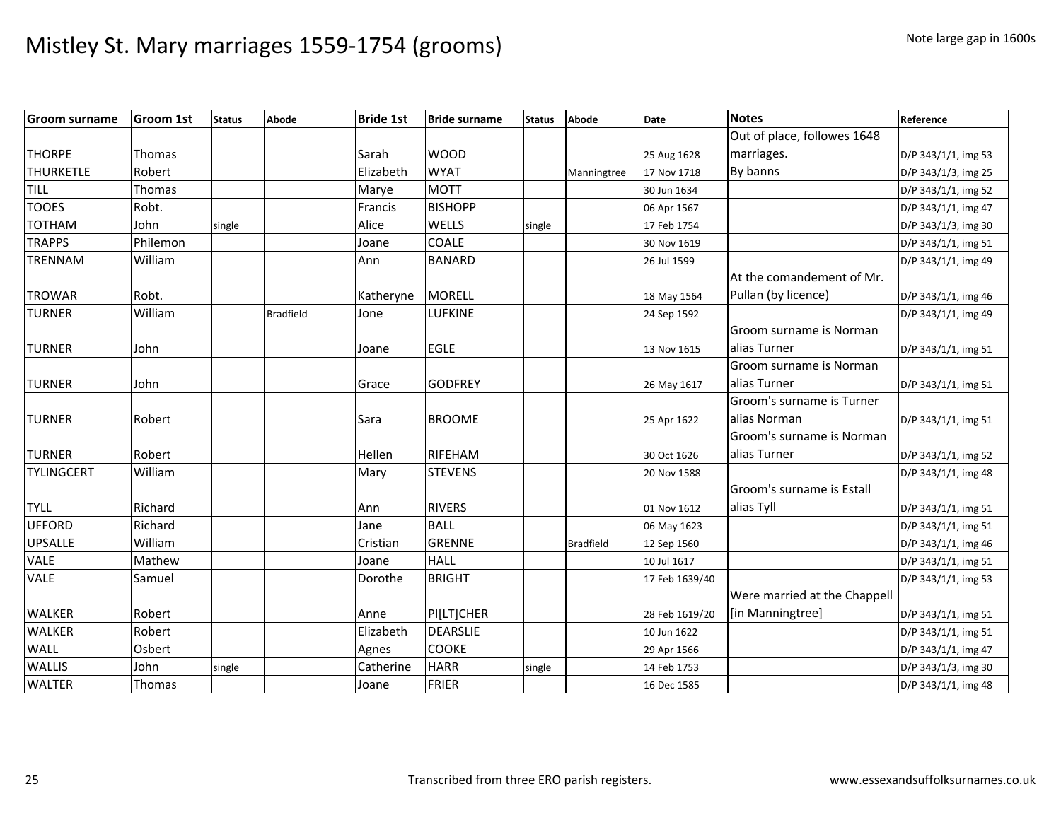| <b>Groom surname</b> | <b>Groom 1st</b> | <b>Status</b> | Abode            | <b>Bride 1st</b> | <b>Bride surname</b> | <b>Status</b> | Abode            | Date           | <b>Notes</b>                 | Reference           |
|----------------------|------------------|---------------|------------------|------------------|----------------------|---------------|------------------|----------------|------------------------------|---------------------|
|                      |                  |               |                  |                  |                      |               |                  |                | Out of place, followes 1648  |                     |
| <b>THORPE</b>        | <b>Thomas</b>    |               |                  | Sarah            | <b>WOOD</b>          |               |                  | 25 Aug 1628    | marriages.                   | D/P 343/1/1, img 53 |
| <b>THURKETLE</b>     | Robert           |               |                  | Elizabeth        | <b>WYAT</b>          |               | Manningtree      | 17 Nov 1718    | By banns                     | D/P 343/1/3, img 25 |
| <b>TILL</b>          | Thomas           |               |                  | Marye            | <b>MOTT</b>          |               |                  | 30 Jun 1634    |                              | D/P 343/1/1, img 52 |
| <b>TOOES</b>         | Robt.            |               |                  | Francis          | <b>BISHOPP</b>       |               |                  | 06 Apr 1567    |                              | D/P 343/1/1, img 47 |
| <b>TOTHAM</b>        | John             | single        |                  | Alice            | WELLS                | single        |                  | 17 Feb 1754    |                              | D/P 343/1/3, img 30 |
| <b>TRAPPS</b>        | Philemon         |               |                  | Joane            | COALE                |               |                  | 30 Nov 1619    |                              | D/P 343/1/1, img 51 |
| <b>TRENNAM</b>       | William          |               |                  | Ann              | <b>BANARD</b>        |               |                  | 26 Jul 1599    |                              | D/P 343/1/1, img 49 |
|                      |                  |               |                  |                  |                      |               |                  |                | At the comandement of Mr.    |                     |
| <b>TROWAR</b>        | Robt.            |               |                  | Katheryne        | <b>MORELL</b>        |               |                  | 18 May 1564    | Pullan (by licence)          | D/P 343/1/1, img 46 |
| <b>TURNER</b>        | William          |               | <b>Bradfield</b> | Jone             | <b>LUFKINE</b>       |               |                  | 24 Sep 1592    |                              | D/P 343/1/1, img 49 |
|                      |                  |               |                  |                  |                      |               |                  |                | Groom surname is Norman      |                     |
| <b>TURNER</b>        | John             |               |                  | Joane            | <b>EGLE</b>          |               |                  | 13 Nov 1615    | alias Turner                 | D/P 343/1/1, img 51 |
|                      |                  |               |                  |                  |                      |               |                  |                | Groom surname is Norman      |                     |
| <b>TURNER</b>        | John             |               |                  | Grace            | <b>GODFREY</b>       |               |                  | 26 May 1617    | alias Turner                 | D/P 343/1/1, img 51 |
|                      |                  |               |                  |                  |                      |               |                  |                | Groom's surname is Turner    |                     |
| <b>TURNER</b>        | Robert           |               |                  | Sara             | <b>BROOME</b>        |               |                  | 25 Apr 1622    | alias Norman                 | D/P 343/1/1, img 51 |
|                      |                  |               |                  |                  |                      |               |                  |                | Groom's surname is Norman    |                     |
| <b>TURNER</b>        | Robert           |               |                  | Hellen           | RIFEHAM              |               |                  | 30 Oct 1626    | alias Turner                 | D/P 343/1/1, img 52 |
| <b>TYLINGCERT</b>    | William          |               |                  | Mary             | <b>STEVENS</b>       |               |                  | 20 Nov 1588    |                              | D/P 343/1/1, img 48 |
|                      |                  |               |                  |                  |                      |               |                  |                | Groom's surname is Estall    |                     |
| <b>TYLL</b>          | Richard          |               |                  | Ann              | <b>RIVERS</b>        |               |                  | 01 Nov 1612    | alias Tyll                   | D/P 343/1/1, img 51 |
| <b>UFFORD</b>        | Richard          |               |                  | Jane             | <b>BALL</b>          |               |                  | 06 May 1623    |                              | D/P 343/1/1, img 51 |
| <b>UPSALLE</b>       | William          |               |                  | Cristian         | <b>GRENNE</b>        |               | <b>Bradfield</b> | 12 Sep 1560    |                              | D/P 343/1/1, img 46 |
| <b>VALE</b>          | Mathew           |               |                  | Joane            | <b>HALL</b>          |               |                  | 10 Jul 1617    |                              | D/P 343/1/1, img 51 |
| <b>VALE</b>          | Samuel           |               |                  | Dorothe          | <b>BRIGHT</b>        |               |                  | 17 Feb 1639/40 |                              | D/P 343/1/1, img 53 |
|                      |                  |               |                  |                  |                      |               |                  |                | Were married at the Chappell |                     |
| <b>WALKER</b>        | Robert           |               |                  | Anne             | PI[LT]CHER           |               |                  | 28 Feb 1619/20 | [in Manningtree]             | D/P 343/1/1, img 51 |
| <b>WALKER</b>        | Robert           |               |                  | Elizabeth        | <b>DEARSLIE</b>      |               |                  | 10 Jun 1622    |                              | D/P 343/1/1, img 51 |
| <b>WALL</b>          | Osbert           |               |                  | Agnes            | <b>COOKE</b>         |               |                  | 29 Apr 1566    |                              | D/P 343/1/1, img 47 |
| <b>WALLIS</b>        | John             | single        |                  | Catherine        | <b>HARR</b>          | single        |                  | 14 Feb 1753    |                              | D/P 343/1/3, img 30 |
| <b>WALTER</b>        | Thomas           |               |                  | Joane            | <b>FRIER</b>         |               |                  | 16 Dec 1585    |                              | D/P 343/1/1, img 48 |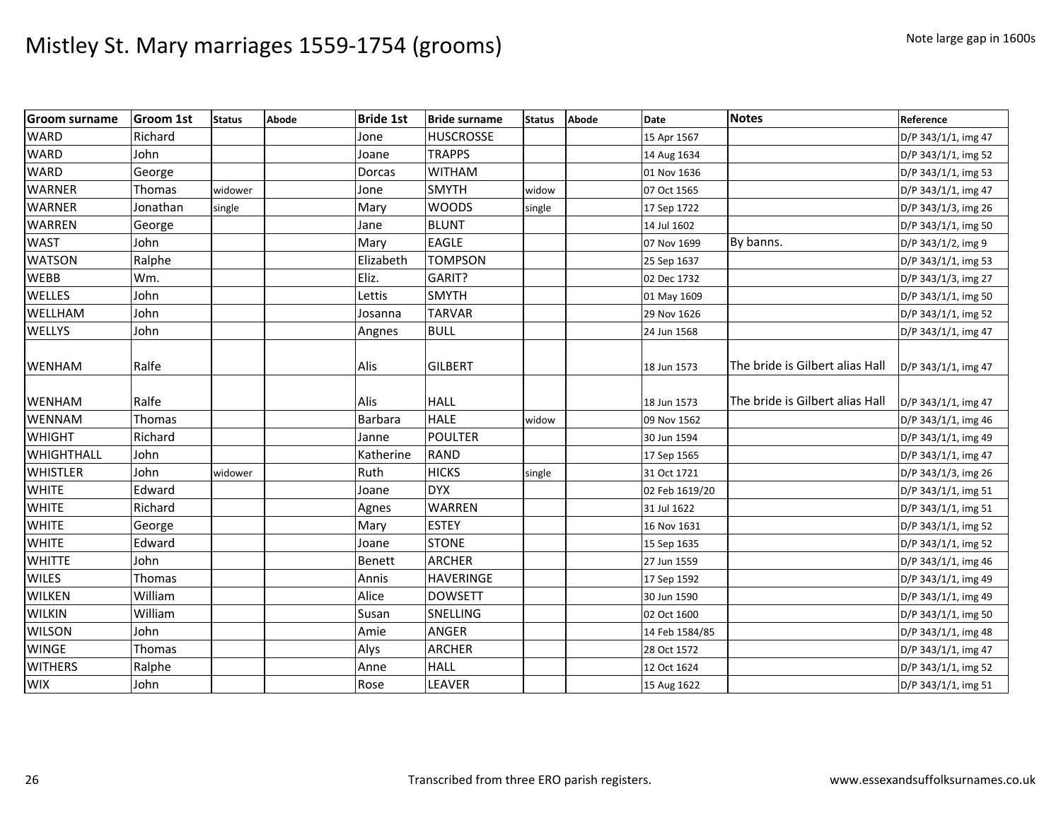| <b>Groom surname</b> | <b>Groom 1st</b> | <b>Status</b> | Abode | <b>Bride 1st</b> | <b>Bride surname</b> | <b>Status</b> | Abode | Date           | <b>Notes</b>                    | Reference           |
|----------------------|------------------|---------------|-------|------------------|----------------------|---------------|-------|----------------|---------------------------------|---------------------|
| <b>WARD</b>          | Richard          |               |       | Jone             | <b>HUSCROSSE</b>     |               |       | 15 Apr 1567    |                                 | D/P 343/1/1, img 47 |
| <b>WARD</b>          | John             |               |       | Joane            | <b>TRAPPS</b>        |               |       | 14 Aug 1634    |                                 | D/P 343/1/1, img 52 |
| <b>WARD</b>          | George           |               |       | Dorcas           | <b>WITHAM</b>        |               |       | 01 Nov 1636    |                                 | D/P 343/1/1, img 53 |
| <b>WARNER</b>        | Thomas           | widower       |       | Jone             | <b>SMYTH</b>         | widow         |       | 07 Oct 1565    |                                 | D/P 343/1/1, img 47 |
| <b>WARNER</b>        | Jonathan         | single        |       | Mary             | <b>WOODS</b>         | single        |       | 17 Sep 1722    |                                 | D/P 343/1/3, img 26 |
| <b>WARREN</b>        | George           |               |       | Jane             | <b>BLUNT</b>         |               |       | 14 Jul 1602    |                                 | D/P 343/1/1, img 50 |
| <b>WAST</b>          | John             |               |       | Mary             | <b>EAGLE</b>         |               |       | 07 Nov 1699    | By banns.                       | D/P 343/1/2, img 9  |
| <b>WATSON</b>        | Ralphe           |               |       | Elizabeth        | <b>TOMPSON</b>       |               |       | 25 Sep 1637    |                                 | D/P 343/1/1, img 53 |
| <b>WEBB</b>          | Wm.              |               |       | Eliz.            | GARIT?               |               |       | 02 Dec 1732    |                                 | D/P 343/1/3, img 27 |
| WELLES               | John             |               |       | Lettis           | <b>SMYTH</b>         |               |       | 01 May 1609    |                                 | D/P 343/1/1, img 50 |
| WELLHAM              | John             |               |       | Josanna          | <b>TARVAR</b>        |               |       | 29 Nov 1626    |                                 | D/P 343/1/1, img 52 |
| <b>WELLYS</b>        | John             |               |       | Angnes           | <b>BULL</b>          |               |       | 24 Jun 1568    |                                 | D/P 343/1/1, img 47 |
| <b>WENHAM</b>        | Ralfe            |               |       | Alis             | <b>GILBERT</b>       |               |       | 18 Jun 1573    | The bride is Gilbert alias Hall | D/P 343/1/1, img 47 |
| <b>WENHAM</b>        | Ralfe            |               |       | Alis             | <b>HALL</b>          |               |       | 18 Jun 1573    | The bride is Gilbert alias Hall | D/P 343/1/1, img 47 |
| <b>WENNAM</b>        | Thomas           |               |       | <b>Barbara</b>   | <b>HALE</b>          | widow         |       | 09 Nov 1562    |                                 | D/P 343/1/1, img 46 |
| <b>WHIGHT</b>        | Richard          |               |       | Janne            | <b>POULTER</b>       |               |       | 30 Jun 1594    |                                 | D/P 343/1/1, img 49 |
| WHIGHTHALL           | John             |               |       | Katherine        | <b>RAND</b>          |               |       | 17 Sep 1565    |                                 | D/P 343/1/1, img 47 |
| <b>WHISTLER</b>      | John             | widower       |       | Ruth             | <b>HICKS</b>         | single        |       | 31 Oct 1721    |                                 | D/P 343/1/3, img 26 |
| <b>WHITE</b>         | Edward           |               |       | Joane            | <b>DYX</b>           |               |       | 02 Feb 1619/20 |                                 | D/P 343/1/1, img 51 |
| <b>WHITE</b>         | Richard          |               |       | Agnes            | <b>WARREN</b>        |               |       | 31 Jul 1622    |                                 | D/P 343/1/1, img 51 |
| <b>WHITE</b>         | George           |               |       | Mary             | <b>ESTEY</b>         |               |       | 16 Nov 1631    |                                 | D/P 343/1/1, img 52 |
| <b>WHITE</b>         | Edward           |               |       | Joane            | <b>STONE</b>         |               |       | 15 Sep 1635    |                                 | D/P 343/1/1, img 52 |
| <b>WHITTE</b>        | John             |               |       | <b>Benett</b>    | <b>ARCHER</b>        |               |       | 27 Jun 1559    |                                 | D/P 343/1/1, img 46 |
| <b>WILES</b>         | Thomas           |               |       | Annis            | <b>HAVERINGE</b>     |               |       | 17 Sep 1592    |                                 | D/P 343/1/1, img 49 |
| <b>WILKEN</b>        | William          |               |       | Alice            | <b>DOWSETT</b>       |               |       | 30 Jun 1590    |                                 | D/P 343/1/1, img 49 |
| <b>WILKIN</b>        | William          |               |       | Susan            | <b>SNELLING</b>      |               |       | 02 Oct 1600    |                                 | D/P 343/1/1, img 50 |
| <b>WILSON</b>        | John             |               |       | Amie             | <b>ANGER</b>         |               |       | 14 Feb 1584/85 |                                 | D/P 343/1/1, img 48 |
| <b>WINGE</b>         | Thomas           |               |       | Alys             | <b>ARCHER</b>        |               |       | 28 Oct 1572    |                                 | D/P 343/1/1, img 47 |
| <b>WITHERS</b>       | Ralphe           |               |       | Anne             | <b>HALL</b>          |               |       | 12 Oct 1624    |                                 | D/P 343/1/1, img 52 |
| <b>WIX</b>           | John             |               |       | Rose             | LEAVER               |               |       | 15 Aug 1622    |                                 | D/P 343/1/1, img 51 |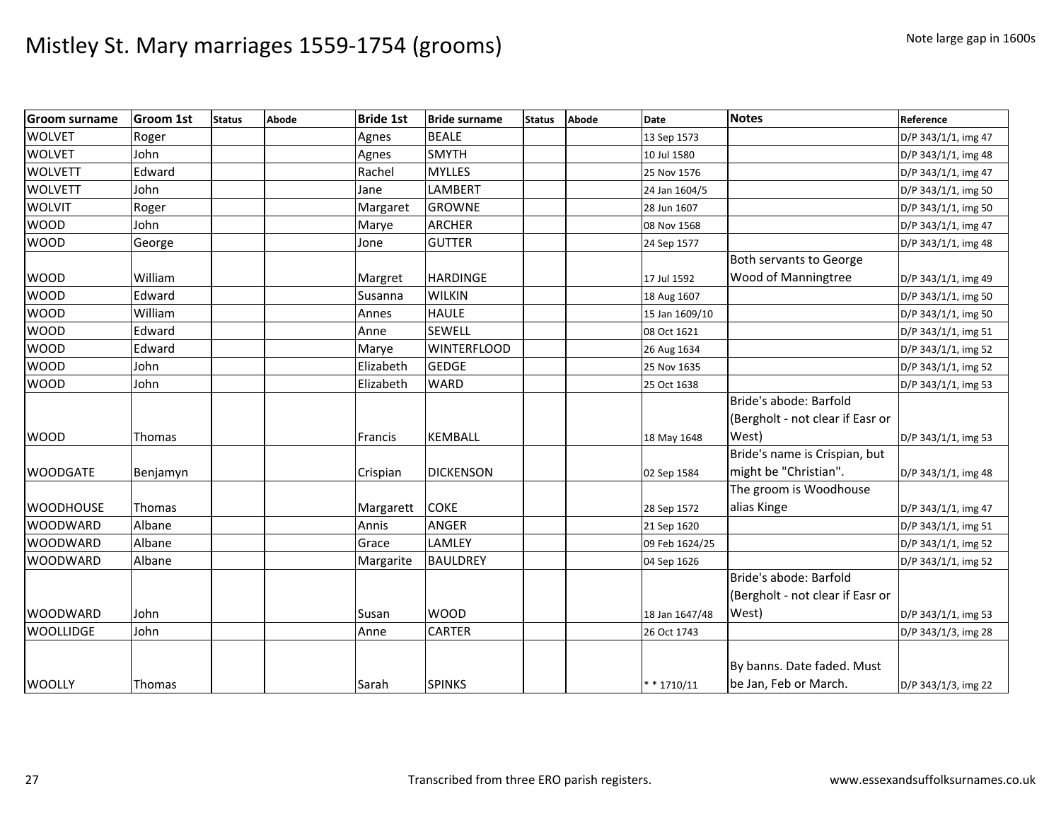| <b>Groom surname</b> | <b>Groom 1st</b> | <b>Status</b> | <b>Abode</b> | <b>Bride 1st</b> | <b>Bride surname</b> | <b>Status</b> | Abode | <b>Date</b>    | <b>Notes</b>                     | Reference           |
|----------------------|------------------|---------------|--------------|------------------|----------------------|---------------|-------|----------------|----------------------------------|---------------------|
| <b>WOLVET</b>        | Roger            |               |              | Agnes            | <b>BEALE</b>         |               |       | 13 Sep 1573    |                                  | D/P 343/1/1, img 47 |
| <b>WOLVET</b>        | John             |               |              | Agnes            | <b>SMYTH</b>         |               |       | 10 Jul 1580    |                                  | D/P 343/1/1, img 48 |
| <b>WOLVETT</b>       | Edward           |               |              | Rachel           | <b>MYLLES</b>        |               |       | 25 Nov 1576    |                                  | D/P 343/1/1, img 47 |
| <b>WOLVETT</b>       | John             |               |              | Jane             | LAMBERT              |               |       | 24 Jan 1604/5  |                                  | D/P 343/1/1, img 50 |
| <b>WOLVIT</b>        | Roger            |               |              | Margaret         | <b>GROWNE</b>        |               |       | 28 Jun 1607    |                                  | D/P 343/1/1, img 50 |
| <b>WOOD</b>          | John             |               |              | Marye            | <b>ARCHER</b>        |               |       | 08 Nov 1568    |                                  | D/P 343/1/1, img 47 |
| <b>WOOD</b>          | George           |               |              | Jone             | <b>GUTTER</b>        |               |       | 24 Sep 1577    |                                  | D/P 343/1/1, img 48 |
|                      |                  |               |              |                  |                      |               |       |                | Both servants to George          |                     |
| <b>WOOD</b>          | William          |               |              | Margret          | <b>HARDINGE</b>      |               |       | 17 Jul 1592    | Wood of Manningtree              | D/P 343/1/1, img 49 |
| <b>WOOD</b>          | Edward           |               |              | Susanna          | <b>WILKIN</b>        |               |       | 18 Aug 1607    |                                  | D/P 343/1/1, img 50 |
| <b>WOOD</b>          | William          |               |              | Annes            | <b>HAULE</b>         |               |       | 15 Jan 1609/10 |                                  | D/P 343/1/1, img 50 |
| <b>WOOD</b>          | Edward           |               |              | Anne             | SEWELL               |               |       | 08 Oct 1621    |                                  | D/P 343/1/1, img 51 |
| <b>WOOD</b>          | Edward           |               |              | Marye            | <b>WINTERFLOOD</b>   |               |       | 26 Aug 1634    |                                  | D/P 343/1/1, img 52 |
| <b>WOOD</b>          | John             |               |              | Elizabeth        | <b>GEDGE</b>         |               |       | 25 Nov 1635    |                                  | D/P 343/1/1, img 52 |
| <b>WOOD</b>          | John             |               |              | Elizabeth        | <b>WARD</b>          |               |       | 25 Oct 1638    |                                  | D/P 343/1/1, img 53 |
|                      |                  |               |              |                  |                      |               |       |                | Bride's abode: Barfold           |                     |
|                      |                  |               |              |                  |                      |               |       |                | (Bergholt - not clear if Easr or |                     |
| <b>WOOD</b>          | Thomas           |               |              | Francis          | <b>KEMBALL</b>       |               |       | 18 May 1648    | West)                            | D/P 343/1/1, img 53 |
|                      |                  |               |              |                  |                      |               |       |                | Bride's name is Crispian, but    |                     |
| <b>WOODGATE</b>      | Benjamyn         |               |              | Crispian         | <b>DICKENSON</b>     |               |       | 02 Sep 1584    | might be "Christian".            | D/P 343/1/1, img 48 |
|                      |                  |               |              |                  |                      |               |       |                | The groom is Woodhouse           |                     |
| <b>WOODHOUSE</b>     | Thomas           |               |              | Margarett        | <b>COKE</b>          |               |       | 28 Sep 1572    | alias Kinge                      | D/P 343/1/1, img 47 |
| <b>WOODWARD</b>      | Albane           |               |              | Annis            | ANGER                |               |       | 21 Sep 1620    |                                  | D/P 343/1/1, img 51 |
| <b>WOODWARD</b>      | Albane           |               |              | Grace            | LAMLEY               |               |       | 09 Feb 1624/25 |                                  | D/P 343/1/1, img 52 |
| <b>WOODWARD</b>      | Albane           |               |              | Margarite        | <b>BAULDREY</b>      |               |       | 04 Sep 1626    |                                  | D/P 343/1/1, img 52 |
|                      |                  |               |              |                  |                      |               |       |                | Bride's abode: Barfold           |                     |
|                      |                  |               |              |                  |                      |               |       |                | (Bergholt - not clear if Easr or |                     |
| <b>WOODWARD</b>      | John             |               |              | Susan            | <b>WOOD</b>          |               |       | 18 Jan 1647/48 | West)                            | D/P 343/1/1, img 53 |
| <b>WOOLLIDGE</b>     | John             |               |              | Anne             | <b>CARTER</b>        |               |       | 26 Oct 1743    |                                  | D/P 343/1/3, img 28 |
|                      |                  |               |              |                  |                      |               |       |                |                                  |                     |
|                      |                  |               |              |                  |                      |               |       |                | By banns. Date faded. Must       |                     |
| <b>WOOLLY</b>        | Thomas           |               |              | Sarah            | <b>SPINKS</b>        |               |       | $* * 1710/11$  | be Jan, Feb or March.            | D/P 343/1/3, img 22 |